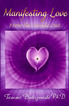# Manifesting Love From the Insíde out



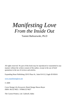## *Manifesting Love From the Inside Out*

Tammi Baliszewski, Ph.D

All rights reserved. No part of this book may be reproduced or transmitted in any manner without the written consent of the author, except in the use of brief quotations in the use of reviews and articles.

Expanding Heart Publishing 228 E Plaza St., Suite B #112, Eagle ID 83616

[www.manifestinglove.net](http://www.manifestinglove.net/)

© 2009

Cover Design Lily Kovacevic Book Design Shawn Beyer ISBN: 0615274021 / 9780615274027

The Caxton Printers, Ltd. Caldwell, Idaho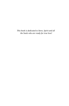*This book is dedicated to Steve, Spirit and all the Souls who are ready for true love!*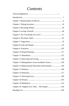## *Contents*

| Chapter 13 Manipulation versus Authentic Power 150   |  |
|------------------------------------------------------|--|
| Chapter 14 Balancing the Masculine and Feminine  160 |  |
|                                                      |  |
|                                                      |  |
|                                                      |  |
|                                                      |  |
|                                                      |  |
| Chapter 20. Happily Ever AfterThe Sequel230          |  |
|                                                      |  |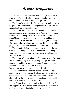## *Acknowledgments*

The creation of this book truly took a village! There are so many who offered their wisdom, stories, thoughts, support, encouragement and love throughout the process.

Thank you Stephani Jordan for your kindness and generosity of spirit. You supported me in taking my first baby steps on the path to healing and authentic power.

Thank you to Drs. Ron and Mary Hulnick, your wisdom continues to ring in my ears to this day. Thank you for creating the wonderful, healing, sacred space called the "University of Santa Monica." I learned to love myself in that building on Wilshire. I have said it before and I will say it again, attending USM was the best gift I ever gave to myself! It is a remarkable program and you are two truly remarkable teachers.

Thank you Gavin Fry for supporting me in "processing my stuff" and polishing my book. Your intuition is astonishing and your wisdom profound. You are always there when I need you and I am so blessed.

Thank you to Samantha Fewox. First you cast me in Baywatch and helped me get my SAG card, then you taught me about punctuation and helped me edit my book! Thank you for your kindness, diligence, honesty and hard work. But mostly thank you for the gift of your friendship.

Thank you Linda Humphreys for combing through my content and making get into my left brain (even though it was sometimes painful). You have been a beacon of light and a

cheerleader of the highest order. I am certain this book would not exist if it wasn't for you. I love you dearly.

Thank you Shawn Beyer. You have been so professional and supportive. I have appreciated it when you called a spade a spade as well as your flexibility and the comic relief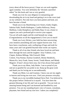(sorry about all the hocus pocus). I hope we can work together again someday. You were definitely the "divinely sanctified editor" for this book and I am so very grateful.

Thank you Lily for your diligence in interpreting and downloading the art in my head and getting it on to the cover (and on my website!). Not only have you been patient and kind, you have become a friend.

Thank you to my Manifesting Love Sisters, Kathy Ziegler, Sabrina Faith, Noelle Rodreguez, Cynthia Holloway, Penny Malibran, Linda Humphreys and Hadia Haaj. It was a honor to support you and a profound gift to receive your support. You are all earth angels and the wind beneath my wings. (Congratulations on all the engagements!) I love you so much!

Thank you Larry Hickey, your faith has been unwavering, your intuition astonishing and your support heaven sent. You have been a touchstone, and a wellspring of hope and truth for many years and I am grateful beyond what words can express.

Thank to all of my dear friends who have loved me and been there through the tears and the laughter: Arna Vodenes, Lisa Clapier, Rollene Billings, Niki Fretwell, Nikki Cottem, Vina Parmar, Katrina Goodrich, Denise Hendricks, Manna Ko, Jerry Frank, Sunny Jewett, Tonda Mason, and Mindy Maguire. It hasn't always been easy, but it has always been good!

Thank you to my Mom, Judy Butler. I am so proud of you and am so grateful for you pride in me. Keep up the great work and thank you for loving me so unconditionally.

Thank you Mimi, Les and Grammy. I know you are my angels in heaven and loving me even now. I feel your presence everyday.

Thank you to my incredible husband Steve Peel. You believed in this project before I believed in it myself. You have been the greatest blessing of my life and I am so grateful. You are truly an amazing human being and I am honored and humbled by your presence. You are my sounding board, voice of reason, consultant, playmate, best friend and my true love. I adore you completely!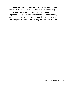And finally, thank you to Spirit. Thank you for every step that has gotten me to this place. Thank you for the blessings I receive daily: the growth, the healing the synchronicity, expansion and joy. I love co-creating with You and supporting others in realizing Your presence within themselves. What an amazing journey…and I have a feeling the best is yet to come!

ACKNOWLEDGMENTS iii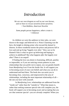### *Introduction*

<span id="page-11-0"></span>*We are our own dragons as well as our own heroes, and we have to rescue ourselves from ourselves. ~ Tom Robbins, American Novelist*

*Some people pursue happiness, others create it. ~ Unknown*

As children we were the audience to fairy tales, we were drawn to the magic and believed in it. Prince Charming was the hero, the knight in shining armor who rescued the damsel in distress. In these wonderful stories the prince and princess fall in love and end up living "happily ever after." How can we be blamed if this is what we grow up believing and hoping to achieve in adulthood? But what happens *after* the happily ever after? There *is* no sequel!

If finding the love you desire is frustrating, difficult, painful, or impossible, or if you are noticing certain patterns in your relationships that you prefer not to repeat, you can greatly benefit from *Manifesting Love From the Inside Out.* It will support you in becoming aware of your core beliefs and what you can do to understand and heal them. The book also can assist you in becoming clear, conscious, and empowered in the area of relationships, including the most important relationship of all the one you have with yourself.

In *Manifesting Love,* relationships are addressed from the "inside out" rather than the "outside in." What that means is, rather than seeking someone special who will complete you, the book will support you in becoming aware and accepting that *you are that someone special—you are already complete!* When you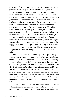truly accept this on the deepest level, a loving supportive sacred partnership can easily and naturally show up in your life.

All relationships reflect what we think, feel, and believe. They also reflect our internal sense of value. If you look into a mirror and are unhappy with what you see, it would be useless to get angry at the mirror and draw all over it with crayons or markers. You know that you must take responsibility for your body and its appearance. Once you do, the reflection in the mirror naturally changes. When we choose to heal by taking responsibility for our primary relationship (the one with ourselves), then our life, our experiences, and our relationships transform and are reflected in beautiful and remarkable ways.

As a spiritual psychology consultant and hypnotherapist, I have worked with many clients who face significant challenges with their love relationships. It seems that everyone wants to be happy and in love, but the goal is elusive. Many of us seek that "special relationship," but once we think we found it, it's not long before our lives are fraught with drama, confusion, and pain.

When you use pure action and willpower to "get" what you want, you are chasing after something that is probably going to elude you in the end. Alternatively, if you are passively waiting for the relationship you desire to show up out of the blue, you can feel disempowered and hopeless. In order to consciously and effectively manifest (in other words, attract or draw forth) what you want, it is necessary to use your thoughts, feelings and the laws of the universe. When we take responsibility for our inner reality—what we think, how we feel, how much we respect, and love ourselves—this is what I refer to as inner work. Inner work not only empowers us, it profoundly changes our lives for the better.

I wrote this book not only because I see my clients struggling with relationships, but because of my own history. My need to become clear in the area of relationships and to heal was put into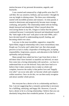motion because of my personal devastation, anguish, and heartache.

I was courted and romanced by a high profile actor that I'll call Bob. He was sensitive, brilliant, and successful. I thought he was my knight in shining armor. The three-year relationship started with incredible promise and romance. As time passed, it started to deteriorate and progressively became more strange, confusing, and painful. The relationship ended with me feeling deeply betrayed and abandoned. When I prayed about this reoccurring theme in my life, I began to realize that the pattern continued because I consistently betrayed and abandoned myself. My "dark night of the soul" took place in the mid-1990s, and I have devoted myself to understanding myself, healing, and becoming whole ever since.

I am now in the most incredible, supportive, respectful, Spirit-filled, magical relationship with a most extraordinary man. People say I'm lucky and I admit that I am. But what people perceive as luck is really a byproduct of healing pain, accepting responsibility, forgiveness, prayers, and education in the fields of spirituality and psychology.

Many people have asked me how I got from there to here. I tell them what I have learned: to manifest our beloved, we must first come into a loving relationship with ourselves—we have to understand that *we are the beloved.* Fairy tales have lead us to believe that it takes someone else to make us whole and complete, however the reality is that perfect love and "happily ever after" can occur only *after* we become whole and complete within ourselves. Once we do this, we can then easily recognize and attract another whole person.

Not everyone has a desire to be in a relationship and that is fine. I am not suggesting that a romantic partnership is necessary for a fulfilling, satisfying, and happy life. However, if you *do*  have a desire to be in a loving relationship, I believe that you can absolutely bring about that wonderful partner. If you have a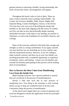genuine interest in attracting a healthy, loving relationship, this book will provide clarity, encouragement, and support.

 Throughout this book I refer to God or Spirit. There are many words to describe what is perhaps indescribable—the Creator, the Universe, Buddha, Allah, Nature, Higher Self, Supreme Being, Creative Intelligence, Source, or the Divine. You may have your own way of describing the energy that breathes us. By more fully aligning with this source of wisdom our lives can take on new and profoundly deeper meaning. Spirituality has been a vital aspect in my healing, my journey to wholeness, as well as the foundation for my beliefs, theories, and writings.

Many of the exercises outlined in this book take courage and strength, as well as a strong commitment. If you apply yourself, you may find that you are stretching out of your comfort zone and into unchartered territory. However, if you are willing to make yourself a priority and show up on your own behalf, you are being presented with a wonderful opportunity to experience revelations, clarity, and healing. I assure you, the benefits and rewards for honestly participating in this process will be nothing short of extraordinary.

#### **How to Receive the Most Value from Manifesting Love from the Inside Out**

*Begin keeping a journal.* Get a special notebook or journal that you can devote to the practice of manifesting love.

*Devote a little time each day to your practice of manifesting love.* First thing in the morning or each evening before you go to sleep are wonderful times to do this work. Consistency helps the process of manifestation.

At the end of each chapter there are a series of questions and exercises designed to anchor the application of the key principles

4 TAMMI BALISZEWSKI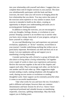into your relationship with yourself and others. I suggest that you complete these end-of-chapter sections in your journal. The more you wholeheartedly participate with this book and these exercises, the more value you will receive in bringing about the love relationship that you desire. You may notice that some of the exercises seem repetitive or very similar in nature. Each exercise is intended to build on the others, creating an opportunity to deepen your understanding and assist you in accessing greater healing potential.

In addition to doing the exercises, you are encouraged to write any thoughts, feelings, dreams, or revelations in your journal. Keeping a journal is an excellent way to anchor what you learn, move energy, keep track of your progress, and get to know yourself in a deeper way.

As you read *Manifesting Love* and experience any personal revelations, epiphanies, or "ah ha!" moments, record them in your journal. Consider underlining anything that strikes you as particularly important. Revelations can shift and heal you in an instant. Let your epiphanies add up and support you in manifesting a loving relationship.

*Consider partnering with a friend or a group of friends who also desire to bring about a loving relationship.* Get together every couple of weeks to share your experiences and journey. Review the exercises together at the end of the chapters and support each other. Plan to encourage each other, see the best in one another and lift each other up. Other suggestions might include sending e-mails, making telephone calls throughout the week, sharing success stories or revelations or sending thoughtful cards. Outer support can be extremely powerful when it comes to successful manifestation.

Take what works for you and leave the rest. Everybody's path is different and unique; however there are common denominators and basic lessons for all of us. I know I have experienced profound and valuable lessons on manifesting respectful, conscious, uplifting relationships. May this book support you in finding yours.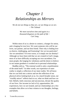## <span id="page-16-0"></span>*Chapter 1 Relationships as Mirrors*

*We do not see things as they are, we see things as we are. ~ The Talmud*

> *We meet ourselves time and again in a thousand disguises on the path of life ~ Carl Jung*

Within most of us is a desire to connect, a hunger for union, and a longing for true love. We want someone who will be our lover, our partner, and our best friend. Then why is finding love so elusive, challenging, and frustrating? Are we too particular? Are we unrealistic? Or even worse, is it simply not our destiny? Although we have been told that we are created in God's image, most of us have difficulty accepting our own sacredness. For most people, the longing for wholeness and the desire to believe in our innate goodness is worked out in personal relationships.

Buddha told us, "The external world is only a manifestation of the mind itself." In other words, our experience of outer reality is simply a reflection of our inner reality. We all know that we can look into a mirror and see the reflection of our physical selves looking back at us. In a much broader sense, our "worldly mirror" reflects back to us, what we think and how we feel. Beliefs, both conscious and unconscious, dictate the quality of our lives. Our income (or lack of it), opportunities, life experiences, how we are treated, and our relationships are a few examples that allow us to bear witness to our thoughts, feelings, and beliefs.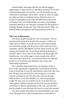Relationships, both good and bad, provide the biggest opportunities to observe how we feel about ourselves. If we have a distorted perception of ourselves, we will inevitably see our reflections as misshapen and twisted—similar to what we might see when we look in a funhouse mirror. However, since we accept our perception as the truth, the reflection in the mirror will appear to be real. Relationships can assist us by bringing repressed material to our conscious awareness for the purpose of learning, healing, and growth. They will consistently reflect our internal beliefs, perceptions, and misperceptions back to us.

#### **The Law of Resonance**

We attract people through the "law of resonance." We are unconsciously attracted to people who resonate or reflect our issues and our beliefs. If you do not love and accept yourself, you will attract people who do not love and accept you. If you constantly criticize and demean yourself, those around you will criticize and demean you. If you betray and break promises to yourself, others will as well. If you always feel like people will abandon you, you set the stage to attract people who will do what you expect them to do. Your internal beliefs are reflected by the law of resonance and, therefore, they create your relationship experiences.

 The wonderful thing about the law of resonance is that it gives us the opportunity to gauge how we feel about ourselves. Look at the people in your life and honestly assess how they treat you. Do they treat you with love and acceptance, or do they criticize and demean you? Do they stick with you through difficult times, or do they abandon you when the going gets tough? Do they prize you and lift you up, or do they focus on your negative qualities and put you down? If you pay attention and choose to observe relationships in this way, you will find that the people in your life treat you exactly as you treat yourself.

We allow people who reflect our internal beliefs to get close to us. The good news is that if people treat us worse than we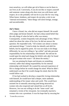treat ourselves, we will either get rid of them or not let them in our lives at all. Conversely, if you do not like or respect yourself and someone comes along who does treat you with honor and respect, he or she probably will not be in your life for very long. When honor, kindness, and respect do not play a role in our "internal environment," these things will seem foreign, strange, and uncomfortable.

#### **Joe's Story**

I have a friend, Joe, who did not respect himself. He would often judge and berate himself. Joe had a deep seated belief that the only thing of value he had to offer was money. Consequently, women frequently took advantage of him. When I asked Joe about the value of his love, he did not answer the question. He responded with, "All women care about is money and material things." I tried to help Joe identify and shift his beliefs, but he argued his point. Joe was not ready to do things differently; he was not willing to "go within" and take personal responsibility for his relationship with himself. He told me he would open his mind and change his beliefs only *after* he found one good woman who wasn't "all about the money."

Joe was pinning his hopes and dreams on something external, rather than taking responsibility for his internal relationship with himself. He wanted his outward experience of life to change before he would change his mind. What he didn't understand was that if he would change his mind, then his life would follow suit.

If Joe had worked to develop a respectful, loving relationship with himself, he would have had a deeper, more authentic understanding of his innate value and worth. This would have assisted Joe in naturally attracting (and being attracted to) women who also respected and valued him on all levels. However, Joe was not willing to do the "inner work" and remained a victim of his viewpoint. Joe eventually married a woman who was a prostitute. It was his hope that by rescuing her

8 TAMMI BALISZEWSKI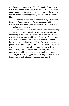and changing her ways, he would finally validate his worth. Not surprisingly, the marriage did not last and Joe continues his cycle of despair and destruction, with even more "proof" that women are self-serving, conniving gold diggers. True love still eludes him.

The journey to manifesting an authentic loving relationship has to start from within. It is difficult, if not impossible, to authentically love another, or allow ourselves to be loved until we can first love ourselves.

The foundation of all relationships is built on the relationship we have with ourselves. In order to manifest a healthy loving relationship in the outer world, we must first develop a healthy relationship in our inner world. The real purpose of relationships is to let us know how we are doing; to mirror what we think and believe. No relationship is a coincidence. We create them for the purpose of self-knowledge and awareness. Relationships give us a wonderful opportunity to observe ourselves and to discover where we may need to work on ourselves. We project both negative and positive attributes on other people all the time. Whether you have a strong positive or a strong negative reaction to someone, it is all ultimately a reflection of yourself.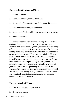#### **Exercise: Relationships as Mirrors**

- 1. Open your journal.
- 2. Think of someone you respect and like.
- 3. List several of the qualities you admire about this person.
- 4. Now think of someone you do not like.
- 5. List several of their qualities that you perceive as negative.
- 6. Review these lists.

Do you recognize these qualities, or the potential for these qualities, from both of these lists? By recognizing these qualities, both positive and negative, you are merely witnessing different aspects of yourself. You would not have the ability to identify any quality or characteristic for which you do not have an internal reference point. You would essentially be blind to those qualities and unable to recognize, see, or comprehend them. If you can perceive it, it is a part of who you are. If you choose to hold these people—or any of their qualities—as separate and apart from yourself, then you disown aspects of yourself. This creates a "splintering off" from self; in other words, a disconnection, distance, and judgment within yourself and toward others. Living in judgment constricts us and limits our potential. It also diminishes our capacity for authentic connection, joy, and happiness.

#### **Exercise: Circle of Friends**

- 1. Turn to a blank page in your journal.
- 2. Draw a large circle.
- 10 TAMMI BALISZEWSKI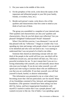- 3. Put your name in the middle of this circle.
- 4. On the periphery of the circle, write down the names of the important and influential people in your life (your family, friends, co-workers, boss, etc.).
- 5. Beside each person's name, write down a few of the qualities and characteristics that first come to mind as you think of each one of them.

The group you assembled is a snapshot of your internal state. Their qualities and characteristics are also *your* qualities and characteristics. How do you feel about your reflection? Are you pleased? Delighted? Embarrassed? Proud? Ashamed?

When I first did this exercise, I was dismayed. I was not all that pleased with my "reflection." I began to wonder why I was spending my time and energy with people whom I was not proud to be identified and who were not kind to me. I was starting to understand that I was not proud of or kind to me either.

Someone then shared an interesting concept with me: onethird of the people in the world will love you, one-third will be indifferent toward you, and one-third will hate you. This was a powerful revelation for me. To me it meant that if you are in a loving relationship with yourself, you will naturally attract those who treat you lovingly. If you do not value yourself, you will spend your time trying to convince those who are indifferent to you that you are worthwhile. If you hate yourself, you will find yourself in harsh, hurtful, or abusive relationships.

This information was presented to me at a time when I was becoming aware that I did not particularly care for myself. Many of my friendships consisted of lies, betrayal, and inappropriate boundaries. (The question I should have been asking was how did I lie, betray, and have inappropriate boundaries with myself?) I started to realize that I was a people pleaser" and wanted *everyone* to like me. Out of habit, I was spending a great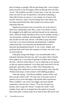deal of energy on people I did not get along with. I was trying to keep everyone in my life happy; often sacrificing what was best for me. The problem was that, in most cases, I was not even sure what was best for me! If asked how I felt about something, I often did not have an answer. I was simply out of touch with myself. However, what I was becoming more clear about was my deep-seated belief that other people were always more important than me.

Significant personal crisis occurred for me at the end of a three-year relationship with, Bob, a man I was about to marry. He struggled with addictions and had cheated on me numerous times. When he finally decided to leave me for another woman, I was devastated, confused, and distraught. Part of me believed that suicide was the only answer. I decided to pray and asked God why I was always betrayed and abandoned. I suddenly understood that I was betrayed and abandoned because I betrayed and abandoned myself. It was a clear, simple, and profound truth and I knew this moment of clarity was God's way of answering me.

I had gone along with things I was uncomfortable with, I tolerated situations that hurt me, and I was quiet when I should have spoken up. I was afraid of getting in trouble and rocking the boat. I did not really believe I was as important as my partner or that my opinion mattered. I was often quiet and tried to be the good girl, much like I did as a child. This relationship was reflecting what I believed to be true about myself, men, and life. Without knowing it, I had created a self-fulfilling prophecy.

I like the saying, "God throws pebbles, stones, bricks, and then you get a brick wall." We may start to become aware of patterns in our lives that begin with painful little experiences. These "pebbles" can evolve into bigger and more painful experiences and turn into "stones." If we do not learn our lessons, then we get the "bricks." Finally the whole "wall" tumbles down and we no longer have the option to proceed down that path. It seems many of us need to have this brick wall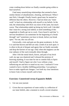come crashing down before we finally consider going within to heal ourselves.

I had many unsatisfying relationships that seemed to have similar themes of abandonment, cheating, and betrayal. When I met Dick, I thought I finally found a good man; he seemed so different than the others. However, I had not done any "inner work" to heal my relationship with myself or my beliefs. In the end, the relationship with Dick was more of the same, but much worse. That relationship ended up being my brick wall. I decided that I must be a strong soul indeed, to need something of this magnitude to finally get me to crack. I have heard it said that "a nervous breakdown can sometimes be the beginning of a break through" and "sometimes you have to break, before you break open." For me, this was all true.

Universally, crisis and pain are the great awakeners. In Zen it is said that heaven and hell are only a tenth of an inch apart. It is often in the pit of despair and agony that we finally surrender and drop the barriers of our ego. Only when this happens can the true radiance of the soul eventually shine through.

After I felt the initial shock, horror, and pain of my brick wall, my ego was shattered and I released the pretense of knowing anything. It was time for me to commit fully to Spirit and myself. I had to figure out who I was without a man influencing me and how to stand on my own. I realized if I ever wanted to have a healthy fulfilling partnership, I was going to have to make significant changes. I set forth my clear intentions to know God, to know myself, and to heal.

#### **Exercises: Constricted versus Expansive Beliefs**

- 1. Get out your journal.
- 2. Given that our experience of outer reality is a reflection of our inner beliefs, take a moment to recall a recent situation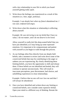with a key relationship in your life in which you found yourself getting really upset.

3. Write down the feelings you experienced as a result of this situation (i.e.; hurt, anger, jealousy).

Example: *I was deeply hurt when my fiancé abandoned me. I was sad, confused and angry.*

4. Write down what this situation or relationship is reflecting about yourself.

Example: *He was mirroring to me my belief that I have no value, I do not matter, and I do not deserve to be loved.*

Allow yourself to really *feel* this deep-seated belief that you have just identified, as it may bring up some repressed emotions. It is important to be compassionate and patient with yourself as you begin to walk through this process.

5. As our feelings often flow directly from our deeply held beliefs, take a moment to review and write down some of the *constricted beliefs* that may be contributing to the anger or sadness you are experiencing. By clearly identifying these limiting beliefs, you have the opportunity to shift and release them. If these beliefs are not identified and healed, they will continue to operate unconsciously. This will result in inaccurate perceptions, poor discernment, bad choices, and unfulfilling experiences in close relationships.

Example: *I believe that no one will ever love me and that I will always be abandoned.* 

6. Once you have identified and written down any limiting or constricted beliefs, now consider some *expansive beliefs.*  Open your mind to a different way of thinking. Restate the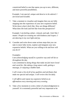constricted belief to one that opens you up to new, different, and more powerful possibilities.

Example: *I am special, unique and deserve to be adored. I am loved and loveable.* 

7. Take a moment to visualize and imagine that you are fully stepping into the experience of your new expansive belief. Write down what it *feels* like. How are things different? What does life look and feel like from this perspective?

Example: *I am feeling calmer, relaxed, and safe. I feel like I matter. People are treating me with kindness and respect. I am dancing in my own light and joy.*

8. Consider and write down some actions steps that you can take to more fully invite, explore and integrate your new expansive beliefs. What are you willing to do and how will you do it?

Examples:

*I am acknowledging myself in a positive way and will do so throughout the day.*

I *am committed to doing things that make me feel more loved and cared for, like taking a long nature walk, getting a massage, or enjoying a bubble bath.*

*I will create a list of all of my qualities and attributes that make me special and unique. I will review this list daily.*

*I will affirm and repeat my expansive belief as an affirmation every morning and every evening.*

9. Take a few moments to write a letter of acknowledgement to yourself. It is extremely powerful and very important to be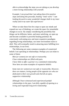able to acknowledge the steps you are taking as you develop a more loving relationship with yourself.

Example: *I am proud that I am taking these first positive steps and doing this powerful, healing "inner work." I am looking forward to some wonderful changes both in my inner reality and in my outer life experiences!*

When we take these first few steps to open our minds and expand our way of thinking, we create the space for remarkable changes to occur. By simply considering the *possibility* that things can be different, better, and more satisfying, we open up and become available to powerful healing potential. By consciously welcoming new and more expansive paradigms regarding loving relationships, our inner environment starts to shift. This will eventually result in attracting more fulfilling love relationships, in our lives.

The following are some common examples of constricted beliefs I see operating in relationships. Perhaps you can relate to some of them:

*Men (or women) are not safe or trustworthy. Close relationships are filled with pain. I have little to offer a partner in a committed relationship.*  Now here are some examples of expansive beliefs:

*Some men (or women) are not safe or trustworthy. However, there are mature, loving people of the opposite sex who are dedicated to their own growth and cherish an open, supportive relationship.*

*Although I have witnessed and experienced painful relationships in the past, I am fully capable of opening to a loving and respectful long-term relationship.*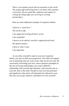*There is not another person like me anywhere in the world. The unique gifts and loving heart I can share with a partner is priceless. (If you would like, elaborate and capture in writing the unique gifts you can bring to a loving partnership.)*

Here are some additional examples of expansive beliefs:

*I deserve a "great love." The world is safe. I am supported in being all that I can be. I am wonderful! I deserve to be adored, cared for, supported and loved. My opinion matters. I deserve what I want. I am important.*

As you allow yourself to open to your new expansive beliefs, you start to shift your perspective. This shift will support you in attracting what you want verses what you do not want. By consciously welcoming your new, more expansive paradigms in the area of loving relationships, you create a different relationship with yourself and, therefore, with everyone else in your life. Here is the truth: The gift of your love has profound and significant value and it will *absolutely* be reflected in your life once you accept, embrace, and believe in it for yourself!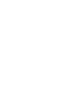<span id="page-28-0"></span>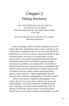## *Chapter 2 Taking Inventory*

*Your vision will become clear only when you can look into your own heart Who looks outside dreams, who looks inside awakens. ~ Carl Jung*

*If you have 100 tears to cry, 98 will not be enough. ~ Marianne Williamson*

Basic psychology teaches us that the foundation of what we believe about life, relationships, money, power, and the way the world works is established while we are very young. Beliefs are handed down to us from our parents, which were handed to them from their parents, and so on. As we grow older, we react unconsciously to this intellectual programming and emotional childhood wounds that occurred before cognitive thought or reasoning was available to our young minds. Core beliefs are formed from this unaware state and we start to energetically and unconsciously create life experiences. Eventually, patterns start to emerge. We do not usually consider questioning habits, patterns, belief systems, or "tribal programming" until life becomes really confusing, unmanageable, or extremely painful.

When my life became completely unmanageable, I was ready to give up. It was clear that I could not rely on my own understanding. I was ready to admit that I needed some big help—I got down on my knees and surrendered to God. As humans, we have free will and choice. God will not inflict Himself upon us. He is there to support us and guide us, but first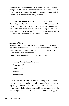we must extend an invitation. I lit a candle and performed my own personal "inviting God in" ceremony. My prayers were no longer by rote; it was time for authentic communication with the Divine. My prayer went something like this:

 *Dear God, I am so confused and I am hurting so badly. Please help me. I can't figure anything out and I need your help. Please guide me, direct me, lead me to where you would have me go. My heart is broken and I feel so alone. I just want to be happy, I want to be of service, but I don't know what that means or what to do. I surrender to You. Thy will be done.* 

#### **Looking Within**

As I proceeded to cultivate my relationship with Spirit, I also looked honestly at myself and the patterns in my life. I identified painful and distinct reoccurring themes in my relationships. Some of these patterns included: Working hard for approval, but never receiving it

Jumping through hoops for crumbs Being objectified Lying and deceit Betrayal Abandonment

In retrospect, I can see exactly why I ended up in relationships that were bad for me and why I had such negative experiences. My thoughts, my feelings, as well as my conscious and unconscious beliefs had created them! On a very deep level I did not like myself or think that I had value. I believed that approval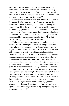and acceptance was something to be earned or worked hard for, but never really attainable. I realize now that I was chasing situations, experiences, objects, and people in order to avoid myself, rather than *embracing* the experience of being me. I was trying desperately to run away from myself.

Relationships can either distract us from ourselves or help us to look more deeply within ourselves. People who do not like themselves may resist looking within for fear of finding the worst. When this is the case, we will more than likely want a relationship (experiences, hobbies, or habits) that will distract us from ourselves. Once we start on our healing path and begin to look within, there may well be a period of digging through the uncomfortable "worms, bats, and stinky stuff." All of that "stuff," is simply hurt that needs to be healed.

Facing our unpleasant past experiences and reclaiming disowned aspects of our personalities can bring us face-to face with vulnerability, pain, and our own imperfections. Healing requires us to be honest with ourselves and to examine our dark side—the part of us that we would prefer to keep hidden. However, if we continue to deny the existence of our dark side, then painful dramas and the patterns of failed relationships are likely to repeat themselves in our lives. It is by grappling with our darkness that it can be brought into the light and pain can be transformed into understanding. In this way, suffering can be a powerful catalyst and used as a springboard to self-awareness.

When we consciously claim what we want in life, we are setting an intention. For example, if your intention is to heal, you will potentially have the opportunity to move beyond the alarming contents of your personal Pandora's box, to a place of beauty and wholeness. After all, our very essence is beauty, love, and joy. If you knew that there was a huge, beautiful diamond at the bottom of your Pandora's Box, wouldn't you agree it would be worth your effort to dig through the ugly chaos to get to your diamond?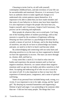Choosing to invite God in, sit still with yourself, contemplate childhood hurts, and take inventory of your life can be uncomfortable and emotional. However, it is necessary if you have an authentic desire to make significant changes or to understand why certain patterns repeat themselves. It is important to be able to admit that you have made mistakes and that some of your behavior or choices may have been imperfect. It is also important to forgive the people who have hurt you, forgive yourself, and, if necessary, forgive God if necessary. The process can be confusing and unpleasant.

Most people do whatever they can to avoid pain. Carl Jung, one of the founding fathers of modern psychology, told us that neurosis is caused by the avoidance of legitimate suffering. Denying our flaws and fears is a psychological division that is actually a means of survival. In therapy, and in the deep healing of ourselves, not only do we have to acknowledge our trauma and pain, we need to re-feel it to heal it and become whole.

By acknowledging and connecting with our early hurts and allowing ourselves to cry the tears we have suppressed or denied we have the opportunity to recover. The tears can move through us, cleanse, shift, and heal us.

It may seem like a catch-22. It is hard to relax into our bodies and experience the present moment until we heal our negative emotions. However, we cannot release these negative emotions until we get into our bodies and allow ourselves to feel them. Accepting and embracing *all* of who we are is crucial to our sense of self. It is also important so that we may have the experience of internal peace, congruence, and a sense of spiritual well being.

Some of my personal fears included being weak, wrong, or a victim. It was important to me to be right, strong, and the "good girl." By denying my essential humanness and suppressing a lifetime of grief and anger, I was pretending to be someone other than me—I did not fool many people. The things that I was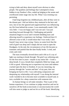trying to hide and deny about myself were obvious to other people. The qualities and feelings that I attempted to keep hidden in my Pandora's Box, ended up bulging at the seams and overflowed center stage into my life. What I was resisting was persisting.

I had long forgotten my childhood pain, after all they were in the distant past. I did not believe they mattered in the here and now, but in fact the ignored and suppressed hurt was influencing my life from behind the scenes. I was emotionally numb. I felt very little—I was not happy and I was not sad. I was just marching forward through life. Challenging and painful situations began to occur and I resisted shedding tears and allowing myself to experience my feelings. I believed that if I allowed a tear to fall, it would mean that I was weak; I also feared I may never stop crying. I knew on some level that the well of grief was deep and I simply did not want to open the floodgates. In the end, the circumstances of my life became so traumatic and painful that the dam finally broke. I cried, and cried, and cried.

The tears eventually slowed down and it felt as if a ray of light was starting to break through. The grief was softening and, for the first time in years—maybe in my entire life—I took a deep breath. It was a breath that completely filled my lungs, and it felt so good. Allowing me to experience my tears and sadness cracked open the door to freedom. It was my mourning, my journey through the "worms and bats" of my past, that was bringing me back to life. I was cultivating compassion and deepening my relationship with myself. I was doing the internal work I needed to do to become more available to myself and, in turn, available for a deep connection with someone else.

As human beings we all make mistakes. That is part of the human experience. If we continue to judge ourselves and not let ourselves off the hook (consciously or unconsciously) the world will also seem to judge us and not let us off the hook. Identifying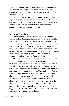some of the judgments and deep-seated beliefs, reframing them, and then remembering the truth about ourselves, can be extremely powerful. It can change the way we think and feel about who we are.

The truth is that we are spiritual beings having a human experience and we are perfect in our imperfection. We are not our bodies, minds, thoughts, or behavior—we are our souls. We are here to grow in our capacity to love and experience compassion, and it all starts with ourselves.

#### **Accepting Ourselves**

Committing to our personal healing is about seeking, finding, and celebrating our humanness. When we arrive at the place of accepting ourselves, "warts and all," we relax into a more loving relationship with ourselves. When we reside in the place of peace, contentment, happiness, and wholeness within, this naturally draws to us great love. Happiness and wholeness are magnetic, they attract like-mindedness. Where we are within ourselves will inevitably determine who we attract in a relationship and the quality of that relationship.

When we clear out limiting or negative beliefs, we become more fully aligned with Spirit. Once we are in a loving relationship with ourselves and Spirit, the universe becomes a joy-filled place. When we release our fear and pain, love is what's left. From this place of connection and alignment there is constant communication with the world around us. But first, we have to be honest with ourselves. We have to dig in, identify, allow, and release our hurt. We need to remove the blocks that prevent the flow of love and abundance into our lives. It is almost as if we have to become the compassionate and loving keeper of our bodies, minds, and spirits. Once we have accomplished this, we naturally experience synchronicity, support, and ease. This is when we are truly ready for a sacred partnership with another human being.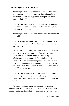#### **Exercise: Questions to Consider**

1. What did you learn about the nature of relationships from witnessing the important people and their relationships around you as a child (i.e.; parents, grandparents, close friends, relatives)?

Example: *There was a lot of fighting, everyone was angry and unhappy. I learned that relationships are not safe and filled with pain and anger.*

2. What did you learn about yourself and your value and worth as a child?

Example: *I felt I was a nuisance, a burden, and that I was constantly in the way. I felt like I should not be there and I was a mistake.* 

- 3. Now consider and identify any common themes or patterns you experience in your romantic relationships. Example: *There is usually a lot of fighting and pain in my relationships and I am often lied to and abandoned.*
- 4. Notice if there are any common patterns or themes in your present day relationships that could be reflections of what you learned as a child about relationships and your value in them. If so what are they?

Example: *There are patterns of frustration, unhappiness, anger, and feeling unsafe in my relationships. I can also identify patterns of not feeling very important or having no value.* 

We create beliefs as young children and patterns start to emerge from that unconscious mindset. It can be beneficial to identify and understand what we learned when we were young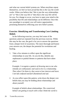and what our current belief systems are. When storylines repeat themselves, we feel we have *proof* that this is the way the world works. When you believe that "this is just the way relationships are" or "this is the way life is" then that is the way life will be for you. For change to occur, you have to open your mind to the possibility that life and relationships can be different. Once this new paradigm is accepted, you will notice opportunities presenting themselves reflecting your new belief systems.

# **Exercise: Identifying and Transforming Core Limiting Beliefs**

In the following exercise, you may feel some of the questions asked are repeated from the previous exercise. While this may be the case, the goal is for you to answer the questions from a deeper level of awareness. The more thorough and honest your answers are, the deeper the potential for revelations and healing.

1. Take a few minutes to reflect upon the significant relationships in your life. As you do this, identify any unpleasant or painful themes or patterns that have taken place.

Example: *I recognize a pattern of drawing men to me who initially are enthusiastic and want to be in a relationship. Then when I let them in, they seem to lose interest and leave. I am left confused and feel abandoned and sad.*

2. As you reflect upon this pattern, write down the deeper core beliefs that you may be holding about relationships and about yourself.

Example of beliefs about relationships: *The constricted belief I am getting in touch with is that I think the world is* 

### 26 TAMMI BALISZEWSKI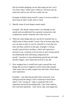*full of invisible dangling carrots that tempt me but I can't ever have what I really want. I believe I will never get my needs met and no one will ever really love me*

Example of beliefs about myself: *I guess I am not worthy or deserving of what I really want or need.*

3. Identify some of your deeper unmet needs.

Example: *The deeper unmet needs I can identify are for steady and unconditional love, genuine reassurance and compassion, and for someone who truly loves me*

- 4. What are some things that you can do for yourself now to fulfill some of these needs? Create a list of actions steps that you can start to take to care for yourself in a way that you have not been cared for in the past. Example: *I will get myself a special heart necklace, which will represent a promise to me. I promise to do my best to start loving myself unconditionally and cultivating compassion for myself. I promise to stop abandoning myself and will make myself a bigger, more important priority in my life.*
- 5 Now imagine how it would feel to give yourself the very things that you have longed to receive from other people. Take some time to really explore how this feels. Write down your experience.

Example: *I am allowing myself to feel reassured. I am telling myself the things I wish I would have heard from others. I am "trying on" what it would feel like to be important and loved unconditionally. I feel some sadness, but I also feel optimistic. I feel warm, safe, and supported.*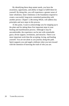By identifying these deep unmet needs, you have the awareness, opportunity, and ability to begin to fulfill them for yourself. By doing this, you will experience a greater sense of inner wholeness. Inner wholeness is the foundation required to create a successful, long-term committed partnership with another person. *Chapter 3, Becoming Whole,* will address key principles and next steps in this process.

At this point, I want to acknowledge you for stepping up to the plate and for taking these first important steps in your healing and manifestation process. Although it may be uncomfortable, the experience can be met with remarkable grace, divine support, revelations, and miracles. There is no more important work than the accepting, loving, and healing yourself. You are not alone as you journey along this path. Spirit supports you and angels celebrate when you turn inward with the intention of knowing the truth of who you are.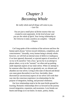# *Chapter 3 Becoming Whole*

*Be really whole and all things will come to you. ~ Lao-Tzu*

*You are just a small piece of divine essence that was created to exist separately. At the level of your soul you are the whole of Spirit. Your loving relationship to the Universe is total, seamless an complete. ~ Deepak Chopra*

Carl Jung spoke of the evolution of the universe and how the human spirit always "strives toward wholeness, completion, and consciousness." Inwardly, every human being is already whole; however, we will feel an internal sense of deficit or inadequacy if we have ignored, disowned, or rejected aspects of ourselves. If we try to fit ourselves "into a box," go too far in an attempt to please others, or try to be "normal," we often end up pushing aside important aspects of our inner selves. When we attempt to be someone other than who we genuinely are, we alienate and abandon our true selves. Living in this state of discord and denial can cause great discomfort in our lives. Inevitably, these disowned (or unconscious) aspects of our selves will work their way into the conscious experience via relationships for the purpose of integration, healing, and personal wholeness.

Our love relationships tend to be the most fertile ground for learning. Romantic relationships drive us forward on the journey toward integration, expansion, and awareness. Love breaks our hearts and brings us to our knees. In music, poetry, books,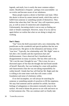legends, and myth, love is easily the most common subject matter. Heartbreak is frequent—perhaps even unavoidable—as we evolve and become aware of our wholeness.

Many people express a desire to find their soul mate. Often this desire is driven by unmet internal needs, which they seek to fulfill from someone or something outside of themselves. They believe that when they find "the one" they will experience peace, joy, as well as sense of connection and completeness. Unfortunately, becoming whole is not as easy as finding our male or female counterpart. However, many of us try and try again before we realize that what we are doing is simply not working.

### **Sue's Story**

"Sue" loves the thrill associated with a new relationship. She pontificates on the wonderful and special qualities that her new man possesses. She glows in the infatuation and fantasy of her "true love." Typically, her relationship with "Mr. Right" starts to fail after a few months and she experiences hurt and disillusionment. I have observed Sue's heartbreak and disappointment on many occasions. She has often said to me, "He's not the man I thought he was." This is true; he was a disowned aspect of Sue that she thought she had found outside of herself. Basically, Sue was looking for a man with qualities and characteristics that she was not taking responsibility for within herself. I doubt that Sue will find her Mr. Right until she is willing to do some inner work that will create a solid foundation and sense of wholeness within.

If we feel incomplete, we will always be searching for someone or something outside of ourselves to fill the emptiness. We may find someone and be satisfied for awhile, but those feelings of unhappiness or discontent eventually return to the surface. We tend to blame the person we are with and move on to find someone else. This can continue until we finally take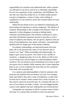responsibility for ourselves and understand that, while a partner can add spice to our lives, each of us is ultimately responsible for our own experience of joy, satisfaction, and fulfillment. No one else can create this reality for us. To think another person can give us happiness, a sense of value, and a feeling of completion is to set ourselves up for the eventual failure of every relationship.

While the first blush of love can indeed be exhilarating and intoxicating, the experience is always temporary. The illusion of romantic relationships is like a mirage in the distance. Once we approach, it often disappears, leaving us feeling lonely, confused, and disillusioned. The romantic connection is such a powerful and desired experience because it provides us with a sense of euphoria and oneness. We are given a reprieve from our sense of incompleteness, fear, desire, and need—uncomfortable qualities that are simply part of the human condition.

In romantic relationships, our beloved becomes the focal point. He or she becomes the center of our universe and, in essence, our "god." Often unwittingly and unknowingly, we begin to give away our power. Our center is now outside of ourselves—a dangerous place for it to be. When we fall in love we are swept away and no longer on a solid foundation within ourselves. We set ourselves up for heartbreak every time we give our power over to another, think someone else is more important than we are, or love someone else more than we love ourselves. False idols will eventually fall.

It is common and understandable to look for someone who possesses the qualities that you believe you lack. For example, some men believe they lack a sense of tenderness, so they look for that trait in women. Some women lack a sense of power, so they tend to search for powerful men. In a situation like this, it's not as if two halves can make a whole—two one-legged people cannot come together and start walking like one normal person!

I frequently see situations in which a woman wants to find a rich man. If a woman does not believe in her own personal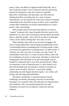power, value, and ability to support herself financially, she is more inclined to make a man's financial status her top priority. Instead of looking for a man she is drawn to mentally, physically, emotionally, and spiritually, she often ends up limiting herself by searching only for a man of means. Alternatively, it is not unusual for some men to desire a romantic relationship with a beautiful woman. In these cases, a beautiful woman often symbolizes an external representation of a man's power, value, and prestige.

Often people tend to be on their best behavior in order to "capture" someone with a special quality that they seem to lack themselves. It is this sense of having an internal deficit that leads them to objectify people—they will size up others to determine if they can be useful in filling their own sense of void.

Other dynamics that often occur are power struggles, the sense of being objectified, and not being unconditionally loved. A relationship based on something that is lacking inside is often an unconscious agreement to exchange power. In other words, "I will give you what you *want,* if you give me what I *need*." In relationships where there is a sense of need or deficit, there will be an imbalance of power at some point. Attempts at control and manipulation will eventually occur and some people may be tempted to temporarily give away their personal power. When we experience a lack of internal power it is only natural to try and control people and circumstances outside of ourselves to create a sense of safety. However, a successful, healthy relationship can only happen between equals—two whole, selfloving, and self-respecting individuals.

The path to wholeness is a personal journey inward, modifying core beliefs, becoming conscious of and finally learning to love yourself. Only from this place of internal power and wholeness will a sacred partnership have the solid foundation necessary for an authentic connection and true intimacy.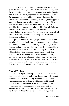For most of my life I believed that I needed to be with a powerful man. I thought I would make him feel like a king, and he would make me feel like a princess in return. I also thought that if I was with a rich, important, and powerful man, I would be important and powerful by association. This worked for awhile until I noticed that I was being catered to, then stepped on and kicked to the side so others could get to this man! What I was not consciously aware of at that time was that I was searching for my identity and value outside of myself. I also was not aware that I had the potential—and ultimately the responsibility—to make myself the princess in my own reality. I needed to cultivate my own internal experience of worth, importance, and power.

I spent most of my life trying to prove my worthiness and earn love. I thought that if I was pretty enough, nice enough, and thin enough, then maybe someone might come along that could love me and make me feel like I had value. This was not highly effective. I did indeed manifest men, but they were men who objectified me—this happened because I was objectifying myself. I felt like an empty box that was wrapped in pretty ribbons and bows, but ultimately had no value. I did not believe my love was a gift, so men reflected that belief back to me over and over again. In truth I was trying to create and experience love from the outside in rather than from the inside out.

### **Painful Endings**

There was a great deal of pain at the end of my relationships. It took me a long time to understand that the pain I felt was not really caused by the relationship. Relationships are simply a catalyst, or doorway, that draws out the pain that is already inside. When the dissolution of the relationship with Bob occurred, it felt agonizing, confounding, horrifying, and debilitating. However, the pain I experienced at the end of the relationship had been buried inside of me all along. That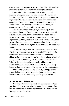experience simply aggravated my wounds and brought up all of the suppressed emotion I had been carrying for a lifetime.

Codependent relationships (as well as all addictions) progress to the point where our pain becomes debilitating. In Zen teachings there is a belief that spiritual growth involves the experience of a red hot coal in our throat that we can neither cough up nor swallow. This means we have to surrender and accept *what is*—we no longer have the option, ability, or opportunity to run from ourselves or our pain.

From the perspective of the soul, our most significant problems and most profound hurts are also our most powerful healing opportunities. As we journey forward on the path to greater consciousness, we often encounter events, people, or experiences that bring up hurt in such a way we think we cannot go on. These are opportunities for personal evolution, to invite Spirit in, to become more aligned, more authentic, and ultimately whole.

Thornton Wilder, a three time Pulitzer Prize winner wrote: "Without your wounds where would you be? The very angels themselves cannot persuade the wretched and blundering children of earth as can one human being broken in the wheels of living. In love's service only the wounded soldiers can serve." When we heal, we do not heal alone. By taking personal responsibility for our wholeness not only do we find our way home, we become a beacon of light and show the way to others.

When we heal, we do not heal alone. By taking personal responsibility for our wholeness not only do we find our way home, we become a beacon of light and a guide to others.

## **Accepting Your Wholeness**

Becoming whole first requires the awareness that perhaps you do not believe you are already whole. Some qualities that indicate opportunities for healing in the area of wholeness are: Having a sense of loneliness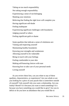Taking on too much responsibility Not taking enough responsibility Experiencing a sense of not belonging Masking your emotions Believing that finding the right lover will complete you Having significant self-doubt Feeling inadequate Experiencing significant challenges with boundaries Judging yourself or others Feeling significant guilt or shame

Some qualities that indicate a sense of wholeness are: Valuing and respecting yourself Maintaining healthy boundaries Knowing your strengths and weaknesses Allowing yourself to be vulnerable Being in touch with your feelings Feeling comfortable in your skin Making self-honoring choices with ease Knowing how to take care of your personal needs Loving yourself

As you review these lists, can you relate to any of these qualities, characteristics, or experiences? Are you whole or are you looking for a piece of your puzzle that is somewhere outside of yourself? Ask yourself why you want a relationship. Are you lonely? Bored? Is it because you want or need something? Is it because you have something you would like to give? Are you in deficit or do you have an abundance that you would like to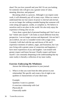share? Do you love yourself and your life? Or are you looking for someone who will give you a greater sense of value, meaning, direction, and purpose?

Becoming whole is a process. Although it can require some work, it will ultimately pay off in many ways. When we come to understand that our true source of power is *internal* and *eternal,*  we are no longer the walking wounded hoping that someone will come along and appease, soothe, or complete us. We believe in ourselves and in our place in the world. We also truly enjoy the experience of being who we are.

I have done a great deal of personal healing and I feel I am at last "whole unto myself." Life looks so much different from this perspective. I am no longer anxious and depressed. I do not feel I am in deficit, nor am I a wounded victim with a tragic story. Certainly I still deal with the ups and downs of life and I experience moments of sadness, anger, and frustration, but I am now living with a greater sense of connection and happiness. I have more experiences of joy and laughter. I am treated with greater respect and honor because I finally respect and honor myself. I am constantly deepening in the understanding that my outer reality is literally a reflection of my inner reality.

### **Exercise: Embracing My Wholeness**

Answer the following questions in your journal:

1. What is it that you want from the other person in your relationship? Be specific and create a list of eight to ten qualities or characteristics of your ideal mate.

Example: Qualities I want in a partner: *A conscious relationship with God Physically fit Financially stable*

#### 36 TAMMI BALISZEWSKI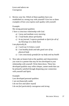*Loves and adores me Courageous* 

2. Review your list. Which of these qualities have you established in a strong way with yourself? Give two or three examples of how you express each quality with yourself.

Example:

My strong personal qualities:

*I have a conscious relationship with God.* 

- *a) I pray and meditate every morning*
- *b) I read books about spirituality*
- *c) In my journal, I express gratitude to Spirit for all of my blessings on a daily basis*

*I am physically fit.* 

- *a) I work out 3-4 times a week*
- *b) I eat healthy foods and take good care of my physical body*
- *c) I am consciously grateful for my body and my health*
- 3. Now take an honest look at the qualities and characteristics you want in a partner that may be less developed in your relationship with yourself. Write them down. These less developed qualities may reflect deeper, unmet needs that can be primarily satisfied through deepening your connection with yourself and Spirit.

Example:

Less developed personal qualities: *I am not financially stable I do not love and adore myself I do not feel particularly courageous and strong*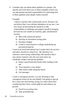4. Consider why you desire these qualities in a partner. Get specific and write down two or three examples of how you can take greater personal responsibility for cultivating each of these qualities more deeply within yourself.

# Example:

*I desire a partner that is financially secure, because I do not believe that I can cultivate abundance on my own. I am now aware of and setting the intention to take responsibility to challenge and support myself in bringing forward my own wealth of creativity, gifts, and financial security.* 

- *a) Meet with a financial adviser*
- *b) Develop an investment savings plan*
- *c) Develop a budget*
- *d) Create a vision board or collage symbolizing my personal prosperity*

*I want to be loved and adored, but I realize that I do not love and adore myself on a deep level. My intention is to cultivate a more loving relationship with myself so that I may attract someone who also sees and values my wonderful, unique, and special qualities.* 

- *a) Enjoy a good book (this book) while soaking in the tub*
- *b) Treat myself to a nice dinner*
- *c) Take sunset walks along the beach*
- *d) Get massages*

*I want a courageous partner, so I am choosing to take courageous action on my own behalf. I am going to sign up for a class (art, kick boxing, acting, etc.) that I have been considering that I know would uplift me and enhance my growth.*

- *a) Enroll in an acting class*
- *b) Take up kickboxing*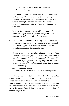- *c) Join Toastmasters (public speaking club)*
- *d) Join a dating service*
- 5. Take a few moments to imagine how accomplishing these goals will feel. How does it feel to stand more fully in your own power? Write down your experience. By visualizing, writing, and implementing your action steps you are powerfully cultivating, acknowledging, and claiming your wholeness.

Example: *I feel very proud of myself! I feel powerful and empowered. I feel optimistic, strong, and joyful! I am getting excited about my life and about being me!*

6. Finally, take a few moments to close your eyes, center your awareness in your heart, and ask yourself, "What else can I do that will support me in becoming more whole?" Write down the information that comes to you.

Example:

*Engage in an ongoing counseling relationship Make a list of activities that bring me joy and that are deeply nourishing as part of my ongoing "courtship" with myself (Perhaps add this section to your journal) Treat my body with the utmost respect and care with nourishing foods and a fitness routine that I would enjoy Start a meditation practice*

*Treat myself to a movie that I have been wanting to see* 

Although you may not always feel like it, each one of us has a direct connection to Spirit. It is important to become consciously aware that *you are whole and complete!*  Understanding, cultivating, and owning your wholeness is a vital step on your journey to a deep sense of personal fulfillment. This is also the catalyst that will draw to you a sacred partnership and the love of your life.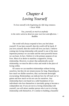# *Chapter 4 Loving Yourself*

*To love oneself is the beginning of a life long romance. ~ Oscar Wilde*

*You, yourself, as much as anybody in the entire universe deserves your own love and affection. ~ Buddha*

The world will always respond to how you feel about yourself. If you hate yourself, then the world will be harsh. If you love yourself, then the world will love you back. I believe coming into loving relationship with oneself is one of the most important journeys we can make and the most powerful lesson we can learn. In fact, I believe it is the primary purpose of our lives. Most of us desire to manifest a supportive, loving relationship. However, to attract that authentically sacred relationship, we must be able to relax and reside in the place of loving within.

Of course we can manifest relationships without loving ourselves, but they do not remain joyous for long. Depending on how much we dislike ourselves, they can become downright excruciating. Relationships can indicate how far off track we've gotten and how much we do not care for ourselves. Any relationship that is not based on a solid foundation of two individuals who love themselves is inevitably going to become a codependent one. If you are not in a loving relationship with yourself, you will attract another person who is not in a loving relationship with themselves. It's similar to building a beautiful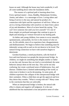house on sand. Although the house may look wonderful, it will all come tumbling down when the foundation shifts.

The essence of a spiritual path is learning about love. Every spiritual master—Jesus, Buddha, Muhammad, Krishna, Amma, and others—is a messenger of love. Loving others and being of service is the easy and natural by-product of a connection with Spirit and the experience of self-love. When we are in a loving relationship with ourselves we share from a place of joy and abundance. Most of us have heard the saying, "You can't love someone else until you love yourself." It's one of those simple yet profound messages that continue to grow in depth and meaning as I venture forward on my healing path.

As babies and young children, love seems to occur naturally, spontaneously, and joyfully, for love is the essence of who we are. As life unfolds, most of us experience hurt, disappointment, and disillusionment. We begin to believe that something must be inherently wrong with us and we do not deserve to be loved. The natural loving connection we have with ourselves begins to deteriorate.

Gershen Kaufman, a noted psychiatrist, calls the bond of love and trust between two people the *interpersonal bridge.* As children, we might do something that delights mother or father on one day and, because they are tired or overwhelmed, the same behavior annoys them on the next day. This can be not only confusing, but create a profound sense of helplessness, fear, and distrust. Children have a limited understanding of the world, so when trust is broken it can be devastating. At some point, all children experience the collapse of this interpersonal bridge with their caretakers. When a child does not get the approval and love they desire they wonder, "What is wrong with me?" Many come to the conclusion that they are unlovable.

When an interpersonal bridge is broken, the natural side effect is shame and negative self judgment. It is the rare adulthood that has maintained a true and positive sense of value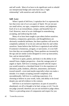and self worth. Most of us have to do significant work to rebuild our interpersonal bridge and come back into a "right relationship" with ourselves and with the world.

## **Self- Love**

When I speak of Self-love, I capitalize the S to represent the fact that every one of us is an aspect of Spirit. We are not just our small selves, our egos, competitive nature, and judgments. Each of us is an extraordinary, unique, and beautiful face of God. However, most of us are challenged in remembering, accepting, and embracing this truth.

Many of us have been taught to put others before ourselves. Kindness, compassion, generosity, and thoughtfulness are obviously wonderful attributes, but these qualities will never be completely authentic if we do not cultivate them for and within ourselves. Some believe that Self-love is egotistical and selfish. If someone is boisterous, arrogant, or narcissistic, it is not Selflove that they are exemplifying. Those qualities are invented by the ego and are smoke screen designed to cover up insecurities, fear, and an internal deficit.

Self-love is quiet, patient, and kind; it is the ability to see oneself from a higher perspective—from the vantage point of angels or Spirit. Self-love is treating yourself with the respect you would extend to a cherished friend. It is the experience of adoration, pride, kindness, affection, amusement, and humor toward oneself—even (and maybe especially) when you make a mistake. It is simply accepting yourself completely and unconditionally. Self-love is a unifying experience. It is choosing to believe in your worth, value, and ability to be loved despite any and all evidence to the contrary.

Self-love is an inclusive experience; no part of yourself is abandoned, cut off or thought to be bad, wrong, or evil. You do not judge yourself; therefore you are not inclined to judge others. There is a prevailing sense of compassion and respect for you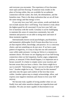and everyone you encounter. The experience of love becomes more open and free-flowing. If someone truly resides in the place of loving within, they are available for an authentic connection with the waiter, the clerk, the telemarketer, and the homeless man. There is the deep realization that we are all from the same energy and that energy is love.

If you truly love your Self, your actions, words and deeds do not exclude anyone else's well-being. Your interest is truly about the highest good for all concerned. If you love your Self, you live in harmony with the world. Certainly it can be challenging to maintain this sense of connection consistently, but with intention and practice we are able to string more and more of these moments together.

Internationally known social psychologist, psychoanalyst, and humanistic philosopher Erich Fromm describes love as an art that requires effort, knowledge, and practice. It is a conscious choice, and not something we do just once. If we have a past pattern of negativity, it is easy to slip into our old constricted ways while under pressure. Loving our Selves is a moment-tomoment choice. We know we are slipping out of our Self-loving connection when we feel impatient, fearful, angry, judgmental, jealous, or annoyed. If this should happen, it is important not to berate yourself. It is better to simply notice your reaction and become aware that you have a choice. One choice might be to say to yourself, "Interesting, I guess I am not in the place of Self love." Another might be to say, "Thank you for this moment" and relax into the space and comfort of the love that exists within. Another option may to simply acknowledge, allow, and express your negative emotions and choose to love your Self anyway.

We become truly capable of loving another when we can finally love and value ourselves despite our imperfections and mistakes. We also are more capable of discernment in our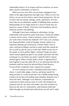relationship choices. If we respect and love ourselves, we never allow anyone to disrespect or abuse us.

When you love your Self, you are better equipped to love others in the right proportions and right ways. When we love our Selves, we see our lives from a much clearer perspective. We are in touch with our moods, feelings, needs, and desires. We also know that we are ultimately capable of fulfilling them ourselves. Relationships are no longer based on a sense of need; they are based on a sense of desire. They have clear boundaries and are balanced, positive and uplifting.

Although I have been working on cultivating a loving relationship with myself for quite some time, it seems the subject is always up for review. I had an intensive course in Self-love one week when I backed my husband's SUV into a car causing a few thousand dollars worth of damage, missed a plane to an important meeting, got stood up by a friend I hadn't seen in years, and had an allergic reaction to some food that caused my face to puff up and my eyes to swell shut. While on my way to the airport to catch another flight, I realized I forgot my purse, which caused significant grief to my mother and sister who had to help get it to me before my plane's takeoff (which I almost missed again). When I finally made it home, it appeared that I had forgotten to pay the cable bill so it was disconnected and my husband could not watch his beloved Boise State Broncos. To top off this wonderful week, I gained five pounds!

As every mishap occurred, I reminded myself that I had a choice. I could either judge, criticize, and berate myself for being an idiot or I could accept that I am a fallible human being trying to do my best and making some mistakes along the way. I chose the latter. Although it was difficult, I maintained my connection to Spirit and my sense of worth. My husband was annoyed with me, my sister and mother were also irritated, my head was the size of a watermelon, some business deals had fallen through, my friends had totally blown me off, and I could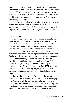not fit into my jeans. Despite all the evidence to the contrary, I chose to believe that God loves me, cherishes me and even finds me adorable and amusing. I consciously and consistently saw the fork in the road with every difficult situation, and I chose to take the high road by maintaining my connection to Spirit and to continuing to love myself.

Pain, fear, and loneliness occur when we negatively judge or withdraw our approval from ourselves. If you can love and accept yourself despite life's difficult circumstances, you will experience a greater sense of freedom, connection, and peace.

## **Lynn's Story**

I was recently visiting Lynn, a wonderful friend. She was in great distress. The relationship with her boyfriend, Scott, had been challenging for the last couple of years and was getting much worse. Lynn was feeling very confused, frustrated, disrespected, and unloved. She asked me what I thought she should do. I told her it seemed she was looking for her validation, acceptance, and the experience of love to come from her boyfriend. She said, "That's what boyfriends are supposed to do." I told her I thought perhaps she could consider the possibility of validating, accepting, and loving herself. Her response was (which is quite common), "Ewww gross! I don't want to do that! It's easier for me to love Scott!" My response was, "And how is that working for you, Miss Lynn? How is anybody going to see your value if you don't believe you have any?"

Have you heard the saying, "treat others the way that you want to be treated?" I would like to expand on that philosophy with "treat yourself the way you want other people to treat you." Remember, our relationships are our mirrors. How can a person who has an internal environment of disgust, disapproval, and general disregard for himself expect a reflection of respect,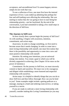acceptance, and unconditional love? It cannot happen; mirrors simply do not work that way.

To see a reflection of love, one must first have the internal experience of love. Lynn ended up admitting that perhaps her fear and self-loathing were affecting the relationship. She was starting to realize that *she* was going to have to start being her relationship priority—not her boyfriend. By the end of the conversation, Lynn had committed to taking a few small steps in the direction of Self-love.

## **The Journey to Self-Love**

So how exactly does a person begin the journey of Self love? As with anything, it begins with awareness, intention, commitment, and action steps.

*Awareness.* In order to change something, we first need to become aware that it needs changing. In order to come into a more loving relationship with oneself, one must first realize that there is the possibility and opportunity to come into a new and more positive relationship with oneself.

*Intention.* By setting your intentions, you set universal energy into motion. You create a goal in which you will be divinely supported in achieving. (See Chapter 16 for more on the power of intention.)

*Commitment.* On the journey to Self-love, we must sincerely commit to Spirit and ourselves. We must vow to be courageous and diligent while establishing a more honored and respectful relationship with ourselves.

*Action steps.* It is helpful to identify things that you can do to show Self-love and then follow thorough. How can you be kind to you? Some examples might include a getting pedicure or a massage, staying in a hotel and ordering room service, or taking yourself to a movie.

If you are ready to cultivate a more loving relationship with yourself, consider making this Loving Commitment (or you may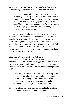create a personal vow using your own words). Either write it down and sign it, or say the following statement out loud:

*I, (your name), am ready to commit to a loving relationship with my Self. I am ready and willing to do whatever it takes to come into an aligned, sincere loving relationship with my Self. I am worthy and deserving of my love, respect, and unconditional positive regard. I now promise to love, honor, and cherish myself in joyful times and challenging times, now and always. (Sign your name)*

Once you make this loving commitment to yourself, you start to build a solid foundation within yourself. This creates an opening for new opportunities and experiences to present themselves in your life. As you cultivate new habits of supporting, trusting, and loving yourself, not only you will feel different, you will find the world starts to treat you differently. Because everything in the world is your mirror, the image in the mirror changes as you change.

# **Exercise: Tools to Cultivate Self-Love**

In your journal, write a love letter to yourself. As I mentioned in the introduction, writing your thoughts in a journal is a powerful way to anchor intentions, explore yourself, track changes, and to create a deeper sense of connection to Spirit and Self.

- 1. Create a chapter devoted to Self-love, with the first page of this chapter consisting of your personal commitment to yourself. The following are some additional examples, opportunities, and journal exercises to assist you in cultivating a more loving connection with yourself:
- 2. Set an intention to honor yourself and be kind and patient with yourself even when you make mistakes.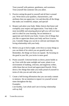Treat yourself with patience, gentleness, and sweetness. Treat yourself like someone who you adore.

- 3. Practice seeing the good in yourself and all that is around you. Write down your qualities, characteristics, and attributes that you appreciate. List and describe all the things that make you wonderful, unique, and special!
- 4. Respect and adore your body. Make choices that honor and exemplify your respect and appreciation. Your body is the most incredible and amazing physical gift you will ever have and it is ideal for your learning. Set an intention to appreciate and cherish your body. Create a list of things that you like or appreciate about your body and how it serves you. Consider things you can do to cultivate and deepen this loving relationship with your body.
- 5. Before you go to bed at night, write down as many things as you can think of for which you are grateful and why. Remember, the things we focus on expand. By focusing on the good in your life, you invite in more good.
- 6. Praise yourself. Criticism breaks us down; praise builds us up. Even with the same sunlight and water, plants in an environment of loathing, criticism, and negativity wither, while those that are loved and appreciated flourish. Write down a few things that make you really proud of yourself in terms of who you are and what you do.
- 7. Create a Self-loving affirmation that you can easily commit to memory. Set an intention to repeat it to yourself several times throughout the day.

Examples:

*I am healthy, I am whole and I am in loving relationship with my Self.*

### 48 TAMMI BALISZEWSKI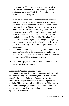*I am living a Self-honoring, Self-loving, joy-filled life. I am a unique, wonderful, divine expression of God and I am lighting up the world with the gift of my love. I love my Self and I love being me!*

In the creation of your Self-loving affirmation, you may want to start with a catch word (or two) that resonates for you and build your affirmation around it. I personally had deep-seated issues of insecurity so a catch word I used in some of my early affirmations was *confidence.* One affirmation I used was "I am confident, courageous, and creative and in a loving relationship with me." It can be beneficial to include *Self-love* in this affirmation. Even if you don't feel like what you are affirming is true, repeating it will eventually have a positive effect. The words have a power that can shift your focus, beliefs, perspective, and experiences.

- 9. Take a few moments to put this all together. Imagine what it would *feel* like to be in this more supportive and loving relationship with yourself. What does life *look* like from this new perspective? How are things different?
- 10. List action steps you can take *now* to show kindness, love, and appreciation for yourself.

## **Additional Keys for Loving My Self**

Choose to focus on the positive in situations and in yourself rather than the negative. Find the bright side of all situations. Consider the current challenging dynamics in your life and consider what the possible good is, or what the higher learning might be. This is an extremely valuable practice. This is how we stay connected to Spirit, remain open to financial abundance, receive healing, as well as create and maintain flow and synchronicity in our lives.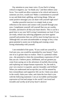Pay attention to your inner voice. If you find it is being critical or negative, say "no thank you," and then redirect your focus. You would not allow someone to be critical and mean to someone you love, would you? Make a commitment to yourself to say and think kind, uplifting, and loving things. What are some positive messages you can share with yourself right now?

Another powerful exercise is to simply look at your reflection in the mirror and connect with yourself through your eyes. Compliment yourself; tell yourself that you are worthy, loveable, and deserve all that your heart desires. This is can be a good time to say your Self-Loving Commitment out loud. If you are ready, release any unloving judgments you have against yourself and promise that you will be more loving from now on. Although this can seem uncomfortable or strange at first, it has great potential to assist you in healing and creating a more loving relationship with yourself.

I am reminded of the quote, "If you could see yourself as God sees you, you would be astonished by your beauty!" Each one of us is greater than we realize. There is a potential within you—the potential to claim the extraordinary expression of God that you are. I believe peace, fulfillment, and our greatest joy come from saying yes to the adventure of joyfully discovering and exploring our unique human expression. So, the truth is, *your very essence is exquisite, special, beautiful, and brilliant!*  When you understand and accept this you will be amazed by how extraordinary and supportive life can be. Claim your place in the world, claim your value, and claim the love that is you with the following statement: *I am an incredible and beautiful expression of God and unique in the world! I am loved and loveable and worthy of all of my heart's desires!*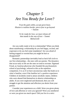# *Chapter 5 Are You Ready for Love?*

*Trust the gods within, accept given boon. Illusion is realities border, pierce fear to go beyond ~ Taoism*

> *To be ready for love, we must release all that stands in the way of love ~ Tammi Baliszewski*

Are you really ready to be in a relationship? When you think about manifesting a relationship do you feel happy, excited, and expectant or do you feel some trepidation? Are you afraid of feeling trapped or worried that you might be hurt or disappointed?

Romantic partnerships inevitably lead us back full circle to our first relationships—the ones with our parents. The dynamics that occur early in life are the ones we tend to recreate. Sigmund Freud, an Austrian physician who founded the psychoanalytic school of psychology, referred to this as the repetition compulsion. It is as if we have unconscious radar that leads us to what is familiar, even if the familiar isn't a positive experience. Children of alcoholics tend to attract alcoholic mates; children who were abused find themselves in abusive relationships as adults. If you were neglected and dismissed, then you will struggle to get the attention and affection you desire from your partner.

Consider your experiences as a child. Were you given plenty of love and affection or were you ignored? Were you smothered or were you given too much space? Did you live in a strict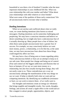household or was there a lot of freedom? Consider what the most important relationships in your childhood felt like. What was your relationship like with your mother and father? What about your relationships with other relatives or close friends? What were some of the qualities of those early connections? We all unconsciously tend to recreate what is familiar.

# **Dueling Intentions**

When we are unclear and conflicted about what we really want, we create dueling intentions (also known as mixed messages). Dueling intentions can be somewhat challenging and perplexing. We may have a conscious intention and believe we desire something, but we might also have a subconscious fear of it actually showing up. Many people have a fear of failure, but often those same people unconsciously have a greater fear of success. For example, we may consciously believe we want more money, power, a relationship, or to be thin but, at the same time, we may have unconscious fears about how these things could negatively affect our lives.

We may have a fear of being seen or issues regarding safety. These subconscious beliefs or fears are an attempt to keep us in our safe zone. Most people fear change and being out of control. (Fear and control are the biggest addictions and illusions that we have as humans.) If we say we want more money or a relationship, but also fear actually having those things, they will not easily come to us. These contradictions are a way we unconsciously sabotage the manifestation of the very things we say we want. It helps to identify both what we want and our competing intentions. By identifying our roadblocks (resistance or fear), we can work to remove them—*if we really want to.*

Our thoughts and emotions create an energy (or vibration) that brings tangible and intangible results. Our words, thoughts, feelings, and actions all create a ripple effect in the world and act like a magnet to attract people, opportunities, objects, and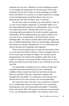situations into our lives. Whether we want something too much or not enough, the energy that we emit prevents it from easily showing up in our lives. When we want something very badly and do not believe we can have it, we often experience an energy of fear and desperation around that desire. Fear acts as a deterrent and can repel the object, goal, or outcome.

We all want a sense of freedom, joy, and creativity. None of us want to feel trapped, suppressed, or controlled. Many of us have had unpleasant experiences in relationships. This can color our outlook and create a vibration that will set us up for recreating unpleasant patterns that result in another unpleasant relationship. All this unpleasantness may make us think we do not want to be in a relationship at all, but that does not feel fulfilling either. We need to examine these mixed messages and the core beliefs behind them. Once we acknowledge, understand, and release our internal contradictions, we can consciously take steps to become more integrated and congruent.

When we do not admit what we want and consciously claim it, we are much less likely to attract it. This can happen when we do not want to get our hopes too high, or set ourselves up for disappointment. We stand on the periphery rather than in the center of our power as conscious creators. When you are clear about your desire for love and claim it, love will find its way into your life.

It is impossible to manifest true love without an open and available heart and unresolved pain can be a substantial roadblock. Heart connections that have not been severed can keep you attached to the past, connected to another, and energetically unavailable. It is important to clear the pain and heal the hurt if you want to attract your sacred partnership.

For a period of time in my life, I was *saying* that I wanted to be in a relationship; however I noticed that I was consistently attracting men who were emotionally unavailable. I eventually had to ask myself, *Why?* The answer was because unconsciously I, too, was emotionally unavailable. You could say I had a foot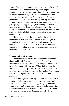in and a foot out of the whole relationship thing. I had a fear of commitment and I had not healed my hurt from past relationships. Once I became aware of this, I chose to work with my beliefs and release my fear. I set an intention to become more emotionally available to Spirit and myself. I made a commitment to work on my relationship with myself which included keeping track of my thoughts and progress in a journal, participating in therapy, studying the teachings of spiritual psychology, and practicing meditation and prayer. Only after I took responsibility for the relationship with myself and God and healed my limiting beliefs, did an emotionally available man come my way.

What comes to mind when you consider the word commitment? How does it make you feel? Where do you feel it in your body? Is there any negativity or discomfort? Do you contract or do you expand? If you experience discomfort or constriction, be willing to explore it, communicate with it, and get to the core of your fears.

## **Protection from Intimacy**

Another dynamic I observe happening in the lives of my clients and friends (and have been guilty of myself) is an attraction to inappropriate people. For example, many women have a fascination with "bad boys." They find them exciting, adventurous, and perhaps a little dangerous. In contrast, "nice guys" can seem overly cautious and a little boring. This dynamic has a way of keeping us from an authentic connection and intimacy.

I recreated a dynamic from my childhood and was drawn to men that paid little or no attention to me, which fed my thrill of the chase. If a man was slightly disapproving, my attention would be piqued. Unconsciously, I was attracted to people like my father who expected me to jump through hoops for crumbs. I was familiar with emotional abuse and although I did not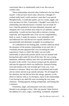consciously like it or intentionally seek it out, this was my comfort zone.

These relationships mirrored what I believed to be true about myself—I did not have much value. However, I thought if I worked really hard I could convince a man that I was special. Metaphorically, I would play games, put on a mask, juggle, and even tap dance for him. Consciously, I thought I was ready for a relationship, but subconsciously I certainly was not ready for love. I had the potential to become infatuated, attracted, and intrigued, but I was nowhere near ready for an authentic, mature partnership. I would not have been able to tolerate a loving, respectful, and responsible man. If he was too complimentary, kind, or sweet, it made me nauseas. I was unfamiliar with unconditional love and did not love myself; therefore I was uncomfortable and ultimately incapable of accepting love.

As I embarked on my healing path, a teacher asked me about the dynamics of the primary relationships in my early life. It eventually became apparent that I was recreating the same experiences I had as a child. My father was not really emotionally or physically present and he was not amused with having three girls under his feet all the time. He was a young, handsome, ambitious military man who was determined to make his place in the world. I was always trying to get his attention and earn his approval which was ineffective. Instead of being seen and treated as the cute loveable girl I truly was, I was treated as a nuisance. Mom was often overwhelmed and would ask my sisters and me to go outside and play. We all longed for her attention, but she did not have the energy, patience, or the desire to interact with us. In retrospect, many of the relationships I was having in my adult life were recreating the very same emotions—feeling ignored, feeling unimportant, and feeling like a nuisance.

Frustration, anger, and annoyance were also common threads in my attempts at love. After my parents' bitter divorce, the addition of a strict, angry, controlling, workaholic stepfather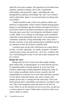made life even more complex. He expected us to be subservient, obedient, and hard working. Later in life, I manifested relationships with possessive, angry, controlling men who disregarded my opinions and feelings. My "job" was to behave and be subservient. Again, I was unconsciously recreating what was familiar.

I finally decided to take a look at my patterns, habits, and behavior in relationships. Some of them included playing games, being coy, and flirting to get the attention and approval of men. I also heavily relied on my physical attributes to get noticed. Once I became more aware that I was doing this, the behavior started to shift. While I was working on cultivating a more committed, respectful, loving relationship with myself, I was preparing for a committed, respectful, loving relationship with a man. Once I became conscious of my deep-seated patterns and beliefs and set my intention to heal, life started to naturally shift.

I started to give up the roles I had known for a great deal of my life—no more "good girl," no masks, no games. I decided I wanted to get to know me and be me—all of me—whatever that was. I had nothing left to lose. It was time to give being the real me a chance.

## **Ready for Love**

Being ready for love is much more than simply looking good, being witty, or playing games. It is more than the process of capturing another or being captured. It is also more than romance, impressing, or being impressed. Being truly ready for love is about an authentic desire to know yourself, take full responsibility for yourself, live in your truth, and honor yourself. It is the desire to become honest, real, and to connect with another person who is coming from the same place. This is the fertile ground where vulnerability and intimacy can begin to take root. This is the foundation where the seeds of true love are sown. When we set the intention for love in our lives, we give up a certain amount of control. Where there is real love, there is no need or desire to control.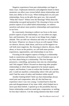Negative experiences from past relationships can linger in many ways. Unpleasant memories and judgments based on these memories can affect your current beliefs about relationships and limit your ability to live in joy. When looking back on your past relationships, focus on the gifts they gave you. Ask yourself, "What did I learn?" Where were the blessings? What about the relationship was good and positive? By choosing to focus on the positive aspects of so-called failed relationships, we redirect ourselves and attract more positive relationships and experiences in our lives.

By consciously choosing to redirect our focus to the more positive aspects of past relationships, we can soften our anger, hurt, and frustration. We can start to see things from a higher altitude. This can shift our vibration and what we will attract in the future. Whatever we choose to focus on will expand. When we observe, discuss, think about, and focus on the negative we call forth more negativity. By choosing to observe, discuss, think about, or focus on the positive, we call forth more positive experiences, opportunities, and relationships in our lives.

Focusing on the negative aspects of being in a relationship leads to constriction and limitation. Loss of freedom was one of my fears about being in a relationship. This fear brought possessive, controlling, and jealous men into my relationships and I felt trapped. When I focused on observing other peoples' relationships in which there appeared to be mutual support, respect, and freedom, I came to realize that freedom is an inside job. I could not manifest a relationship where I felt safe and free, until I had the sense of safety and freedom within myself.

Another limiting belief I held was that relationships always entail pain and compromise; after all, this had been my experience since I was very young. I worked hard to heal the pain and disappointment of my inner child, which helped me to move past these beliefs. I opened up to the possibility that my future relationship would not entail pain, compromise, or settling for less than I deserve. I set the strong intention that there would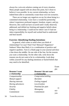always be a win-win solution coming out of every situation. Many people argued with me about this point, but I chose to believe it was possible. In my current relationship, we have indeed been able to consistently create those win-win scenarios.

There are no longer any negatives on my list about being in a committed relationship. I now have a wonderful partnership where I experience profound support, freedom, respect, and joy. However, this could not have occurred until I really observed, addressed, and shifted my limiting and negative beliefs about being in a relationship. I could not be where I am if I had not taken responsibility for myself and worked hard to understand and heal myself.

## **Exercise: Identifying Dueling Intentions**

In general, what comes to mind when you think of relationships? Is it joy? Pain? Fun? Betrayal? Happiness? Sadness? More than likely it is a combination of positive and negative qualities. Turn to a blank page in your journal and draw a line down the middle. On one side of the line, list the reasons you want a relationship. On the other side, write down the reasons you do not want to be in a relationship. Look deep within yourself for any dueling intentions or buried beliefs that may need to be identified.

> Exam ple:

|                       |                              | <b>μιν.</b> |
|-----------------------|------------------------------|-------------|
| <b>Reasons I want</b> | <b>Reasons I do not want</b> |             |
| a relationship        | a relationship               |             |
| Companionship         | Compromise/settling          |             |
| Mutual support        | <b>Boredom</b>               |             |
| Sharing interests     | Feeling trapped              |             |
| Having adventures     | Less freedom                 |             |
| Security              | Potential for pain           |             |
| Fidelity              | Monogamy                     | O           |
| Commitment            | Commitment                   | nce         |
|                       |                              | you         |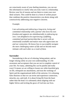are consciously aware of your dueling intentions, you can use this information to clarify what you truly want in a relationship. Review your list of reasons and use them to create your own ideal scenario. This could be done in a form of written prayer that combines the positive characteristics you desire along with constructively addressing your negative concerns.

#### Example:

*I am welcoming and embracing a long-term, loving and committed relationship with a partner who loves his own freedom and supports me wholeheartedly in embracing my own. I am delighted to be experiencing a fulfilling, committed spiritual partnership that is secure with an emotionally available and mature man who appreciates me and our connection. He knows how to successfully navigate the more challenging waters of life and we become more intimate with each other as a result of them.* 

#### **Surrender**

Surrendering is the act of relaxing, being patient, and no longer relying solely on your own understanding. It is the awareness and acceptance that you are not in complete control of your life. For many, admitting this can be painful and really scary! It means we are willing to loosen our white knuckled grip on life, relinquish our attachments, and trust the workings of Spirit and the organizational skills of the universe. It is releasing false illusions so that we can invite and experience connection, miracles, joy, and truth. It is about living life from the heart rather than the head. It is ultimately about aligning with our higher Selves and inviting the grace of God into our lives.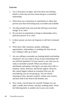# **Exercise:**

- 1. Use a loose piece of paper, and write down any limiting beliefs or fears that you have about being in a committed relationship.
- 2. Write down any connections or attachments to others that prevent your heart from being truly accessible and available.
- 3. Are there people from your past that still tug at your heart strings? If so, who?
- 4. Do you have an attachment to being in relationship with a particular person? If so, who?
- 5. Is there anyone you have not forgiven or still feel victimized by?
- 6. Write down other situations, people, challenges, opportunities, relationships, or anything else that you are now willing to offer up to Spirit.
- 7. Are you willing to surrender any limiting beliefs and dueling intentions? Are you ready to let go of past relationships that you still feel attached to? If your answer is yes, then you are ready to surrender yourself. When you release your attachments and partner with Spirit, you open more fully to intuition, clarity, direction, and Divine support. However, this cannot happen without an invitation from you. By surrendering, you are not giving up. You are merely choosing to relax, become receptive, release your worries, and have faith in the Source that breathes you.
- 8. Now create a sacred space for yourself. Perhaps you can light a candle, burn incense, and play soothing music. Write the following letter or another one in your own words: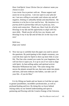*Dear God/Spirit/ Jesus/ Divine One (or whatever name you choose to use):* 

*I now invite You to partner with me. Please support and assist me on my journey. I am now open to your plan for me. I am now willing to surrender and release any and all negative, limiting or unhealthy beliefs and attachments. My intention is to be free to love and be love. My intention is to journey forth in partnership with you in great joy, love, clarity and connection. Thank you, Dear God, for all of the blessings in my life and the opportunity to align with You more fully. Thank you for all the love, joy, beauty, and blessings in my in my life and all that are on the way to me now!* 

*With love, (Sign your name)*

9. Now tear up or carefully burn the paper you used to answer the questions. By participating in this simple ceremony, you crack the door open for Spirit to show up more fully in your life. The One who created you wants for your happiness, but will not force it upon you. It is up to you if we want to align with Spirit. As best-selling author and spiritual activist Marianne Williamson has said, "The same energy that moves the planets around the sun, that turns seeds into plants and trees, and turns embryos into babies, can take care of your life—if you let Him."

It is by lifting our hands and our hearts to God that we open to greater possibilities, incredible synchronicities, as well as profound healing and love. By doing this we leave behind relying solely on our limited understanding and open to partnering and flowing with the Creative Energy of the Universe.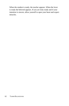When the student is ready, the teacher appears. When the lover is ready the beloved appears. If you are truly ready and if your intention is sincere, allow yourself to open your heart and expect miracles.

#### 62 TAMMI BALISZEWSKI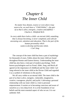# *Chapter 6 The Inner Child*

*No matter how distant, evasive or even alien it may seem to be, we each have a "Child Within"—the part of us that is alive, energetic, creative and fulfilled. ~ Charles L. Whitfield M.D.* 

*In every adult there lurks a child—an eternal child, something that is always becoming, is never completed, and calls for unceasing care, attention and education. That is the part of the human personality which wants to develop and become whole. ~ Carl Jung* 

The concept of the inner child has been a part of mythology for thousands of years. Fables about the inner child are found throughout Roman and Eastern history. Understanding the inner child has also been a vital part of modern psychology. Wellknown psychologists such as Freud, Alder, Jung, and Reich all agreed on the importance of childhood and the inner child. Carl Jung referred to the inner child as the Divine Child and regarded it as a symbol of wholeness in the psyche.

We all carry within us an eternal child. The inner child is the part of us that is alive, energetic, vulnerable, imaginative, creative, courageous, playful, and joyful. Cultivating a personal relationship with our inner child is a vital to personal empowerment. It assists us in becoming conscious and aware of ourselves at a very deep level. It is at the foundation of our beliefs and the most essential aspect of who we are. It is our authentic Self.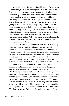According to Dr. Charles L. Whitfield, author of *Healing the Child Within*, 80 to 95 percent of people have not received the love, guidance, and nurturing necessary to feel deeply and inherently good about themselves. Even if we were raised in a loving family environment, simply the experience of being born and living in this world creates feelings of abandonment and stress. If our needs for nurturing were not met when we were young, if we did not feel completely accepted and adored, or if we were not allowed sufficient freedom of expression, the inner child starts to go into hiding. We start to adopt behavior that will get us attention or we may put away parts of ourselves so that we will be more acceptable to those we love. This is when emotional masks and the "false self" starts to form. These masks may include the jokester, the victim, the people pleaser, the trouble maker, and others.

Everyone has difficult experiences from their past. Healing those past hurts is a part of the journey toward personal wholeness. Acknowledging and integrating the inner child and bearing witness to the child's pain, grief, and disappointments is an essential part of the journey. Although the prospect may seem daunting, strange, or unpleasant this work supports us in becoming who we are truly meant to be. It also creates the potential and opportunity to tap into tremendous spiritual power.

While most of us have indeed suffered loss, painful memories, and traumatic experiences, our inner child, at its deepest level, remains healthy and whole. Whether our childhood experiences were filled with joy or pain, *all of us* can benefit from building a stronger and more conscious relationship with the playful, innocent, essential aspect inside of ourselves. Hence, the healing discussed in this chapter is not really about healing the inner child, but rather healing the *painful memories*  associated with our youth. The relationship with our inner child is strengthened as our pain is remembered, released, and healed. This is when our true Self can easily and naturally shine forth.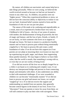By nature, all children are narcissistic and cannot help but to take things personally. When we were young, we believed the world revolved around us because we had not yet learned to reason in any other way. As children, our parents were our "higher power." When they experienced problems or stress, we did not have the conscious ability or objectivity to realize it was not our fault. Irrational belief systems started to form and the foundation of who we are was put into place.

The nature of life tends to be confusing and unpredictable; as a result, most of us experienced a broken heart very early on. Childhood is full of losses—the loss of our sense of oneness with mother; the disillusionment of being all powerful; the loss of magic and fantasy; and the loss of pets, friends, or family. If we are lucky, we have someone who loves us to support us through our losses. We learn to mourn in a productive healthy manner and we learn to process pain without being emotionally crippled by it. We learn to process life and create a solid foundation of value. If we do not have this support (or if our parents are not adept at mourning their own losses) we may end up experiencing our guilt, anger, and shame, then suppressing these painful emotions. We may begin to believe we have little value, that the world is unsafe, that something is wrong with us, or even that we are not worthy of being loved.

If we did not receive all the love we so deeply longed for as a child, it can haunt us in confusing and complex ways. It can destroy our interpersonal bridge and prevent us from connecting deeply and intimately with others. It also undermines our ability to deal with emotional challenges. If we were wounded as children we can become "emotionally stunted." If we did not learn to process our grief and mourn our losses, we can get "tangled up" in it. If we did not receive the support and understanding we needed from our parents, they generally become central figures in the drama of our lives. Even if we "disconnect" from our parents or move far away from them, we will still continue to play out their roles with surrogates. These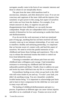surrogates usually come in the form of our romantic interests and those to whom we are inexplicably drawn.

The pain from the inner child manifests itself in unconscious, immature, and often destructive ways. If we are not conscious and cognizant of the inner child and the injuries it has sustained, we give power to this young, hurt aspect of ourselves and it rules our lives from the shadows. For example, if we remain unaware of, deny, or suppress our pain and disappointments from childhood, we can easily become codependent. People who are codependent look to someone outside of themselves for love and nurturing to soothe their hurts and disillusionments.

If we do not do the work necessary to heal our emotional pain of long ago, anything that has not been resolved will most certainly come up in our intimate relationships. If we truly want to manifest a healthy and satisfying partnership, it is important that we become aware of, connect with, and heal this aspect of ourselves. We need to revisit the painful memories of our childhood and honor those feelings and experiences. This is the way to release the emotional trauma that tends to control our lives from behind the scenes.

Choosing to remember and release pain from our early childhood takes willingness and courage. I had tremendous resistance to reviewing my childhood until life became unbearably painful and bleak. I finally chose to address my past and invite my inner child back into my life in a conscious way.

Extraordinary healing occurs when you go back to the child who still exists inside of you and say, "It wasn't your fault, you didn't do anything wrong. You are a beautiful, wonderful, lovable human being." It is important to acknowledge past hurts and to learn to have compassion for the child that we were (and in many ways still are).

The healing of childhood disillusionment and pain is a process. Experiences at different ages can cause various injuries and affect us in a multitude of ways. Trauma can occur on all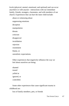levels (physical, mental, emotional, and spiritual) and can occur anywhere or with anyone—interactions with our immediate family, friends, strangers, classmates, and with members of our church. Experiences that can hurt the inner child include:

abuse or witnessing abuse suppressing emotions deception manipulation threats criticism disapproval invalidation rejection resentment blame, or unrealistic expectations.

Other experiences that negatively influence the way we feel about ourselves are being:

shamed teased yelled at ignored, or controlled.

Some other experiences that cause significant trauma in childhood are:

loss of family members, pets, or friends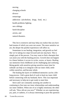moving changing schools divorce remarriage addictions (alcoholism, drugs, food, etc.) health problems fighting new siblings harsh discipline arrests, and natural disasters.

This list is extensive and may help you realize that you have had trauma of which you were not aware. The more sensitive we are, the deeper the painful experiences will affect us.

Sometimes in our healing, integration, and growth we feel like we're taking two steps forward and one step back. This is simply part of the process. You may want to find a therapist that can assist you with the healing process. Growth does not happen in a linear fashion; it occurs in cycles, waves, or layers. Healing our memories from childhood can be challenging and confusing. Being gentle with ourselves giving ourselves more time for solitude can help us to integrate with our inner child, settle within ourselves, and become whole.

The healing the layers of childhood memories can be a lifelong process. I did a great deal of work to heal my inner child before connecting with my husband, Steve. This was important and necessary to help me to get ready to meet him.

Steve and I are constantly assisting one another in continuing to fine tune our inner relationships and understanding our inner children. When one of us is highly emotional, the other will ask, "How old are you now?" Whether we are experiencing joy, pain, or sadness, it is always interesting to pose this question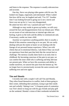and listen to the response. The response is usually subconscious and accurate.

One day, Steve was playing video games with his son. He looked very happy, engrossed, and entertained. When I asked him how old he was, he laughed and said, "I'm 15!" Another time I was looking forward to going out to see a movie and Steve was not up for it. I was very disappointed. He asked me how old I was. I pouted and said "I'm 6!"

Although we may reside in grown up bodies, we still carry around the hurt and disappointments from our distant past. When we are aware of our subconscious or internal age when are hurting, it gives us the tools and the ability to communicate and, if necessary, soothe our inner child.

Anytime we experience anything painful, there is usually a thread of this emotion connecting us to our past. We are rarely dealing with just the matter at hand; we are dealing with the lineage of our personal human experience. When I am with clients that are in emotional distress, I ask them if they can recall an experience from their past that feels like the current hurt or challenge. The memory usually dates back to an early time in childhood. By becoming conscious of the pain in our past, we can comfort the inner child who is suffering and help alleviate our present pain. When we have this awareness and ability to soothe ourselves, we unravel the pain from the bottom up. We no longer have to unconsciously recreate the same scenario and suffering over and over again.

#### **Tim and Shonda**

I recently met with a couple I will call Tim and Shonda. They often found themselves in conflict; both of them going to their corner, defending their positions, trying to get their needs met and verbally "duking it out." A frequent point of contention was Tim's desire to hang out with his guy friends and play golf on the weekend. Shonda's vision of their weekends included the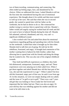two of them traveling, communicating, and connecting. She often ended up feeling angry, hurt, and abandoned by his choices. When we addressed this issue, I asked Shonda to tell me the first time she remembered having this sort of emotional experience. She thought about it for awhile and then tears started to well up in her eyes. She said that when she was in second grade, she wanted to spend time with her father on the weekends, but he had no desire to do so. She witnessed her mother trying to convince him to spend time with her. Shonda's father would yell angrily saying he worked hard all week and did not want to have to babysit Shonda during his time off. Shonda felt ashamed, unloved, abandoned, and very, very sad—a significant childhood wound.

I also worked with Tim and asked him about his emotional experiences regarding golfing and spending time with his friends on the weekends. I asked him what it brought up for him when Shonda tried to talk him out of going. He told me he felt rebellious, frustrated, and angry. It brought back memories of his mother wanting him to babysit his little brother, rather than allowing him to spend time with his friends and doing the things that he wanted to do. This was also one of his original childhood wounds.

They both had difficult experiences as children; they both felt dishonored, unimportant, frustrated, angry, and sad. These experiences were now playing out in their adult lives. When I got them together and asked Shonda how old this hurt part of her was, she said she experienced it at age 7. When I asked Tim how old this frustrated, angry part of him was, he said it was from age 10. In this situation, we were not simply dealing with two adults and the issue of "to golf or not to golf." There was a sad 7-yearold girl that was looking to Tim to make her feel loved and important like her father had not. There was also an angry 10 year-old boy that was rebelling against his mother and did not want to be told what to do.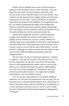Neither Tim nor Shonda were aware of all the dynamics going on in this situation or how to deal with them—they just knew they felt awful. As they listened to each other, they became aware of how deep the issues ran for one another. They started to see the situation from a higher altitude and with more compassion for each other—and for themselves. As Shonda spoke about her sadness from childhood, Tim empathized with her. He started to understand the depth of her feelings and offered to spend the upcoming weekend together doing things they both enjoyed. He also started to realize that Shonda was not his mother telling him what he could and couldn't do.

Shonda also empathized with Tim's situation (having a younger sister herself) and said she would support Tim in golfing with his friends once or twice a month. Shonda was willing to take more responsibility for herself by entertaining her own inner child. She would spend time with her friends, create artwork, or go to a movie that her inner child chooses. Tim and Shonda's challenge was easily resolved once the couple became aware of their difficult childhood experiences and early disappointments.

The next time you have an emotional experience—positive or negative—stop and ask yourself, "How old am I now?" You may be surprised by the age that comes forth. By becoming aware of and implementing this simple exercise, you can take better care of yourself and experience greater understanding. You will also be better equipped to communicate and move beyond uncomfortable emotions. You might also be highly entertained by your own silliness and joy!

If we do not take responsibility for our painful childhood memories, we will seek out someone else to fix our pain. We set ourselves up for continued disillusionment, hurt, and betrayal. In order to heal and connect with our wholeness, it is ultimately up to each individual to become aware of, care for, and to soothe the parts of themselves that have been neglected, disappointed, or betrayed.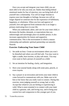Once you accept and integrate your inner child, you are more able to be who you truly are. Rather than hiding behind emotional masks for fear of rejection, you can bring forth all of yourself into a relationship. You will no longer hesitate to express your true thoughts or feelings, because you will no longer depend on someone else for the experience of fulfillment, happiness, or wholeness. When you love and approve of yourself, love and approval from someone else is no longer a primary motivating force in your life.

When you understand, adore, and care for your inner child, it decreases the burden, demands, or expectations that you unknowingly and unwittingly place on another person. It also increases opportunities for honest and supportive communication. This is the environment in which a mature relationship and authentic spiritual partnership can naturally flourish.

# **Exercise: Embracing Your Inner Child**

- 1. Set aside an hour. Create an environment where you won't be disturbed and where you will feel safe. You may want to light a candle, burn incense, or play soft music. You may even want to find a picture of yourself as a child.
- 2. Set an intention for healing, clarity, and integration.
- 3. Have your journal handy along with some pens, pencils, or even crayons.
- 4. Say a prayer or an invocation and invite your inner child to come forward to communicate with you. Make sure to let him or her know that you really want to connect. During this exercise, resist judging yourself as wrong, bad, or silly. Accept that whatever you are feeling or experiencing is valid. What is most essential is to connect with your inner child in a genuine, safe, and loving way, and to bring your current love and compassion to this younger part of you.
- 72 TAMMI BALISZEWSKI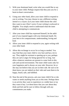- 5. With your dominant hand, write what you would like to say to your inner child. Perhaps request that they join you for a heart-to-heart conversation.
- 6. Using your other hand, allow your inner child to respond to you in writing. You may choose to use a different writing utensil or a crayon. (Let your inner child choose the color they want to use.) Don't worry if your writing is awkward or illegible. You simply need to understand what the inner child is attempting to communicate.
- 7. After your inner child has expressed himself, let the adult part of you respond (again with your dominant hand). Do your best to be compassionate, understanding, loving and kind.
- 8. Allow your inner child to respond to you, again writing with your other hand.
- 9. Allow this exchange to occur for as long as needed. You may find that your inner child is very hurt and has a lot to say. They might be resistant to opening up to you; perhaps they are sad or angry for being ignored for so long. Just allow whatever emotions are present to come forth in this safe and sacred environment. The inner child wants only for your happiness and is always on your side. However, he or she may not believe that you are on their side. Be sure to let them know you are indeed on *their* side and want them to be happy, heard, safe, and fulfilled.
- 10. Near the end of the process, ask your inner child if he or she wants or needs anything from you at this time. Perhaps there is an activity they want to experience or a teddy bear or toy they want to buy. Let them know that you care about they think and feel and be sure to follow through with any commitments you make.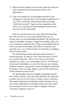- 11. When you feel complete, let your inner child know that you want to maintain the relationship and express your appreciation.
- 12. Take a few moments to acknowledge yourself for your willingness to open the door to this younger essential part of you. This is a powerful and profound step in becoming "whole unto yourself." Again, the key component in this exercise is to bring the powerful healing presence of your own love into the relationship.

When we open the door to our inner child and invite them back into our lives in a conscious and deliberate way, we become aware of our deep feelings and beliefs. We also have the capacity and ability to bring to compassion, kindness, light, and love to the places inside that hurt. These are the qualities that are at the very heart of all healing. This shifts us in positive and powerful ways. As we shift and heal, we transform, we integrate, and we become whole.

By remembering and then releasing stored, dormant, or unconscious pain, we open up. This creates the space for more love inside of ourselves. There is less chaos in our psyche, therefore less chaos in our relationships and lives. We feel more relaxed and comfortable in our skin. We become more intuitive, centered, authentic, and peaceful. When this happens, the natural by-product is that we accept, approve, and care for ourselves in deeper and more powerful ways.

We should make ourselves available for dialogue with the inner child at all times. Our inner child should be our friend and an aspect that we are very aware of, respect, protect, and adore. The natural progression of healing the painful memories of our inner child is getting back to the place of the "true inner child," the true essence of who we are which is laughter, creativity, connection, happiness, and love.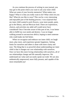As you continue the process of writing in your journal, you may get to the point where you want to ask your inner child: What are some of your favorite memories? What makes you happy? What it is that you really want to do? What colors do you like? What do you like to wear? This can be a very interesting and enjoyable part of the healing process. I was surprised that my inner child wanted to pick flowers, wear more purple, paint, go to the library, and eat Mexican food. These are experiences, choices, and activities my adult self would never have considered! Once I become aware of this part of me, I was better able to fulfill my own needs and desires. I was no longer walking around in unconscious deficit, hoping to meet someone who could make me feel better.

When we recognize and embrace our inner child, we laugh more, play more, and experience greater happiness. Setting limits for ourselves and others is done with more clarity and ease. The thing that is so powerful about understanding our inner child is that it changes our core relationship with ourselves. Once we have this more loving relationship with ourselves, all of our relationships change and life naturally improves. We understand our value and can easily speak our truth. We are also authentically empowered, more fully present, and capable of the most remarkable joy!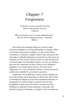# *Chapter 7 Forgiveness*

*To forgive is to set a prisoner free and discover the prisoner was you. ~ Unknown*

*When you forgive, you in no way change the past but you sure do change the future. ~ Bernard Meltzer* 

One of the most important things we can do to make ourselves available for a loving relationship is to forgive. When we feel that someone has wronged us or that we have been victimized, we maintain a negative bond to that very person. By choosing to withhold forgiveness, not only do we only lower our vibration, we also create a dynamic where we will inevitably be victimized again. By choosing to forgive, we raise our vibration and sever the connection we have to those we are holding in judgment in our minds and in our lives. We must invite forgiveness if we want to liberate ourselves, reclaim our power, and become available for a true heart connection.

Forgiveness can be difficult for many reasons. Perhaps you have been abused, taken advantage of, stolen from, lied to, hurt, or disrespected. Maybe you have been abandoned, betrayed, or disregarded. It is hard to forgive someone who has been thoughtless or mean and even harder if someone has been deliberate or malicious in their intentions. And really, *why should we forgive?* Ultimately, we forgive so that our hearts are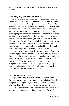available to ourselves and to others; we forgive so that we may be free.

### **Releasing Negative Thought Forms**

At the heart of forgiveness is the recognition that what we are letting go of are negative thought forms. We greatly benefit from identifying and releasing the judgments and thoughts that darken our inner terrain and keep us energetically linked to those we choose not to forgive. When we choose not to forgive, we carry a "right vs. wrong" orientation inside of ourselves. We place a judgment or negative damnation on another human being or sometimes even ourselves. Whenever any type of judgment is inserted into our consciousness, we carry it in our hearts and ultimately pay the price. We essentially become a prisoner of our own making. To free ourselves from this destructive and negative energy, it is absolutely essential to identify the people we have not forgiven and the judgments that we hold.

Forgiveness does not mean that we let someone off the hook, or even suggest that what they did was acceptable. We do not have to like the person we are forgiving or allow them back into our lives. By forgiving, we sever the cords that bind us to our "perpetrator." We forgive so we do not have to repeat the storyline or the circumstances. We forgive so we can fully own our power, heal, and be free. We forgive so we can experience life from the natural state of joy and love.

## **My Story of Forgiveness**

My personal story of forgiveness was an extraordinary healing experience and instrumental in my evolution. Through the process of forgiveness, I reclaimed my authentic power, discovered my life's purpose, and manifested my true love.

I was in a relationship with Bob for three years. It started out as instant attraction, a compelling connection, and a wonderful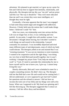adventure. We planned to get married, so I gave up my career for him and I did my best to support him mentally, emotionally, and physically. My therapist told me this was "my job" and my priest said this was "the way it should be." They were more educated than me and I was certain they were more intelligent, so I thought they must be right.

Eventually, it became apparent that the man I was engaged to had some deep-seated angst and struggled with addictions. However, I firmly held onto the notion that I could make things better. I believed I could "fix" him.

After two years, our relationship went into serious decline. Life was no longer fun; in fact, it was confusing and very painful. At one point, I caught him with another woman. I was devastated. I thought about leaving, but I decided I wanted to work things out and stayed in the relationship. I prayed constantly for assistance. I was incredibly depressed and tried many different types of anti-depressants, none of which my body could tolerate. The therapist yelled at me and insisted that I was "resisting treatment." It was not my intention to resist treatment, I wanted to be cooperative and do the right thing. I was doing my very best to hold Bob (and myself) together, but it wasn't working. I changed my prayer from "God, help me make this work" to "God, if I need to surrender this relationship for me to know myself and for me to know you, I give up. I cannot keep living this way."

Shortly afterwards, Bob and I were scheduled to meet for a couples counseling session. He didn't show up. The therapist told me that Bob had a new life and would not be coming back. I did not understand, *we were supposed to get married!* I asked her questions and she refused to answer. I did not have an income (he took care of my bills) and my things were still at his house. What was I supposed to do? My head was spinning and I felt like throwing up. The therapist suggested that I contact an attorney. I left her office dizzy and bewildered.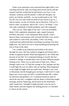Some of my questions were answered that night while I was watching television. Bob was being interviewed and he told the reporter (and the world) that he had found a new love. I was stunned, confused, and devastated. I called the therapist, my priest, my friends, and Bob—no one would speak to me. I felt my life was over and could not think of any reason to go on. I had no money, no job, no friends, and no direction. I felt as if I had no value, no purpose, and no life. I was a "no-thing." I was sick with a multitude of health problems and I felt exhausted.

This was my "dark night of the soul." Life was incredibly bleak; I felt completely abandoned, ugly, stupid, betrayed, terrified, and alone. I even fantasized about suicide. I had a heart-to-heart conversation with God and told Him I was scared and wanted to come home. Incredibly, I felt I was being comforted and understood that everything was going to be okay. Right now, all I had to do was to keep breathing and putting one foot in front of the other.

I lit a candle in my bedroom and looked in the mirror through my tears. My face looked so haggard and forlorn that I hardly recognized myself. What had happened to me? What had become of my life? As I continued looking at myself, the face seemed to change; it seemed there were all these different people looking at me. There was so much pain in their eyes. Then a thought came to me. If I had the courage to live, perhaps one day I could light the way for others who are hurting. What happened to me might be bigger than my small story. Perhaps I was crazy or delusional, but the thought gave me hope. I told God if I could figure out a way to pay my bills, I would hold onto life. I asked for direction and guidance. As I wandered around in state of shock the next day, a neighbor told me about a school that taught massage, polarity balancing, and focused on the mind-bodyspirit connection. I thought it might provide a way for me to make money and also support my healing process, so I decided to check out the school.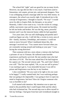The school felt "right" and was good for me on many levels. However, my ego did not like it very much. I had been used to limousines, red carpets, private jets, and personal shoppers. Now I was schlepping around a massage table for very little money. In retrospect, the school was exactly right. It introduced me to the concept of forgiveness. I thought to myself, "No way!" I would never be able to forgive Bob, the therapist, or my priest." Honestly, I didn't even want to try. I was the victim of a stingy, selfish, narcissistic man and his posse. He treated me horribly; he left me broke and broken. He was the big, mean, powerful monster and I was the innocent bunny rabbit he had squashed.

Two years later, life was still challenging and painful and I could not figure out why. I still felt like a victim in every area of life—family, business, friendships, and romance. I could not seem to move forward. When I meditated about this, the message I received was: "You cannot move forward when you are constantly turning around and looking at your past." I was facing the wrong direction!

Then someone told me a story about a veteran who had been a prisoner of war in Vietnam. He suffered some horrible experiences and barely survived. He met another man who had also been a P.O.W. The first man asked him if he had forgiven his captors yet. The second veteran said, "No, and I don't think I ever will." The first man replied, "Oh, so you are still in prison." I was starting to get it, I was miserable because I was still in prison and forgiveness was the key to my freedom.

I also considered, "Do you want to be right or do you want to be happy?" I really wanted both, but I was realizing perhaps that was going to be impossible. I was going to have to open my mind to forgiveness, but how? How do I forgive someone who was so horrible to me?

It all started with intention. My intention was to open my mind to the *possibility* that I could forgive Bob and the others who had victimized me. The second step was to allow myself to feel my feelings. I had gone from hurt and victimhood straight to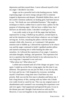depression and then stayed there. I never allowed myself to feel my anger. I decided it was time.

Anger can be a powerful tool in the healing process. Safely expressing anger can move energy and give life to someone trapped in depression and despair. Elisabeth Kübler-Ross, one of the world's foremost authority on healing grief, had been known to say, "We finish our own unfinished business." She taught a technique in which a rubber hose is used to beat a pillow for the purpose of releasing anger. I did not have a rubber hose, but I did have an old tennis racket. I decided I would give it a try.

I was really ready to let go of all the anger that had been repressed for so long. I fluffed up my pillows, invited Spirit in, and set the intention to heal and release whatever was no longer serving me. At first, smacking the pillow with the tennis racket seemed a little silly, however, as I continued, I felt genuine emotion start to bubble up. I allowed the experience to be what it was and the anger continued to build. I grabbed another pillow and started screaming into it while beating the other one senseless. As I allowed the expression of my anger, I started to articulate thoughts, feelings, and questions. The experience led me to a question that had been buried in my subconscious for a very long time. I repeated it over and over: *"What about me? What about me?"*

I yelled and screamed until all of the charge was gone. I was spent. I ended up on the floor crying again, but this time it was different. The question was not just for Bob, it was for my dad, for God, and for me. I felt forgotten by everyone, including myself. It had been a long time since I had been my own priority. Bob was not the first man to abandon and betray me. I had a long history of this, starting with my father who I doubt ever really loved or cared for me. This was my original source of abandonment and it seemed I was recreating this experience over and over again. I had suppressed and ignored the pain. It was in the distant past and I thought I had moved on with my life. However, it was not forgotten in my subconscious mind. On a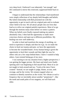very deep level, I believed I was inherently "not enough" and life continued to mirror this restricted, suppressed belief back to me.

I began to understand that the relationships I had manifested were simply reflections of my deeply held thoughts and beliefs. My failed relationship with Bob presented me with the opportunity to get in touch with my original pain and to evaluate what I held to be true. We all attract people into our lives that lead us to relive our original painful experiences. Most of us go through the motions many times before we notice a pattern. When my beliefs were finally exposed making my pattern absolutely clear, I then had the opportunity to make more conscious choices and open up to different possibilities. My healing was now well underway.

In order to heal and transform the energy of anything, we need to experience it deeply and then let it go. As we make the choice to heal our trauma and pain, we have the opportunity to become the wounded healer. Every human being is given the opportunity to heal their wounds and then light the way for others who are a few steps behind them. I knew I wanted to help others, I just resisted letting go of my story.

I was starting to see my situation from a higher perspective; I was getting the bigger picture. My heart and mind were finally opening and I was beginning to feel myself heal. Most of us are not taught to look around and say, "Look at the mess I have created." Instead, we are taught to judge, blame, accuse, seek revenge, and be the victim. We remain trapped when we continue to identify ourselves as the victim. We vibrate at such a frequency that we inevitably attract another "perpetrator"—like the north and south poles of two magnets, we will find each other.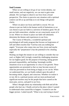## **Soul Lessons**

When we are willing to let go of our victim identity, our small stories, and our negativity, we can start to gain some altitude. We can begin to observe our lives from a broad perspective. The choice to perceive any situation with a spiritual context can lift us up and help us to see things with greater clarity.

Where we place our focus and faith is crucial. We can choose to put our faith in the human world of limitations or we can choose to put our faith in a universe of limitless good. We all put our faith somewhere, whether we are consciously aware of it or not. Where we choose to place our faith will ultimately determine the themes and experiences in our lives.

The Course of Miracles, a wonderful spiritual and psychological self-study program that focuses on forgiveness of self and others teaches that "God has sent you nothing but angels." Everyone who comes into our lives, (even and maybe especially the "perpetrators") has the potential to be a healing angel.

Healing can begin the instant we are willing to consider that our soul, or Higher Self, lovingly created the challenging situations for our highest good; for the purpose of learning, taking greater personal responsibility, and healing. Seemingly terrible situations occur as an opportunity or a key to our growth. These opportunities are presented so that we may become aware of what has prevented us from being as happy as we can be. When we understand this, we can finally embark upon the path of becoming whole, aligned, and conscious. Whether we realize it or not, life is a spiritual journey and our most profound and significant teachers may be the people that have caused us the most pain, sorrow, and grief in our lives.

When I thought about my relationship with Bob and all the people who hurt me, I finally arrived at the place where I wanted to understand what caused this to happen. I wanted to see the bigger picture. I asked myself, "What is my soul trying to learn?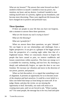What are my lessons?" The answer that came forward was that I needed to believe in myself. I needed to trust my power, my intuition, my heart, and my desires. I realized I needed to start making myself more of a priority, tighten up my boundaries, and become more discerning. These were significant life lessons that have changed me in positive and profound ways.

## **Three Questions**

If there are people in your life that you have not forgiven, take a moment to answer these three questions.

*What are the lessons my soul is trying to learn? What are the blessings? What am I grateful for?*

When we answer these three questions, we gain "altitude." We can begin to see our relationships and challenges from a higher perspective. It can give us a glimpse of the bigger picture from the perspective of a soaring eagle rather than that of a frightened mouse. When we consciously choose to forgive the people that have caused us pain, we remove roadblocks and loosen constrictions within ourselves. This frees our energy so it is available for creativity, healing, and true love. By choosing to deeply and authentically forgive, we open the door to our own freedom. We increase our vibration and move in the direction of our power, passion, and purpose.

When we feel discomfort, it is a signal that something is out of alignment. It presents an opportunity for us to become aware of the situation and heal ourselves. It could be a toxic belief or a false core belief that keeps us from being our truest self. If we judge, blame, and play the victim, we are missing the opportunity to heal. Inevitably, our souls will assist us in creating more pain, until we are forced to ask, "What is going on?" For some people, the message has to be very loud and quite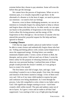extreme before they choose to pay attention. Some will even die before they get the message.

We cannot force the process of forgiveness. When we are in immense pain, it is virtually impossible to get there. In the aftermath of a disaster or in the heat of anger, we need to process our emotions—we need to feel our feelings.

However, even in those challenging moments, we can set an intention to eventually forgive by asking Spirit to help us release and forgive those who have hurt us. In other words, we can open our hearts to the possibility of forgiveness in the future by asking God to allow His loving presence and the energy of His forgiveness to flow through us. I do not know of anyone who has uttered this powerful, prayerful request for His help and been ignored or denied.

### **Creating Closure**

I felt that my anger needed a physical outlet before I would be able to create closure and authentically forgive those who hurt me. Yelling and hitting pillows with a tennis racket helped me to move the suppressed energy. Writing letters was another immensely helpful outlet. I wrote a series of letters to Bob, the therapist, and my priest. I did not mail any of them; I wrote the letters solely for the purpose of releasing emotions and to bring about my own personal healing. I realized that none of these people would provide the closure I needed, so I was going to have to create it for myself.

The first letters were full of anger, hurt, and rage. I said everything I wanted to say to these people. Over time, the energy and emotion of the letters started to change. A few of them were very sad. I felt as if my inner child needed to express her pain and confusion over being abandoned. As I went through the process, I also felt compelled to write a letter to my father and to God. I felt significant changes starting to occur—each letter created a shift within myself. The pain and sadness came out of me in layers. As I gave a voice and an outlet to all that I had suppressed, I was starting to feel a ray of light piercing through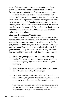the confusion and darkness. I was experiencing more hope, peace, and optimism. Things were coming into focus; the healing experience of authentic forgiveness was taking place.

Creating artwork was another outlet for my anger and sadness that helped me tremendously. You do not need to be an artist for this to be a powerful part of the healing process. There were times I simply pulled out big pieces of paper, canvases, crayons, charcoals, or paint. I used whatever color and medium I was drawn to at the moment. I often made a mess, but it gave me enormous relief. Creating art is potentially a significant and valuable tool for healing.

## **Exercise: Forgiveness Visualization**

This exercise will help you sever your connections to those who have hurt you. You may read through each step and do the exercise by memory, have someone read the exercise aloud to you, or listen to a recording of it in your own voice. Go slowly and give yourself the opportunity to really visualize and *feel*  your emotions. It may take more than once to fully disconnect, but you should feel some relief each time you do this exercise.

- 1. Relax, close your eyes and take a few deep, cleansing breaths. Now allow the person who you would benefit the most from forgiving right now to easily come into your mind's eye.
- 2. Visualized this person standing about 10 feet away from you and with a cord connecting the two of you.
- 3. Invite your guardian angel, your Higher Self, or God to join you. This being has your greatest interest at heart and is here to protect, love, and support you through this process.
- 4 Take your time and express what you are thinking and how you are feeling to this person who has hurt you. Tell them everything that is on your mind and in your heart.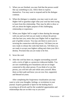- 5. When you are finished, you may find that the person would like say something to you. Allow them to express themselves. You may want to respond and let the dialogue continue.
- 6. When the dialogue is complete, you may want to ask your Higher Self or guardian angel what your soul has been trying to learn from this relationship. They may be able to show or tell you about the higher purpose of this challenging relationship or experience.
- 7. When your Higher Self or angel is done sharing the message with you and you feel you are ready to release the person who has hurt you, notice that your Higher Self or angel has a pair of golden scissors. You may ask them to assist you in severing the connection with this person. Tell them you are now ready to release the cords that bind you. Tell them you are ready to accept your highest calling and claim your life's destiny. Proclaim that you are ready to be free.
- 8. Sever the cord.
- 9. After the cord has been cut, imagine surrounding yourself with a circle of light or a protective iridescent bubble. You are now establishing new boundaries and are no longer connected to this other person. If you think of or see this person, you will feel safe and whole unto yourself. Bless them on their path and know you are now free, supported, and blessed on yours.

After completing this forgiveness visualization you may want to write your thoughts, feelings, or revelations in your journal. Express gratitude to Spirit for the healing that is occurring on all levels and for the wonderful opportunities and relationships that are on their way to you now!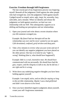# **Exercise: Freedom through Self-Forgiveness**

The last crucial part of my forgiveness process was forgiving myself. Beneath all the judgments I held against the other people who had wronged me, were the judgments I held against myself. I judged myself as stupid, naive, ugly, inept, fat, unworthy, lazy, unlovable, and a mistake. When we identify and release the judgments we hold against ourselves, we heal our core relationship with our Self. This subsequently supports us in shifting and healing our perceptions and our relationships.

1. Open your journal and write about a recent situation where you felt someone wronged you.

Example: *My fiancé had our therapist tell me the relationship was over and he never wanted to see me again. I felt devastated, confused, grief stricken and deep pain.* 

2. Take a few minutes to review what you just wrote and see if you can identify any negative judgments you have placed on the other person. One key is to look for any "right vs. wrong" thinking (that is, what should have happened?).

Example: *Bob is a cruel, insensitive man. He should have communicated with me personally. He should have had the guts, respect, and the integrity to talk to me, but he did not. I am right and he is wrong.*

3. Write down any underlying negative thoughts you have been holding against yourself.

Example: *I am stupid, naïve, and an idiot for staying so long in this terrible relationship. Maybe I was a bad girlfriend and didn't even deserve to be loved.* 

4. Once you have identified negative judgments about yourself, create your self- forgiveness statements.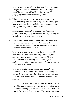Example: *I forgive myself for telling myself that I am stupid, I forgive myself for believing that I am naive, I forgive myself for calling myself an idiot. I forgive myself for judging myself as not worthy of being loved.*

5. When you are ready to release these judgments, allow yourself to bring your awareness to your heart, perhaps you want to place your hand over it, let your energy settle there, and say your forgiveness statements out loud.

Example: *I forgive myself for judging myself as stupid. I forgive myself for judging myself as an idiot. I forgive myself for judging myself as unworthy of love.* 

6. Finally, what truth statements might you bring forward that are a more accurate expression of the bigger picture about this other person, yourself, and this situation? Write them down and then say them out loud.

Example of a truth statement about the other person: *The truth about this man is that he is deeply wounded, has experienced great pain, and has many fears. He was terrified to talk to me directly about his feelings and decision— none of which has anything to do with me nor is it a reflection of my value.*

Example of a truth statement about me: *Although I am human and have made mistakes, I know I am a good person and am doing my very best. I am God's child and I deserve to be loved and adored. I am the child in whom God is well pleased.*

Example of a truth statement of this situation: *I know everything that is happening in my life is supporting me in my growth, healing, and expansion in consciousness. The truth is I know that God is on my side. I know I am being*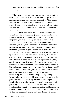*supported in becoming stronger and becoming the very best me I can be.* 

When we complete our forgiveness and truth statements, it gives us the opportunity to reframe our human experience and to see ourselves from a more accurate perspective. When we are willing to take the time to see ourselves from this higher perspective, a power is unleashed and we align with our Higher Self and Spirit. Forgiveness opens our hearts and paves the way for miracles.

Forgiveness is an attitude and choice of compassion for oneself and others. Through forgiveness we can transform our suffering into self-knowledge and spiritual growth. With forgiveness, we release our ego's need to be right and its incessant need to judge everyone and everything. It takes awareness, courage, and commitment. When I feel discomfort, I now ask myself what or who am I judging. Once identified, I immediately practice forgiveness and self-forgiveness.

The last letter I wrote to Bob was one of gratitude. He ended up being one of the most significant healing angels in my life. I experienced many blessings by virtue of my earthly dance with him—the way he came into my life, our experiences together, and the way we parted. If Bob had stayed in my life, I realize I never would have taken full responsibility for myself. I lived in his shadow and I know I would have stayed there. I never would have picked up a paint brush, never would have gone to school, and never would have written a book. He was an actor in the drama of my life and the perfect catalyst for my healing. Because of my experiences with him, I was able to arrive at the place where I could look at myself honestly and deeply. I identified and released a lifetime of powerful judgments I had placed against God, myself, and others. I became aware of and transformed my negative, unconscious feelings and beliefs. I was then ready and able to claim my true Self. From this new place of clarity, I am authentic, congruent, peaceful, joyful, healthy,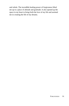and whole. The incredible healing power of forgiveness lifted me up to a place of altitude and gratitude. It also opened up the space in my heart to bring forth the love of my life and assisted me in creating the life of my dreams.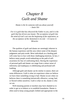# *Chapter 8 Guilt and Shame*

*Shame is the lie someone told you about yourself. ~ Anais Nin*

*For it is guilt that has obscured the Father to you, and it is the guilt that has driven you insane. The acceptance of guilt into the mind of God's son was the beginning of the separation, as the acceptance of the Atonement is its end. ~ A Course in Miracles*

The qualities of guilt and shame are seemingly inherent in the human experience and the area where some of the deepest judgments and pain reside. Most individuals on a healing path will come face to face with these challenging emotions. In fact, I believe many people avoid embarking on the path of selfawareness for fear of confronting them. Having the experience of personal guilt and shame can range from a minor sense of inferiority and inadequacy to debilitating and profound selfloathing.

Although guilt and shame can be similar in nature, there are some differences. Guilt is what we experience when we believe we have done something wrong or bad. Shame occurs when we believes there is something intrinsically offensive, wrong, bad, or flawed within ourselves. Guilt is what we do; shame is who we are.

Well-meaning parents or teachers may have shamed us in order to get us to behave or to establish boundaries. Shame is often used to keep young people clothed and appropriate in the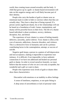world, thus creating issues around sexuality and the body. A child that grows up in a guilt- or shame-based environment will take on this negative energy and it will likely become part of their identity.

People who carry the burden of guilt or shame wear an emotional mask in order to hide or convince others that they are actually okay. They have a deep fear of being exposed. If a person carries significant shame, his or her relationships will not be based on a foundation of truth. Games, manipulation, and drama will be powerful forces in their lives. The life of a shamebased individual is about avoidance, secrecy, darkness, deception, fear, and denial.

The experience of toxic shame is a sense of feeling innately defective, unworthy, and/or inferior. Toxic shame is often at the core of neurosis, addictions, character disorders, and violence. This is a destructive force in humanity and can be a primary contributing factor in the contemplation, attempt, or success of suicide.

Negative guilt keeps a person in a pattern of self-deprecation and non-acceptance, making it impossible to experience true intimacy. It is difficult, if not impossible, to have authentic connections if we have not addressed and healed our personal guilt or shame. In order to reveal ourselves honestly, we must believe that the essence of who we are is not only acceptable, but wonderful and a gift we want to share.

People who experience toxic levels of guilt or shame often show these characteristics:

 Discomfort with emotions or an inability to allow feelings A sense of loneliness, emptiness, or not quite fitting in A deep sense of unworthiness or lack of personal value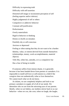Difficulty in expressing truth Difficulty with self-assertion Distorted self image or inconsistent perception of self (feeling superior and/or inferior) Highly judgmental of self or others Compulsive or addictive behavior Constant self-justification Perfectionism Overly materialistic Rigid in behavior or thinking Denies or dwells on mistakes Painfully shy or self-conscious Anxious or depressed Feeling or often stating that they do not want to be a burden Identity, value, or esteem derived from outside themselves (relationships, money, work accomplishments, material objects) Tells fibs, white lies, untruths, or is a compulsive liar Has a fear of being in trouble

If someone suffers from intense shame, it is generally because it has been handed down from parents or caretakers. It is impossible to instill self-love or self-esteem in a child if the caregiver does not authentically value or love themselves. We cannot teach what we do not know.

As infants, we are completely helpless and look to our primary caretakers to supply all of all of our needs. We determine who we are from the mirroring eyes of our parents. Ideally, when we are babies, our mothers mirror back to us our behavior—when we coo, she coos; when we laugh, she laughs.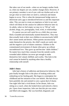She takes care of our needs—when we are hungry mother feeds us; when our diapers are wet, mother changes them. However, if our primary caretaker is out of sync with our rhythm and we do not get what we need when we need it, confusion and shame begins to occur. This is when the interpersonal bridge starts to deteriorate and a gap is introduced between us and this important other. This can start to create an emptiness or hole in our soul, which will likely be the catalyst for addictive behavior later on. As adults, when we feel empty we may try to "fill up" with alcohol, drugs, sex, pornography, food, work, or relationships.

If a parent was not well cared for as a child, they are most likely wounded and emotionally stunted themselves. They may then actually look to their own children to unconsciously fulfill *their* unmet needs and desires. When parents unconsciously make themselves the priority, the child's needs are rarely met and the negative cycle of shame continues. Children in the contaminated environment of shame often grow up without unconditional love. They grow up and become "adult children." No matter how much they consume from the outside world, wounded adult children can never get enough to make themselves feel valued, fulfilled, and worthy. This hole in the soul cannot be healed by anything other than a healthy relationship with oneself.

#### **Julie's Story**

Julie had a history of addiction and destructive behavior. Her pain finally brought Julie to the place of looking within and embarking on her healing path. She began to contemplate her childhood and the initiation of her core beliefs. She had always been painfully shy and seemed to carry a great deal of shame. One night Julie had a vivid dream. In her dream, Julie was sitting on a couch, when she looked down and noticed a cherry pie. Upon closer inspection, Julie saw that this pie was rotten and filled with maggots. She was horrified, disgusted, and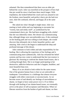ashamed. She then remembered that there was an older pie behind the couch. Julie was mortified at the prospect of how bad that pie would be since it had been there much longer. With trepidation, she looked behind the couch and was amazed to see the freshest, most beautiful, and perfect cherry pie she had ever seen. Julie felt confused, relieved, and happy all at the same time.

She asked me what I thought it might mean. Julie was starting to look within and was beginning to encounter her "worms, bats and stinky stuff", as symbolized by her contaminated cherry pie. She had been struggling with a belief that she was inherently rotten. Her dream was communicating that, although things were uncomfortable now, if she continued on her healing path and was willing to look deeper, she would discover that ultimately she is fresh, beautiful, perfect, and amazing. Julie cried as she began to understand the deep and profound message of this dream.

Julie continues to look within and take responsibility for her healing. She is allowing the experience of her feelings and is communicating more authentically. Julie has reframed her belief systems and has now come to understand that her true essence is glorious! By choosing to confront her shame based issues, she is working through them. She is no longer participating in her destructive, addictive behaviors and she is happier, healthier, and more beautiful than ever.

Many of us are afraid to look within for the same reason. One of the greatest human fears is that we are unlovable or inadequate. Unworthiness is a challenge that almost everyone struggles with either consciously or unconsciously. As we become aware of and identify our feelings of unworthiness or shame, we begin to have some power over it. If we follow through with healing of our shame-based issues, we eventually arrive at the place of self-acceptance and liberation. When we liberate ourselves from the burden of guilt and shame, we then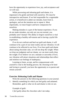have the opportunity to experience love, joy, and acceptance and we will soar.

While processing and releasing guilt and shame, it is important to be gentle and kind with ourselves. We must be introspective and honest. If we feel responsible for a regrettable action, it is beneficial to admit our mistake, learn from it, apologize, and set the intention not to repeat it. Most importantly, we must forgive and have compassion for ourselves.

Making mistakes is a part of the human experience. If you do not make mistakes, not only are you not normal, you probably aren't human! The ability to forgive ourselves is vital in establishing a healthy self-esteem and in having a joyful life experience.

If we do not confront and heal our guilt and shame, it will continue to be a part of our inner reality and our vibration. It will continue to be reflected in our lives. If we have guilt and shame about eating chocolate cake, we will not drop the weight. When we drop our judgment and our shame, we can more easily drop the weight. If we believe we are a mistake or unworthy of love, our vibration will attract situations and relationships that reflect and reinforce our feelings of inadequacy.

Learning to listen, accept, and be compassionate with yourself is vital to the healing process. By choosing to be kind and loving to yourself, you have the opportunity to re-parent and retrain yourself.

## **Exercise: Releasing Guilt and Shame**

Write the answers to the following questions in your journal.

1. Identify something for which you feel guilty and ashamed. Remember, guilt is what we do and shame is who we are.

Example of guilt: *I feel guilty about the chocolate cake I ate today.*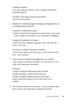Example of shame: *I am a fat, ugly pig.* (There is often a shame- based belief beneath the guilt.)

Example of the deeper shame-based belief: *I take up too much space.*

2. Identify the underlying negative thoughts and judgments you are holding against yourself.

Example of exploration of guilt:

*I think I am bad for having eaten too much cake. I say I want to lose weight, but sometimes I can't help but be indulgent.* 

Example of exploration of shame:

*I think I am a fat, indulgent, ugly pig. I don't like the way I look or who I am.*

Example of a deeper exploration of shame: *I am too big, I take up too much space. I don't deserve to be here. I am a mistake.*

3. Once you have identified the judgments, ask yourself, "Am I ready to let this go and heal?" If your answer is "yes," write your forgiveness statements.

Examples:

*I forgive myself for believing myself to be bad. I forgive myself for calling myself a fat, pig. I forgive myself for judging myself as unworthy. I forgive myself for buying into the notion that I am a mistake.*

4. Focus your awareness on your heart. Let your attention settle there and say your forgiveness statements out loud.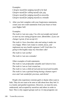Examples:

*I forgive myself for judging myself to be bad. I forgive myself for calling myself a fat, pig. I forgive myself for judging myself as unworthy. I forgive myself for judging myself as a mistake*

5. After you feel complete with your forgiveness statements, create your new truth statements from your heart or from your Higher Self.

Examples:

*The truth is I am not a pig. I'm a bit overweight and intend to start my new eating program soon. (Remember, if you can change it great, if not accept it!)*

*The truth is I love chocolate cake and eating it makes me very happy. When I am ready to commit, focus, and implement my new health regiment I will! Until then I'm going to thoroughly enjoy my chocolate cake!* 

*The truth is I am worthy!*

*The truth is I am not a mistake!*

Other examples of truth statements: *The truth is I am profoundly valuable and I deserve love. The truth is I am as God created me. The truth is I am a child of God and am loved and loveable. The truth is I am a spiritual being having a human experience and I am wonderful, precious, and divine!*

People who experience extreme guilt or shame often want to hide. They do not want to be seen or talk about how they feel. It is a lonely and painful experience. However, we must be seen, understood, and accepted by ourselves and others in order to heal. This is why support groups such as 12-step programs can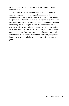be extraordinarily helpful, especially when shame is coupled with addiction.

As mentioned in the previous chapter, we can choose to focus on the good or bad, or the guilt or innocence. As you release guilt and shame, negative self-identification will loosen its grip on you. You will experience a profound state of freedom and relief. It can be experienced as a deep relaxation and comfort in the body. Ancient scriptures consistently assure us that the essence of who we are as humans is pure, beautiful, and without stain. The essence of who you are is, indeed, innocent, exquisite, and extraordinary. Once you remember and embrace this truth, not only will you feel more comfortable, confident, and peaceful, but true love will gracefully, naturally, and easily show up in your life.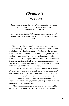# *Chapter 9 Emotions*

*To give vent now and then to his feelings, whether of pleasure or discontent, is a great ease to a man's heart. ~ Francesco Guicciardini*

*Let us not forget that the little emotions are the great captains of our lives and we obey them without realizing it. ~ Vincent Van Gogh*

Emotions can be a powerful indication of our connection to Spirit or our Higher Self. They are an important gateway in our evolution and spiritual development. Feelings are the way that the soul speaks to the mind and the body. Giving credence to our feelings is imperative if we want to live in optimal physical, mental, emotional, and spiritual health When we understand and honor our emotions, not only are we more cognizant of who we are, we also create a strong foundation for a healthy relationship with ourselves and therefore with others.

*Emovere* is the Latin root for emotion and means "to move." *Emotion* can be translated to literally mean "energy in motion." Our thoughts assist us in creating our reality. Additionally, our emotions are powerful motivators and an incredible energy source. Imagine that your thoughts and beliefs are like a car and engine. Keeping this imagery in mind, feelings and emotions are akin to the horsepower and fuel.

When thoughts, beliefs, and emotions are not aligned, life can be chaotic, scattered, and confusing. When our thoughts,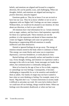beliefs, and emotions are aligned and focused in a negative direction, life can be painful, scary, and challenging. When our thoughts, beliefs, and emotions are aligned and moving in a *positive* direction, miracles happen!

Emotions guide us. They let us know if we are on track or have lost our way. They let us know whether or not we are in alignment with our Higher Self. Feelings are our inner compass. Without them, we would not be attuned to our intuition, be clear about our direction, or feel in sync with life.

All emotions have vital information for us. Certain emotions such as anger, sadness, and fear have a bad reputation, especially for those on a spiritual path. These emotions are not the problem; it is the repression and denial of these emotions that create our biggest challenges and cause our greatest pain. Bypassing or suppressing difficult emotions is usually ineffective and often destructive.

Denied or ignored feelings do not go away. The energy of emotion remains stored in the body where it continues to fester. This energy can create blocks and cause you to experience depression, a nervous breakdown, or some physical crisis.

Buried feelings will eventually surface and manifest in some way. Every thought, feeling, and emotion we experience sends a message to the cells in our body. Some messages are louder than others, but communication is continually taking place.

Most of us learn by the age of four or five to hide, suppress, or camouflage our true feelings. Consequently, it becomes challenging or impossible for us to be sensitive and mindful of them as adults. Our family of origin may not have wanted to hear what we were thinking or feeling. For example, many of us heard, "Big kids don't cry." Certain restrictions in society made it difficult to articulate our truth. We were led to believe that if we could turn off our feelings, things would be better. When our feelings were discounted, disallowed, or when our hurt was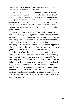simply too much to process, many of us became emotionally disconnected or numb in order to cope.

Many times throughout my childhood I heard the phrase, "I don't care what you think or what you feel! Just do what you're told!" I thought if I could stop feeling, it would be easier to be a good girl and, therefore, be loved. It seemed to work for a while, only to backfire later. We pay a high price when we attempt to stop feeling. We lose touch with our truth and our guidance system. As a result, pain takes up residence in our emotional and physical bodies.

Our sense of safety in the world is generally established when we are young. It is a significant contributing factor in the creation of our emotional baseline. Is the world a loving place or is it a scary place? Do you trust the process of life or does life frighten you? Do you adapt to change well or do you find it terrifying? If you believe the universe is a loving and supportive place, it is easier to flow with life. You connect with others, trust yourself, and are more comfortable with your feelings.

When I was first asked, "Do you think the universe is a friendly place or not?" my immediate response was "absolutely not!" I was afraid of life and tried to resist and control it. Being constantly nervous, I was always on my guard. I had a history of being betrayed and no longer trusted anyone. For a long time, I suppressed and denied my feelings. This resulted in confusion and depression. I was numb and did not feel, value, or trust my emotions. Bizarre and dramatic events occurred within my relationships. There seemed to be a great deal of anger coming at me. I was out of balance and my life was reflecting it back to me in a powerful way.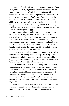I was out of touch with my internal guidance system and out of alignment with my Higher Self. I wondered if I was too far gone to ever find my way back. During meditation, I had a vision that we each have a rope that permanently connects us to Spirit. In my depressed and fearful state, I was literally at the end of my rope. I then realized that when we are connected, our ability to heal is always within reach. Living in my head and trying to figure things out was not only painful, it was simply not working. I needed to get in touch with my heart and my feelings if I was ever going to be happy.

A teacher mentioned that I seemed to be carrying a great deal of unexpressed grief. It was true and I felt tears behind my eyes as she said it. However, I had no idea what to do about it. She suggested an exercise that would help release my grief. I needed to get some organic onions, chop them up, bundle them in a warm wet cloth, and place it on my chest. Next, I was to breathe deeply and let the process unfold. I thought it sounded strange, but I decided I would give it a try.

I purchased my supplies, chopped the onions, ran my fabric under warm water, wrung it out, and prepared for my "date" with the onions. I also wrote a prayer to Spirit and asked for support, guidance, and healing. Then, I lit a candle, blessed my "sacred onions," and let the situation unfold.

I had no idea what to expect, but shortly after I placed the concoction on my chest the fumes hit and tears began to flow. After a few minutes, a torrential downpour of tears ensued. As I cried, I saw images. Memories surfaced from my recent past with Bob, as well as some from childhood. I allowed the memories and the tears to move through me without trying to hold on to, direct, or analyze anything. It felt as if I was riding a huge wave.

About an hour later, the tears started to slow down and they eventually stopped. I always thought I would feel worse if I allowed myself cry. However, when I finally gave myself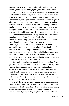permission to release the tears and actually feel my angst and sadness, I actually felt better, lighter, and somehow cleansed.

My emotional energy had been blocked for a very long time. I suffered from chronic fatigue and serious health problems for many years. I believe a large part of my physical challenges, lack of energy, and depression was caused by suppressed grief. I also came to realize that I was unable to feel happiness and joy because I denied and disowned my sorrow. Feelings that have not been felt, processed, or resolved unconsciously govern our thoughts, beliefs, physical health, and relationships. Emotions that are buried and ignored can affect every aspect of our lives.

Although I now had access to my sadness, this emotion was not alone. I found beneath my grief and sadness, there was anger; beneath the anger, there was more sadness. As an adult, I never found the prospect of anger or sadness appealing. However, of these two emotions, sadness seemed more acceptable. Anger was simply not allowed in my family and I decided as a child that anger should be renounced. When I decided to embark upon my spiritual path, I believed anger was unacceptable and unspiritual. However, in my studies and through my healing process, I learned that the energy of anger is important, valuable, and even necessary.

Ultimately, anger is about boundaries and protection. Anger protects your individuality and lets others know when they have crossed the line. Anger serves you when you have been disrespected or when you witness others being suppressed or controlled. If you do not have access to your anger, you will inevitably be taken advantage of and become a victim. It is by listening to, allowing, and expressing your anger that your sense of self can be protected or restored.

Many believe they are doing a good job of suppressing their anger, or they may not realize they have any negative emotions to process at all. However, life will always reflect back to us any disowned or repressed aspects of ourselves. Suppressed emotions do not go away; they simply "leak out" in confusing,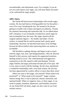uncomfortable, and unfortunate ways. For example; if you do not own and express your anger, you will most likely encounter or be confronted by angry people.

### **Jeff's Story**

My friend Jeff had several relationships with overtly angry women. He also had history of being pulled over by the police even if he wasn't breaking the law. He seemed to be always getting in trouble with women and figures of authority. I found his situation interesting and somewhat odd. As we talked about Jeff's situation, it was eventually revealed how much anger he had accumulated over the years. His anger started with his original authority figures— his mother and father. On the surface, it seemed like he and his parents had a pretty good relationship. However, he had disowned many of his feelings because he did not believe that expressing them was mature or acceptable.

Jeff decided to undergo therapy and began to get in touch with his anger, fear, hurt, and disappointments. Once he allowed himself to feel, process, and express his suppressed emotions, healing started to occur. The confrontational and aggressive experiences in his life started to shift and dissipate. Overtly angry females and angry policeman became part of his past. Jeff is now more in touch with his feelings. He has since manifested a wonderful relationship with a very kind woman. He also has not been approached by a police officer in more than three years!

When you start to feel angry, ask yourself "What needs to be protected?" or "What needs to be restored?" Anger contains intense energy that is vital to physical, mental, emotional, and spiritual health. When we suppress, bury, or deny anger, it can result in apathy, boredom, depression, and boundary invasion. As my friend Jeff will attest, anger can also come at you from outside sources.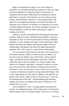Rage is an explosion of anger. It can occur when we experience an extremely threatening situation or when our anger has been building for a long time. Rage can be positive if channeled and focused to help define our boundaries without inflicting it on anyone. This emotion can carry intense power, energy, and information. However, if not properly dealt with, rage can cause significant damage to ourselves and others. If rage gets out of control or is constant, it is imperative to contact a mental health professional. We cannot strengthen ourselves, or become healthy or whole by either repressing our anger or running wild with it.

Sadness is another misunderstood and frequently disowned emotion. Sadness is often considered unacceptable or negative especially in men. It carries the perception of being vulnerable, unstable, or weak. Sadness and anger can be intertwined. Often people who lead with sadness (unexpressed anger) end up in relationships with people who lead with anger (unexpressed sadness). This is the recipe for victim-abuser relationships.

It is in everyone's best interest to be able to feel and process all of their emotions. When we refuse to feel our sadness, we lose focus and our ability to go with the flow. Stress, tension, anger, and dysfunctional relationships will follow. When we experience and accept our sadness, we come to realize what needs to be changed, expressed, or released. It helps us to slow down, feel our losses, and cultivate compassion for ourselves and others. Tears can also relieve stress, which can be caused by a surplus of chemicals created by strong repressed feelings. This is why suppressing our tears and our sadness is not good for our bodies. Gary Zukav, author of Seat of the Soul says, "Tears are the healing balm of the soul." Acknowledging and releasing sadness can restore our balance and sense of wholeness if we simply allow it to exist.

I am reminded of a story. A young student encounters his teacher, an enlightened master. One of the master's friends died and the master cried. The student asked, "If you are so 'evolved,'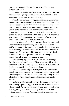why are you crying?" The teacher answered, "I am crying because I am sad."

It can be that simple. Just because we are "evolved" does not mean we no longer experience emotions. Feelings will be our constant companion on our human journey.

Fear also has gotten a bad rap, especially in certain spiritual beliefs. If we cultivate a healthy relationship with it, this emotion can be a good friend. Vital information can be embedded in our fear. It can alert us to danger and change; it can keep us focused, aware, and out of harm's way. Fear can help us act on our instincts and intuition. Do not confuse it with anxiety, worry, panic, and terror, which occur when someone is overwhelmed or disconnected. These emotions may also occur when fear has been unheeded or if boundaries are impaired.

For a great deal of my life, I experienced anxiety, panic, and even terror from simply walking out of my house. Getting coffee, shopping, or just encountering another human being was often alarming. I was in constant pain because of my very weak boundaries. Fear had stepped forward and took over my life. I realize now that my disproportionate fear was simply an unconscious alert system attempting to protect me.

Strengthening my boundaries has been vital in creating a healthy relationship with myself. My relationship with fear is now more positive and healthy. I now experience fear as instinct, intuition, or a gut feeling. It assists me in processing information. Fear also helps me to respond to the environment, people, and circumstances. I will sometimes experience fear as I am driving on the freeways in Los Angeles. My healthy fear has alerted me to flying hubcaps, debris in the road, and unsafe drivers.

As I was walking through a crowded restaurant with a friend one evening, I quickly stepped to the side for no apparent reason. Coincidentally (or maybe not, depending on how you look at it), this happened just as a man tried to grab me. I eluded him without a second to spare. Astonished, my friend said I looked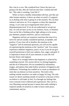like a bat in a cave. She wondered how I knew the man was going to do that, after all I had not seen him. I smiled and told her, "My radar is working, I just felt it."

When we have a healthy relationship with fear, just like any other human emotion, it shows up when we need it. It supports us in dealing with what is going on at the moment. We can then release it and move on. If we suppress or deny this important energy, it can come up at inappropriate times and at a disproportionate level. If we do not understand or accept our fear, we will not have access to our instincts, focus, or intuition. Fear can be like a flashing yellow light asking us to be aware, pay attention, prepare ourselves, and act consciously.

Happiness and joy are expansive emotions that most of us strive for and are usually considered spiritual, acceptable, and positive. If you close off or disallow the emotions at the "negative" end of emotional spectrum, you will not be capable of experiencing the emotions at the "positive" end. You cannot experience authentic happiness, peace, or joy if you do not give yourself permission to feel your sadness, fear, anger, and grief. It is important to honor all of your emotions or your life will become dreary and stagnant.

Many of us wrongly believe that happiness is achieved by something external. Our society thrives on chasing happiness and the art of distraction. We are inundated by information, images, and options that make hollow promises of happiness and fulfillment. Technology has enabled us to create an abundance of tools that can distract us from ourselves. The truth is this: nothing outside ourselves can make us happy for long. The only reason we desire anything outside of ourselves is because of how we believe it will make us feel. It is through our feelings that every external event is filtered and experienced. This can be a very liberating concept because it means that really nothing is required outside of ourselves in order to know inner peace, contentment, and joy.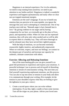Happiness is an internal experience. For it to be authentic, we need to stop running from ourselves; we need to pay attention to our bodies and *feel.* Happiness is indeed a wonderful experience and happens spontaneously and easily when we clear out our trapped emotional energies.

Emotions are the soul's language. If you try to banish any emotion that you perceive to be unacceptable, you ignore the message that your soul is attempting to communicate. One of my teachers once told me, "Beneath anger is hurt; beneath hurt is love." By giving credence to our anger and by having compassion for our hurt, we eventually get to the place of love, peace, and equanimity within. When we clear out our repressed emotions, they will arise only when needed and we will be able to express them in a healthy way. They will move thorough us and be released once they have served their rightful purpose.

With the help of emotions, we can become extremely resourceful, highly intuitive, and authentically empowered. When we welcome, respect, and trust our feelings, we connect to the deepest part of ourselves and increase our capacity for authentic, intimate connections with others.

## **Exercise: Allowing and Releasing Emotions**

One of the most healing gifts you can give yourself is to grant full permission to experience and express your emotions. A powerful technique I use to process and rid myself of disturbing emotions is stream of consciousness writing. The next time you find yourself experiencing unpleasant emotions, use this process. You can also to tap into stress or tension in your body and allow it to communicate through your writing. (For example, let the tension in your shoulders express what they are feeling or give the tightness in your gut a voice.)

1. Create a sacred space where you can write without interruption. If you like, light a candle or burn some incense. Turn off the ringer on your phone. Advise your loved ones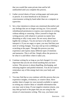that you would like some private time and be left undisturbed until you complete this process.

- 2. Gather several sheets of loose writing paper and some pens or pencils. It is most beneficial to do stream of consciousness writing by hand rather than on a computer or typewriter.
- 3. Set a clear intention to release any emotional discomfort and any feelings that are no longer serving you. Give yourself wholehearted permission to express your emotions in writing without editing or censoring. Allow yourself to begin the writing process with whatever is present no matter how disturbing or silly it may seem. Do not worry about how legible the writing is. You do not have to be able to read or interpret it. If you are angry or upset, you may find that your style of writing changes. You may end up even scribbling or scratching at the paper. Through this process you may experience and express many different types of emotions and memories. This is all fine. Simply allow the process to be what it is and follow where it takes you.
- 4. Continue writing for as long as you feel charged. It is *very important* that you do not reread anything that you have written. This process is about dispelling, discharging, and releasing negative and painful emotions. You do not want to reintroduce any of this energy back into your body and psyche.
- 5 You may find that as you continue with this process that you experience insights, revelations, or creative ideas. Have another sheet of paper (or your journal) available to capture in writing any creative ideas or valuable information that you may want to keep. If your negative emotion returns, you may then go back to the paper that you are using for the stream of consciousness writing. This way, you honor your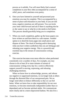process as it unfolds. You will most likely find a natural completion to your flow often accompanied by a sense of relief, peace, and sometimes even poetry.

- 6. Once you have listened to yourself and processed your emotions you may be complete. This is accompanied by a sense of peace and relaxation in your body. If you are still tense, negative emotions are still present. You can invite your inner child forward and ask if there is anything else he or she wants to say or what he or she needs to feel better. This process should gracefully bring you to completion.
- 7. When you reach completion, gather up the loose papers you have written on and burn them in a safe manner. Another option is to shred the loose pages into small pieces and dispose of them. The ritual of burning and/or destroying what you have written symbolizes that you are letting go and releasing your negative energy. This is a powerful and essential step in the stream of consciousness writing exercise.

#### 8.

This exercise becomes even more effective when performed consistently over a number of days. For example, you may choose to do at least 20 or more minutes of stream of consciousness writing every day for a week to effectively support yourself in moving, expressing, and releasing challenging emotions.

When we know how to acknowledge, process, and release our negative or suppressed emotions, we no longer look at others through the distorted filter of our unexpressed pain. We no longer need others to behave differently so that we can feel better. When we know how to take responsibility for our own emotions, we become emotionally independent (rather than codependant) and we become spiritual adults. We communicate more clearly and in a more empowered fashion. We also live a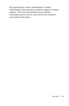life of greater peace, clarity, and equanimity. Owning, understanding, and processing our emotions support us in being authentic. This is the solid foundation for any healthy relationship and necessary for a true soul-to-soul connection with another human being.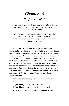# *Chapter 10 People Pleasing*

*A 'No' uttered from the deepest conviction is better than a 'Yes' merely uttered to please, or worse, to avoid trouble. ~Mohandas Gandhi*

*Living the truth in your heart without compromise brings kindness into the world. Attempts at kindness that compromise your heart cause only sadness. ~Anonymous 18th century monk*

As humans, we all want to be respected, loved, and acknowledged by others. However, if we have an overwhelming need for these experiences, it is easy to fall into a pattern where we sacrifice ourselves to earn approval from others. Something I found to be vital in manifesting a balanced, loving, healthy relationship is the ability to identify, communicate, and take care of my own needs first. In my practice, I frequently see people who have a tendency to take care of the needs of others before considering their own. They are known as *people pleasers.* To determine if you or someone you know has a tendency to please, consider the following questions: Is taking care of others important to you?

Is the experience of being wanted or needed important to you?

Do you often put others' needs before your own? Do you think you need to be perfect to be loved?

Are you deeply affected by what others think of you?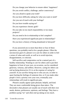Do you change your behavior to ensure others' happiness? Do you avoid conflict, challenge, and/or controversy? Are you afraid to speak your truth? Do you have difficulty asking for what you want or need? Are you out of touch with your feelings? Do you have trouble saying no? Do you experience chronic guilt? Do you take on too much responsibility or too many projects? Do you need to be in relationship to feel complete? Have you experienced significant pain in relationships? Do you have a history of being abandoned or betrayed?

If you answered yes to more than three or four of these questions, you probably tend to be a people pleaser. Often the unconscious goal of a pleaser is to care for others in order to feel a sense of value and worth, as well as to avoid rejection, disappointment, or criticism.

Self-sacrifice and compromise can be a natural part of a healthy relationship. Wanting to care for others and to put their happiness in front of your own, on occasion, can be considered generous, virtuous, and selfless. However, caring for others can end up being destructive if it is at the expense of caring for yourself. If you sacrifice being true to who you are, in order to spare hurting the feelings of someone else, or if you make other people's lives a priority over your own, eventually your relationships will result in significant pain.

Pleasers usually appear quite pleasant, helpful, and kind. They are more comfortable being givers than takers. The downside is that pleasers are usually out of touch with their own needs, desires, preferences, opinions, and feelings. They have a problem saying "no" and often end up taking on too much.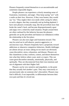Pleasers frequently extend themselves to an uncomfortable and sometimes impossible degree.

People pleasers can experience a slowly mounting sense of frustration, resentment, and anger. They keep saying "yes" with a smile on their face. However, if they were honest, they would say "no," They neglect their own needs while caring for others to such a degree, that they eventually end up feeling depleted. I have seen pleasers eventually snap, like the proverbial straw that broke the camel's back, and become disproportionately upset and angry over a relatively small situation. People around them are often confused by this behavior because the pleasers generally set up the precedent and balance (or imbalance) within the relationship in the first place.

Pleasers can also turn anger and frustration inward. This may be acted out in self-abusive, passive-aggressive, or unconscious ways. Pleasers frequently have a propensity toward addictions or obsessive compulsive behaviors. Health challenges are almost always an issue; taking on too much can obviously cause discomfort, stress, exhaustion, and disease. Pleasers are like chameleons as they conform, contort, and distort themselves into what they believe others want, need, or expect. This can cause great discomfort mentally, emotionally, physically, and spiritually. They are disconnected from their true emotions and out of alignment with their Higher Self.

Pleasers can be very sensitive and empathetic, to the point that they actually feel another's pain. They may consciously or unconsciously take on someone else's discomfort. Pleasers may find it difficult, if not impossible, to differentiate between their own pain and that of a loved one.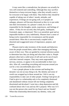It may seem like a contradiction, but pleasers can actually be very self-centered and controlling. Although they may sacrifice themselves to keep everyone happy, what they actually want is for everyone to be happy with them. They believe they should be capable of taking care of others' moods, attitudes, and experiences. If things are not going well, or if people are unhappy, pleasers will become distressed as they try to put order into their environment. In a pleaser's mind, he or she is responsible for the thoughts, needs, experiences, and feelings of others. If they do not succeed, they feel guilty, inadequate, frustrated, angry, or depressed. This is an unrealistic goal and an impossible burden to carry indefinitely. Pleasers have a sense of being overly responsible for circumstances and the people around them. Often this is unconsciously coupled with a distorted and exaggerated sense of importance, purpose, and power.

Pleasers tend to take inventory of the moods and behaviors from the people around them, rather than managing and being aware of their own. They are guided by external reference points to determine how they are doing and what their value is. People pleasers often lack a solid sense of self and can be out of touch with their internal compass. They may seem ungrounded, nervous, anxious, or appear to be uncomfortable in their own skin. After all, controlling everything and everyone around you can be a very uncomfortable place to be!

I was a people pleaser in the extreme and healing this dynamic was not an easy thing to do. My identity and sense of worth was wrapped up in those around me. I felt it was my responsibility to take care of other people. Feeling I had given all I had to give to a relationship only to be completely dismissed and abandoned without closure left me feeling completely disoriented and devalued. I went into a deep depression and felt confused about who I was and my life's purpose. Who was I if I was not the person who cared for my fiancé and our friends? When that relationship deteriorated, my identity, value, and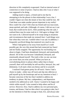direction in life completely evaporated. I had no internal sense of connection or sense of power. I had no idea who I was or what I was supposed to be doing.

Adding insult to injury, a friend said to me that by attempting to be the pleaser in that relationship I was a liar. I couldn't figure out what she meant or how that could be true. All I had done was make another person important in my reality! How could I be a liar? I felt what my friend said was inaccurate, mean-spirited, and rude. (Although, of course, I did not say it out loud, that would not be nice!). After pondering what she said, I realized there may be some truth in it. I did agree to things I did not want to do. I allowed myself to be swept along in situations and circumstances that made my stomach hurt. I said things were fine when they were not. I smiled when I was sad. In addition, I frequently sacrificed things that mattered very much to me.

When I had gotten as far away from myself as I could possibly get, the very thin strand that had connected my fiancé and me finally snapped. The opportunity for real healing was about to begin. I had been abandoned, betrayed, and emotionally abused. All of this was because I abandoned, betrayed, and emotionally abused myself. The truth is this: no one can treat you worse than you treat yourself. When you have an overwhelming desire to please others rather than to honor yourself, there will inevitably be self-sacrifice, betrayal, lies, and dishonesty. It all starts when you betray and lie to yourself.

I realized I had gotten pretty far off track. I knew I had a choice to make—either stay off track and slip into oblivion or pull myself up by the bootstraps and set my intention to heal. I became conscious of the fact that I needed to address my tendency to please. My fear, codependency, and depression needed to be addressed as well. I knew I wanted to be happy and whole within myself. I also wanted to help others and be of service. However, first, I had to address my own personal pain, trauma, and drama. I had no idea what it was going to take, but I set the intention to find the courage to heal, live, and always take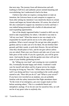that next step. The journey from self-destruction and selfloathing to Self-love and authentic power seemed daunting and overwhelming, but I understood it had to be done.

I believe that when we express a strong desire or state an intention, the Universe hears us and conspires to support us. Soon after setting my intention I was intuitively drawn to certain classes and began my formal education. Of course, the school of life also continued to support my intention to evolve and heal. I was indeed being presented with a buffet of educational and soul-expanding opportunities.

One of the deeply ingrained habits I wanted to shift was my need to take responsibility for others. I decided it was time to "till my own land." What that meant to me was simply to be responsible for myself and do not try to fix other people's problems. What a novel concept! Do not get into other people's gardens and try to take care of it for them. Do not fertilize their ground, pull their weeds, or pick their flowers. Do not tell them what they should plant or how, and do not give advice unless you are asked. Plant your own flowers and take care of your own little piece of the world. If you do a good job, you will be given more. And maybe the guy with the garden next door will ask for some of your healthy gardening secrets!

By "tilling my own land" and creating my own wonderful life, I eventually became happy and whole. I realized I could care for myself and others and be of great service by simply focusing on living my "best life." When others observed how well I was doing and how I was succeeding in the world, people started to ask, "How did you do it?" and "What is your secret?" If you have ever traveled on an airplane, you are probably familiar with the safety instruction that flight attendants share: "In the event of an emergency, put your oxygen mask on first before assisting others." This is a wonderful literal and metaphoric analogy. If we do not care for ourselves first, we will not be of any great value to anybody else.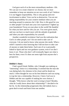God gave each of us the most extraordinary medium—life. We can use it to create whatever we choose, but we must remember to keep our attention on our own work of art! I believe it is our biggest responsibility. This is why gossip and over involvement in others' lives can be so destructive. You are not taking responsibility for your creative medium when you are mucking around in *someone else's life*. How is this good for you or other people? Get back into your own experience! Tighten up your boundaries! Focus on your place in the world! Be thankful for what you have and for who you are. You were given much, and you can have so much more with the attitude of gratitude and when you take responsibility for yourself.

Another wonderful revelation I had was the realization that God is in other people, too! I do not need to take care of everyone. I do not need to know what anyone else needs. What a relief! I started to relax knowing that I did not have to take care of anyone or make them better. Each one of us is personally linked to Spirit and our own guidance system, even if we don't know it yet. Those who don't will eventually figure out what is best for them, even if it does not seem right from anyone else's perspective.

#### **Debbie's Story**

I had a good friend, Debbie, who I thought was making an "interesting" choice in a relationship. It seemed that the man she was dating had a few demons in his closet and he drank too much. I often thought he was on his best behavior and was trying to trap her into a relationship. However, I knew God was in Debbie and she was capable of making her own choices. I thought, "Who knows what her soul is trying to learn? Besides, what do I really know about their relationship?" I decided to let her be. As the relationship progressed, they did indeed, have a great deal to teach and learn from one another.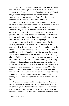It is easy to sit on the outside looking in and think we know what is best for the people we care about. When we love someone, we often form opinions about how they should handle things. We create opinions about their choices and behavior. However, we must remember that their life is their creative medium, just as your life is your creative medium.

When I talked to Debbie about her relationship, I set the intention to simply love and support her while she made her own decisions. She was happy, optimistic, and pleased to be communicating about her current situation. My intention was to accept her completely. I simply honored and respected her process. This was a very freeing and liberating experience for me. I knew she was going to do what she felt she needed to do and I did not need to know, do, or fix anything!

Debbie's marriage lasted less than one year. After her divorce, she shared with me some of the difficulties she experienced. In the past, I would have felt compelled to give her advice. I might have also felt guilty, thinking I was the one who could have saved her from heartache. But not now! I was now free to be me and I allowed her the freedom to be her. I simply allowed Debbie to have her own experience and hold her in my heart. She had some shame about her relationship not working out the way that she had hoped. I encouraged her to share the things she had learned. I then shared with her my perspective of the positive transformation I had witnessed in her. Over the course of Debbie's relationship, I observed that she became more confident and aware of her power; she had also cultivated stronger boundaries. Debbie agreed. She thanked me for not judging her and acknowledged that the experience was not all bad.

By supporting Debbie and focusing on the very best in her and her situation, Debbie went from embarrassment over her failed marriage and disappointment in herself to acknowledging that she did what she thought was best. I told Debbie that this man was probably the perfect "teacher" for her and she learned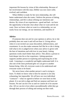important life lessons by virtue of this relationship. Because of her involvement with this man, Debbie was now more solid, evolved, and confident.

When Debbie is ready for her next relationship, she will better understand what she wants. I believe the process of dating, relationships, and life is about refining our intentions and desires. By virtue of our experiences—good and bad—we have the opportunity to become clear about what we want and do not want. Once we know what we want in a relationship, we can easily focus our energy, set our intentions, and manifest it!

### **Advice**

If someone does not ask for your opinion or advice, he or she probably does not want it and will not hear it. Giving advice when it is not invited can cause discomfort, defensiveness, and resentment. It can also make someone feel like he or she is being told what to do or judged (even when your advice is given with the best of intentions and with love in your heart). Asking questions works much better than advice. This allows a person to look deeper into his or her experience. Asking questions supports another person in exploring and expressing his or her truth. Listening is a wonderful and highly underrated skill. It is also one of the most profound gifts we can give to another human being. After all, everyone wants to be understood and everyone wants to be heard.

We never know what another person's soul is trying to learn. To think we know what is best for anyone is not only exhausting, but impossible. We all have our own individual "contracts"—what we agreed to before we were born on this planet. It is our job to align and find *our* purpose and learn *our*  lessons. No one can do it for us and we cannot do it for anyone else. All we can do is love others unconditionally while they go through their process of sifting and sorting out their truth.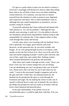If it gets to a point where it pains you too much to witness a loved one's seemingly self-destructive choices rather than telling them what to do, tell them it hurts you to see them exhibiting certain behaviors. If it continues, you may have to remove yourself from the situation in order to preserve your alignment and connection with Spirit. This is where boundaries come in. Although this may sound manipulative or insensitive, you are actually caring for yourself.

A powerful statement that I have embraced and shared with other pleasers is, "It's not my problem." Although this may initially seem uncaring, it really isn't. It is the ability to discern our boundaries and personal responsibility without trying to take responsibility for someone else. It also supports others as they work through their issues and lessons.

I recall a time when I was traveling with my husband, Steve, who is generally very happy, good natured, and sweet. However, on this particular day, he was tired, irritable, and hungry. As we were going through security at an airport, some people cut into the line in front of us. Steve was at the end of his rope and started snapping at people. I tried to joke with him, take care of him, cajole him, and comfort him. Nothing worked. Steve seemed determined to be grouchy and miserable.

After Steve and I made it through security I said, "Steve, you know I love you, but I cannot change how you are feeling. I am not abandoning you, but I am going to take care of myself now. Please know that I am here for you if and when you are ready." I went to the newsstand, bought a magazine and sat by the gate and read. A little later, my husband joined me. He thanked me for giving him the space to work through his frustration and anger. By me making the choice to take care of myself, it allowed Steve to take care of himself. He was able to put things into perspective and was ready to reconnect with me from a more balanced and peaceful place.

In my past relationships, if my partner was in an uncomfortable place, I would be right there with him. If he was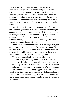in a deep, dark well I would go down there too. I would do anything and everything I could to try and pull him out of it and make him feel better. I often ended up depleted, sick, and completely stressed out. The worst part of this was that even though I was willing to sacrifice myself for the other person, it did not help! To top things off, there was nothing left of me. I wanted to reach down and pull them up, but instead they pulled me down!

Now that I have become a priority in my own life, I can more effectively take care of others. I care for them in the right amount in appropriate ways and I feel good! This is an example of setting boundaries. I do not go to that deep dark place for someone else and I do not ask them to go there for me. I maintain sovereignty within myself and make my connection with my center and Spirit my first priority.

When you truly commit to taking better care of yourself, you can then take better care of others. When you love yourself it is easy to see the best in other people. You can naturally focus on their positive qualities, praise them, and see them through the "eyes of love". This is what really pleases people!

 The people who truly please are those who are so at home within themselves, they simply allow others to be their own unique selves. They listen to others, ask questions, and let them be where they are. They are empathetic and give others the room to explore, experience, and enjoy who they are. When we can do this our relationships are fulfilling, supportive, expansive, and exquisite. As Carl Rogers, an influential psychologist and one of the founders of the humanistic approach once said, "People are just as extraordinary, unique, and beautiful as sunsets—if you'll let them be."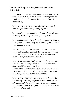# **Exercise: Shifting from People Pleasing to Personal Authenticity**

1. Take a few minutes to write down two or three situations in your life in which you might easily fall into the pattern of people pleasing or taking more than your fair share of responsibility.

Example: *Saying yes to someone who invites me on a date even though it doesn't really feel right for me.*

Example: *Going to an appointment I made a few weeks ago instead of rescheduling or canceling it altogether.* 

Example: *I have extended an invitation to a few friends for a barbeque and am now feeling overwhelmed by the amount of work that I have to do.*

2. With each situation you have listed, write what is true for you regardless of how you think the other person or people might feel or respond. What would be the self-honoring choice, action, or statement in each case?

Example: *My intuition clearly told me that this person is not someone I am not really interested in. The self-honoring choice would be to cancel the date.*

Example: I *woke up this morning and really felt I needed to take some time for myself. The self-honoring choice would be to change the appointment to another day.* 

Example: *When I invited people over for a barbeque, I did not know my week was going to be so hectic and busy. The self-honoring choice would be to make it a pot luck dinner and ask each person to bring one item, so I don't have to do all the work by myself.*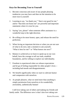## **Keys for Becoming True to Yourself**

- 1. Become conscious and aware of any people pleasing tendencies you may have and then set the intention to be more true to yourself.
- 2. Learning to say, "no thank you," "that is not good for me," and/or "that does not honor me" are powerful and important statements when it is true for you.
- 3. Saying "yes, please" when someone offers assistance is a wonderful step in the right direction.
- 4. Be willing to be more honest, open, and release the need for perfection.
- 5. When facing an important decision or when you are not sure of what to do next, take a moment to ask yourself, "What is best for me?" or "What honors me now?"
- 6. Balance is achieved as we learn to speak up on our own behalf, have the courage to tell our truth, establish boundaries, and be willing to explore our individuality.
- 7. Freedom is experienced when we release expectations and let go of feeling responsible for other people's lives including bad moods and disappointments.
- 8. We benefit significantly when we start to cultivate humor and compassion with ourselves.
- 9. As people pleasers, what we need more than anything is simply permission from ourselves to be wonderfully, awesomely, authentically human!

I still love taking care of others and making my friends and family smile. The difference now is that I also love taking care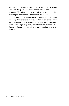of myself! I no longer exhaust myself in the process of giving and caretaking. My equilibrium and internal balance is maintained by taking the time to check in and ask myself this very important question, "What honors me now?"

I am clear in my boundaries and I live in my truth. I share from my abundance and overflow and am aware of how much I can give before I step over the line into deficit and depletion. I have become a priority in my own life and feel more whole, happy, and more authentically generous than I have ever felt before!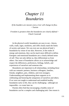# *Chapter 11 Boundaries*

*If the boulders are moved, even a river will change its flow. ~ Taoism*

*Freedom is greatest when the boundaries are clearly defined ~ Chuck Coonradt*

In the physical world, boundaries are easy to see—fences, walls, roads, signs, seashores, and cliffs clearly mark the limits of society and nature. We can even see our physical body's boundaries by virtue of our skin. However, in the realm of energy and emotions, they can be much more difficult to define. Energetic and emotional boundaries are a clearly defined sense of self. They not only define us, they differentiate us from others. Our sense of boundaries allows us to acknowledge and respect the differences, preferences, feelings, beliefs, and experiences of ourselves and someone else.

Boundaries are important in all relationships, including those with our romantic partners, business colleagues, families, friends, neighbors, pets, children, and even strangers. Understanding and implementing them supports us in celebrating and honoring the uniqueness of ourselves and others. If we were not taught to understand and establish healthy boundaries early in life, they can be challenging—although not impossible—to create later on.

Parents often find that encouraging a healthy sense of boundaries can be a complex and challenging task. One reason is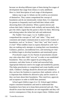because we develop different types of them during five stages of development that range from infancy to early adulthood. Here is a brief description of each stage of development:

*Infancy (up to age 1).* Infants see the world as an extension of themselves. They cannot comprehend the concept of boundaries and do not intentionally violate them. It is important for parents to frequently touch and hold their infants while showering them with attention. When a parent mirrors and echoes their baby's behavior both verbally and nonverbally, they give the child a signal that the parent is there for them. Mirroring and echoing makes the infant feel safe and understood.

*The Toddler Years (ages 1 to 3).* Toddlers start to comprehend the concepts of "self" and "other." They need consistent and simple communication to assist in the creation of boundaries, such as "sit down," "don't bite," and "don't touch it's hot!" When toddlers learn to express themselves with "no!" they are making early attempts at creating their own boundaries. Guidance, patience, unconditional love, and nurturing are vital as children begin to develop boundaries and emotionally grow.

*Preschoolers (ages 4 to 6).* Parents of preschoolers should stay calm when their child "acts out" in order to test established boundaries. They can offer support by providing advice, assistance, and other forms of verbal and nonverbal help. Appropriate behaviors need to be taught and modeled by parents. This helps preschoolers to comprehend and create healthy social skills. Children's feelings should be allowed and validated so they can have the freedom to experience their authentic selves. It is important that children be allowed to play and be creative so they can learn about their boundaries. They need love, approval, and acceptance in order to fulfill their potential.

*School-aged children (ages 6 to 13).* School-aged children require consistent boundaries and need to understand that boundaries have been set to keep them protected and safe. They should be aware that boundaries are non-negotiable and they will receive consequences if they do not respect them. Children need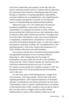to be heard, understood, and accepted. At this age, they also need to experience loyalty and trust. Children must be allowed to feel and express their emotions, including grieving their losses through to completion. Accepting appropriate responsibility, receiving validation for accomplishments, and completing tasks with the support and guidance of parents are all important aspects of comprehending and implementing boundaries.

*Adolescents (ages 13 to 18).* Adolescents will need new boundaries established as they mature and take on more responsibility. It is important for parents to strike a balance between giving their child more privacy and continuing to show an interest in their child's friends and activities. Teenagers tend to test the limits of boundaries as they move toward adulthood, so negotiation, communication, and patience is necessary to assist their development during this stage. As with every stage of development, enjoyment, freedom, fun, unconditional love, and nurturing parents is vital to the creation and maintenance of a child's healthy self-esteem and solid boundaries.

Even parents with the best of intentions find teaching healthy and appropriate boundaries to be an extremely difficult balancing act. After reading about the five stages of development, you may realize that not all of your childhood needs were met. There is almost certainly not a person alive that could have understood and met every one of our needs. No wonder so many people lack a healthy concept of "self" and boundaries! Most of us would probably benefit from healing work in this area.

As with every aspect of the healing process, change starts with awareness. Like many people, I had no idea I had issues regarding boundaries. After repeated experiences of disrespect and pain, I eventually hit rock bottom and had to face the truth— I had boundary issues! I started to understand that I was lacking a solid internal sense of self. I needed to focus on this in order to heal. An entry point or a trigger (which usually includes disillusionment or pain) is often needed to shake up our old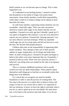belief systems so we can become open to change. This is what happened to me.

As I embarked on my healing journey, I started to realize that boundaries in my family of origin were pretty much nonexistent. Some family members would shirk responsibility, while others would try to balance things out by taking on more than their fair share.

As with many families, expressing certain emotions was not acceptable—especially anger. There was only one person allowed to express their anger in my family and that was my stepfather. I learned at an early age that I shouldn't speak up if I was upset or disagreed with someone. I was not even allowed to express my own opinion. I learned that "playing opossum" was my most effective survival technique. While my stepfather would rage, the rest of us kept quiet and did our best not to rock the boat. We became little people pleasers.

Children often take on the responsibility of appeasing other family members. They attempt to take care of their parents' sadness or anger, hoping they can fix things and make them better. In order to keep peace, I learned to be quiet and began to believe that others were more important than me. Essentially, I learned to hide my truth. These were not conscious choices. I believed I was doing what was needed for the sake of acceptance and survival.

This is a common childhood experience and is usually carried over into our adult relationships. These patterns repeat themselves until things get so bad that we eventually realize that things have to be different.

It is critical that we recognize our need for healthy boundaries in order to start the process of creating them. The first step in the process is to realize that we deserve honor and respect so that we can convey this to others. It is important to feel our emotions, to know we have the right to articulate what is true for us, and to speak up on our own behalf. We must learn how to be honest with ourselves and with others. If we do not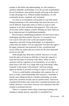awaken to this belief and understanding, we will continue to manifest unhealthy relationships. If we do not take responsibility for our boundaries, unscrupulous people will jump at the chance to take advantage of us. Without healthy boundaries, we will continually be hurt, exploited, and victimized.

It is easy to set boundaries with people we care little about. Setting boundaries in the relationships that mean the most to us can be difficult. Especially when we think we want or need someone in our lives and desire their approval. This is the area of our inner child's deepest wounds. Healing our inner child can be an important part of establishing boundaries.

Recovering or establishing boundaries you have never had is challenging and often painful. However, it is essential if you ever want to feel safe in the world and manifest healthy, supportive, and truly loving relationships. It is important to realize that you matter! You are important! You have the right to be happy, protected, and respected! In fact, a profound shift occurs when you realize that *you need to be the most important person in your life!*

Some people may think this is selfish. However, it is only from this place of loving our Self that we have the capacity to share the best parts of ourselves with others. When we love ourselves and are cognizant of our boundaries, we are able to share from a full well. It is a huge shift to go from being "otheroriented" to becoming "self-oriented," and from seeking approval outside of yourself to living in a place of self-approval.

To be in a solid healthy relationship with someone else, we have to create a solid relationship with ourselves. I remember a teacher once telling me that in a healthy partnership, we make Spirit first, ourselves second, and our partners third. I had never considered this before and, at the time, it seemed unromantic and selfish. However, I now know from my own experience that this wisdom is profound and true.

There is a romantic notion about connecting, bonding, and relating to another person, especially in committed love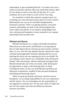relationships. It goes something like this: You make your lover's needs your priority and they make your needs their priority. Both of your needs are met by each other all the time! It's a nice sentiment, but it never seems to work well for very long.

It is unrealistic to think that someone is going to give you everything you want and need exactly when you want or need it. Believing this sets you up for inevitable disappointment, frustration, and pain. There's no getting around it, successful romantic relationships are built on the solid foundation that exists within each partner. In my opinion, being diligent and clear with personal boundaries is more essential in our romantic partnerships than anywhere else.

### **Michael and Sharon**

Michael and Sharon are a couple with healthy boundaries. When they are at the movies and Michael is not enjoying the film, he tells Sharon that he will step out and reconnect with her after it is over. The first time Michael did this, Sharon felt a little confused and disappointed. Michael explained that he was not enjoying the movie and was speaking up on his own behalf. He was making a choice that he was comfortable with and honored himself. After discussing it, Sharon understood and agreed that Michael should take care of his own needs, while allowing her the opportunity to make a self-honoring choice to finish watching the movie. In this case, both Michael and Sharon are being true to themselves, mindful of their personal boundaries, and making self-honoring choices.

When we speak up honestly and honor ourselves and our boundaries, we are taking responsibility for our own experiences and life choices. We are not handing over the responsibility of our happiness to someone else. We are clear where we begin and end. We also respect and value the differences between ourselves and others.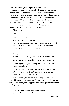## **Exercise: Strengthening Our Boundaries**

An essential step in successfully defining and expressing boundaries is the ability to communicate without blaming. We need to be able to take responsibility for our feelings. Rather than saying, "You make me angry" or "You make me sad," a more responsible way of articulating your emotions would be "I'm feeling angry" or "I'm feeling sad." A formula for emotionally honest communication and establishing healthy boundaries would look something like this:

When you…

I feel…

I would appreciate…

And what I will do for myself is…

I have no control over you, I am speaking up on my behalf, asking for what I want, and will take the action steps necessary to make myself feel better.

Example:

*When you do not pick up after yourself or do the dishes, I* 

*feel upset and frustrated. I feel you do not respect me.*

*I would appreciate you cleaning up after yourself and washing the dishes.*

*I have no control over you, I am speaking up on my behalf, asking for what I want, and will take the action steps necessary to make myself feel better.*

In this example, the partner may or may not respond favorably to the other person speaking their truth. If they do not respond favorably, other supportive actions steps may need to be implemented.

Example: Supportive Action Steps *Setting up a weekly chore schedule.*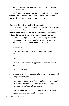### *Hiring a housekeeper come every week or two for support and assistance.*

Use this formula for articulating your truth, expressing your feelings, and accepting personal responsibility. This will help you to effectively set healthy personal boundaries.

## **Exercise: Creating Healthy Boundaries**

Take a few minutes to reflect and write about an area of your life where you feel someone has been infringing on your boundaries or where you are not being completely respected. What is this person doing that is causing you discomfort?

1. One key to recognizing this is to look for any resentment that you may be experiencing. When you have identified such a situation, finish the following sentence.

*When you…*

2. Explore and express how this "infringement" makes you feel.

*I feel…*

3. Articulate what you would appreciate as an alternative. Be specific.

*I would appreciate…*

4. Acknowledge your lack of control over the other person and take personal responsibility.

*I have no control over you, I am speaking up on my behalf, asking for what I want, and will take the action steps necessary to make myself feel better.* 

- 5. Consider and write down action steps that you can taketo support and honor yourself. Be specific.
- 138 TAMMI BALISZEWSKI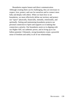Boundaries require honest and direct communication. Although creating them can be challenging, they are necessary to respect, love, protect, and care for ourselves and to connect more fully and deeply with others. When we learn how to set boundaries, we more effectively define our territory and protect our "space" physically, financially, mentally, emotionally, and spiritually. Setting and maintaining boundaries protects our personal connection to Spirit and supports us in making that connection a priority. Our boundaries assist us in aligning with our Higher Self, our authentic power, and in living up to our fullest potential. Ultimately, strong boundaries create a powerful sense of freedom and safety in all of our relationships.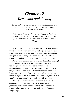## *Chapter 12 Receiving and Giving*

*Giving and receiving are like breathing, both inhaling and exhaling are necessary for a balanced, healthy life. ~ Tammi Baliszewski* 

*To the bee a flower is a fountain of life, and to the flower a bee is a messenger of love. And to both bee and flower, giving and receiving is a need and an ecstasy. ~ Kahlil Gibran*

Most of us are familiar with the phrase, "It is better to give than to receive." As children, we were taught to give; however, many of us were not taught how to receive. Generously giving and graciously receiving are equally important and vital to manifesting and maintaining a balanced, healthy relationship.

Based on my personal experiences and those of my clients, I find that many people have difficulty when it comes to receiving. They tend to have a belief system based on unworthiness and scarcity. They feel a need to "get" or "grab" things outside of themselves. Those with truly abundant and loving lives "let" rather than "get." They "allow" rather than "chase." If you do not have all that you want, need, and desire in your life, you probably have a challenge with receiving.

How well do you receive? Do you dismiss or deflect compliments? Do you feel obligated to return them or do you graciously and joyfully receive compliments? How do you respond when someone says, "You look great in that outfit!"? Do you say: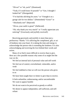"Oh no!" or "oh, yuck!" (Dismissed)

"Yeah, if I could loose 10 pounds!" or "Gee, I thought I looked fat!" (Disregarded)

"I've had this old thing for years." or "I bought it at a garage sale for two dollars." (Diminished) "Gross!" or "Absolutely not!" (Rejected)

"Oh no, your outfit is great!" (Deflected)

"Oh, why thank you very much!" or "I really appreciate you noticing!" (Graciously and joyfully received!)

Receiving graciously and joyfully is more than just a perfunctory "thanks." It is allowing the compliment, gift, or act of kindness into your heart. It is taking the time and energy to acknowledge the person who is extending the kindness. It is also acknowledging and receiving the love behind their words and action.

Many of us find it more difficult to receive than to give. Here are a few possible reasons why some of us might feel the way we do:

We feel an internal lack of personal value and self worth

We feel out of control, overwhelmed, vulnerable, and/or weak

We feel indebted or that we will owe the person who gives to us

We have been taught that it is better to give than to receive.

It feels unfamiliar, embarrassing, and/or uncomfortable We want to appear humble

We do not want to be perceived as greedy or selfish

We desire to appear independent, self-sufficient, and selfreliant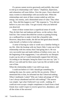If a person cannot receive graciously and joyfully, they tend to end up in relationships with "takers." Depletion, depression, and exhaustion will soon follow. Over the years, I have observed many women in relationships with successful men. When the relationships end, most of these women ended up with less energy, less money, and a diminished sense of value. They often ask, "How did this happen to me?" My response is, "You did not believe in your own value. You got exactly what you believed you deserved.

Some of these women have a superficial sense of worth. They do their hair and makeup and know, on the surface, they look hot. One woman described her actions as putting frosting on a cardboard box to make it look like a beautiful cake. However, deep down inside, she did not feel good about herself, value herself, or believe in her substance.

A sense of having no value or worth was a familiar feeling in my life. After the breakup with my fiancé, Bob, I came out of the relationship with less money than I had going into it. He was very successful man and made millions of dollars every year. At the beginning of the engagement, I was advised by our therapist to give up my job so I could emotionally support him full time. According to our therapist, being his fiancé was now my "job." I did as I was told and for three years I put my life on hold to take care of him.

When the relationship ended, I was told to go away.

I could not believe it! I felt I should get something for making this man, his career, and his life my priority. When I mentioned this to him, he informed me that I deserved nothing. When I meditated, I asked "Why am I taken advantage of? Why I am I always abandoned and left with nothing?" The answer was simple. I got what I believed I was worth—nothing. If I could not even accept a simple compliment or lunch from a kind friend, how could I expect to receive great love, abundance, and all the riches of the universe?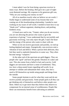I must admit I was far from being a gracious receiver in many ways. Before the breakup, Bob gave me a pair of eightcarat diamond earrings. My response to his generous gift was, "Why are you wasting your money on me?"

All of us manifest exactly what we believe we are worth. I finally began to understand some of my lessons that were coming out of this heartbreaking relationship. I needed to start working on my issues of self worth. I needed to learn how to say "thank you!" without argument, shutting down, and pushing kindness away.

A friend once said to me, "Tammi, when you do not receive, you are not allowing the person who wants to give the experience of giving." I now understand that by not joyfully and graciously receiving, I not only reject the gift; I reject the heart and the energy of the person who wants to share with me.

When we do not receive graciously and joyfully, we end up feeling depleted and empty. Energetically, non-receivers emit a vibration of lack and deficit. When a person feels deficient, they feel they need to replenish themselves in some way. They often become energy "vampires."

At the other end of the spectrum are gold diggers. They are people who "grab" and have the greedy vibration of a taker and user. This also stems from a belief in lack and scarcity. Gold diggers are narcissists and have a sense of entitlement. They, too, have a deep-seated issues regarding self-worth. In an attempt to validate and substantiate their value, they feel a need to fill themselves up inside using people and things from the outside.

Some people hesitate to ask for what they want and do not receive joyfully and graciously. Some people grab at all they can get thinking only of themselves and believe other people owe them. Others try to get more than they believe they deserve to compensate for an internal sense of worthlessness. People like these can enormously benefit from cultivating an authentic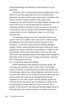loving relationship with themselves and learning to receive graciously.

Ultimately, the receiving process needs to begin from within. Before we can fully appreciate and receive someone else's generosity, we must be able to give generously to ourselves. We need to be able to nurture ourselves with respect and compassion. We need to honor our hunger, fatigue, feelings, and truth. Until we do, it will be impossible for someone or something outside of ourselves to give us what we truly need. It is necessary to care for ourselves and feel deserving before we can graciously receive compliments, respect, or love from someone else.

As a massage therapist, the most exhausting clients were "givers" who were unable to relax and receive. I felt frustrated and depleted at the end of these sessions because of their resistance—it was like trying to push an elephant through a keyhole. While I understood that receiving is difficult for some people due to issues with guilt or unworthiness, it made my job much harder. On the other hand, when a client was able relax and receive, their gratitude made me feel appreciated, energized, and joyful. It felt as if a cycle of energy was present; a graceful flow of giving and receiving.

It is a wonderfully balanced exchange.

While meditating on the dynamics of giving, taking, and receiving, two situations came to mind. First, I envisioned a child at Christmas. Excited about her presents, she quickly rips each gift open without any acknowledgement and hastily moves on to the next. When the last of the presents have been torn open and discarded, she expresses her disappointment that the experience is over. She is upset with the quantity of gifts she received and that she did not get *everything* she wanted. In the second situation, another little girl is just as excited. She is present "in the moment" and expresses heartfelt appreciation for each gift and for the overall experience. In which scenario do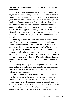you think the parents would want to do more for their child in the future?

I have wondered if God sees many of us as impatient and ungrateful children, whining about things not being different or better, and asking why we cannot have more. We rip through the gifts of the world that are so generously bestowed on us, all the while complaining. Many of us focus on what we do not have rather than what we do have. We often complain rather than appreciate. I have put forth a conscious effort and made great strides with being appreciative and graciously receiving. Gratitude has been a powerful catalyst to opening the floodgates of profound abundance, love, miracles, and support in all areas of my life.

While my husband and I were still dating, there was a time when I experienced great discomfort. Initially, I could not understand why I felt this way. I finally realized that it was scary, overwhelming, and foreign for me to "sit" in this much loving—I felt I had hit my upper limits. I said I wanted a relationship with a loving man and had certainly done a great deal of inner work to get to this place. Now that I had manifested it, I was not sure what to do with it! When I meditated about my confusion and discomfort, I realized that I just needed to relax, allow, and receive.

Expanding, receiving, and allowing more love in can take some getting used to. Receiving love can be like stretching your body when you muscles are tight. You have to go slow, be patient, and keep stretching.

One day while meditating, I envisioned a funnel. I noticed that the narrow end of the funnel is constricted and does not allow much to flow through. Similarly, if we are constricted within ourselves and do not believe in our worth and value, we cannot allow the good to come into our lives. Everything that we manifest has to do with our internal sense of value and our connection to Spirit. We need to be able to breathe, take in, and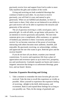graciously receive love and support from God in order to more fully manifest the gifts and wonders of the world.

Giving and receiving are both wonderful blessings that continue to build on each other. As you learn to receive graciously, you will find it is easy and natural to give generously. When we are fulfilled and abundant, we have so much more to share. Only when we are balanced in our ability to give and receive will we be able to experience the miracles and generosity of the universe.

The art of gracious receiving is a skill, social grace, and a powerful gift. As with all skills, we get better with practice. Set an intention to receive graciously and joyfully. The next time someone gives you a compliment, offers assistance, or a gesture of kindness pay attention to them. Graciously and joyfully receive! As we become conscious of the power of receiving, interacting with others becomes more authentic, heartfelt, and enjoyable. By graciously receiving, we acknowledge, validate, and appreciate the one who wants to give. Both the giver and the receiver benefit!

If you do not have all you desire, examine your internal constrictions. To receive and experience life from a place of appreciation and reverence opens us up to more love, prosperity, joy and synchronicity. Gratitude expands our hearts and creates a magnetic attraction that brings to us unforeseen blessings, great love, and our hearts' desires.

### **Exercise: Expansive Receiving and Giving**

1. Take a moment to remember the most favorite gift you ever received. Take the time to recall this experience as vividly as possible. Allow yourself to experience the expansive feeling of receiving—delight in the thrill, deliciousness, and excitement. Bask in and expand these feelings for as long as you possibly can. Then, let the energy of gratitude and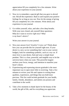appreciation fill you completely for a few minutes. Write about your experience in your journal.

- 2. Now try to remember a special gift that you gave to aloved one. Recall the experience. Bask in and expand your positive feelings for as long as you can. Now let the energy of giving fill you completely for a few minutes. Write about your experience in your journal.
- 3. Go within yourself, relax, and take a few deep breaths. With your eyes closed, ask yourself these questions: *What do I want to receive right now? What is my heart's desire?*

Write your answer in your journal.

- 4. Was your answer love? Jewelry? A new car? Think about how you can provide this for yourself right now. If your desire is a new car (or something that's not in your current budget), look for something symbolic, such as a toy car. If more love is your desire, find and wear a simple heart pendant. This is a clear, powerful, and tangible way to let the universe know what you want. This powerful magnet anchors your focus, energy, and intention to manifest your heart's desire.
- 5. Experiencing and expressing sincere gratitude is the most important way to open more fully to receiving. Take a few minutes to review your life and capture in writing those qualities, experiences, and things that you hold most precious. This list could include gratitude for your health, family, friends, abundance, and talents you possess and contribute to the world.
- 6. Take a few moments to thank Spirit for the beauty of the world, the gift of life, and for everything you appreciate.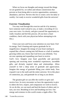When we focus our thoughts and energy toward the things we are grateful for, we soften and release constrictions that prevent us from being able to receive opportunities, assistance, abundance, and love. Review this list or create a new list daily or weekly. Get ready to receive wonderful gifts from the universe!

#### **Exercise: Visualization**

You may read through this exercise and do it by memory, have someone read it aloud to you, or make a recording of it in your own voice. Go slowly, and give yourself the opportunity to really visualize and feel this process. (If you have a heart condition, check with your physician before attempting to do this.).

Close your eyes and focus your attention on your heart. Feel its energy. Feel it beating and express gratitude for its magnificence. Imagine the energy of your heart starting to expand like a flower coming into full bloom or a ball of sunshine growing within you. Know that God loves you infinitely. You are now opening and expanding your heart to receive God's love. Imagine your heart gracefully and graciously opening and receiving more wonderful experiences, incredible gifts, and divinely inspired ideas and relationships. Allow yourself to feel a deep sense of gratitude and appreciation. Imagine this energy of gratitude filling your whole body. Now expand it out to the earth and the entire universe. Sit in this place of connection, joy, and gratitude for as long as you desire.

The greatest gift we can offer the world is to give and receive love. In every encounter we have the opportunity to give to others the love, respect, and compassion we wish to receive. As we do this, we can touch and heal the hearts of others and, in turn, our own. Breathing in love and breathing out love. Our energy and existence in this world creates a ripple effect. The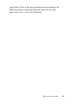ripple effect of love is the most powerful and most healing of all. When you choose to step more fully into your love, not only does it serve you, it serves all of humanity.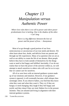## *Chapter 13 Manipulation versus Authentic Power*

*Where love rules there is no will to power and where power predominates love is lacking. One is the shadow of the other. ~ Carl Jung*

> *There is a big difference between the love of power and the power of love. ~ Anonymous*

Most of us go through a good portion of our lives semiconscious or unconscious of our true needs and desires. We often learn about fear, doubt, and deficits from our parents and through our life experiences. Many of us question who we are as well as our ability to create the life of our dreams. Most people believe they have to look outside of themselves for the things want or need to feel happy and fulfilled. Inevitably, if we do not realize that we have the power of the universe within us, we will attempt to attach ourselves to others who will care for us in ways that we cannot care for ourselves.

All of us were born with an internal guidance system made up of our emotions and intuition. However, if our guidance system is ignored, it will eventually become a dull whisper then seemingly silent. If you observe babies, you find that they know what they want and when they want it. They cry if they are hungry or need changing; they laugh if they feel happy and joyful; and they sleep if they are tired. Babies live in the present moment. They are attuned and living in alignment with their internal guidance systems.

150 TAMMI BALISZEWSKI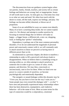The disconnection from our guidance system begins when our parents, family, friends, teachers, and society tell us certain feelings and behaviors are wrong, bad, or inappropriate. Issues of self-worth start to arise. As time goes on, it becomes less clear to us what we want and need. We often lose touch with the desire to create, tell the truth, express our feelings, and play. Our feelings can become stifled, distorted, or blown out of proportion.

Some of us are unfulfilled in ways we cannot even identify. Many of us have a yearning deep inside, but we cannot explain what it is. We distract and attempt to soothe ourselves by focusing on external things that we believe will make us happy—a bigger house, a different job, a new car, shopping, food, or finding that "perfect" relationship.

Dependency is perhaps one of the most common personality disorders. If we do not understand the magnitude of personal power and consciously connect with it, we will constantly seek to attach ourselves to those we perceive as having more or different power than we do.

As mentioned in a previous chapter, the desire to manifest a relationship in order to fill a perceived void always leads to disappointment. When we believe there is something wrong or missing within us, we often attempt to attach ourselves to someone else in order to give us a sense of value, worth, purpose, and direction. We may then, consciously or unconsciously, start to live for them. When we hand over our power to a source outside of ourselves, we become psychologically and emotionally dependent.

The energetic or unsaid dialogue within this dynamic may be "I love you, but you have to love me the way I want you to." Some people may even extend this dialogue with "—or else!" I have seen and personally experienced many relationships where there has been destructive, manipulative, and vindictive behavior—all in the name of love. More accurate terms for this type of connection would be *co-dependency, emotional*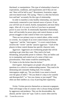*blackmail,* or *manipulation*. This type of relationship is based on expectations, conditions, and requirements and if they are not met "there will be hell to pay!" Resentment, frustration, anger, and even hatred result. The saying, "There is a thin line between love and hate" accurately fits this type of relationship.

In order to manifest a truly healthy relationship, you must be consciously connected to your internal source of power. If not, you will feel out of control, fearful, manipulated, and most likely angry. After all, it is scary to feel as if you have no personal power in your own life. In emotionally dependent relationships, there will inevitably be power plays and control dramas as each person struggles to take control of their own experience.

There are two primary ways to control others, either overtly or covertly. An example of an overt control drama involves the *"aggressor"* and the *"interrogator."* A covert control drama involves the *"victim"* and the *"passive aggressor."* Each of the players in these control dramas has specific character traits.

*Aggressor.* Aggressors are overbearing people that will do anything to get what they want. They tend to be loud, threatening, and possibly prone to violence. They are bullies and try to manipulate and control out of a sense of their own powerlessness. Their motto would be something like, "It's better to be the kicker than the kickee."

*Interrogator. I*nterrogators are people who probe and ask questions in a critical or condescending manner. They tend to be demeaning and constantly finding fault. For example, interrogators might say, "Do you think it was smart to knock over the glass of milk?," "Do you think it's okay to be wasteful and disrespectful?," or "Are you clumsy or just stupid?" They often use their intellect as a way of proving their superiority.

*Victim.* Victims perceive themselves as innocent scapegoats. Their self-image is that of a martyr who is always being attacked by aggressors and predators. They are the downtrodden, the abused, and the "poor me" type. Guilt is a tactic often used by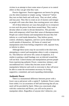victims in an attempt to have some sense of power or to control others so they can get what they want.

*Passive-Aggressor.* Passive-aggressors are known for giving you the silent treatment or simply saying, "whatever!" before they turn on their heels and walk away. They are aloof, sullen, and may pout. They like to create an air of mystery and intrigue so people will come after them, thus exerting power over others.

All of these behaviors are ways that people try to overpower or even suck the power from those around them. They want to devalue others in order to elevate themselves. This provides them with temporary relief from their sense of disempowerment. People use control dramas and manipulation because they feel inferior or a void inside themselves. They believe power, control, wholeness, happiness, and love can be obtained from the world outside of themselves. All forms of control and manipulation stem from feeling competitive with, separate from, or inferior to others.

Although these tactics may be successful in the short term, attempting to control and manipulate others is only a temporary fix. This behavior will never fill a sense of emptiness. It is similar to putting a small bandage over an infected wound that will not heal. Control dramas and manipulations prevent people from experiencing authentic Power, connection, intimacy, and unconditional love. Unless they become aware of their manipulative behavior and work to overcome it, they will never be able to create the environment necessary for loving, supportive, committed, and soul-expanding relationships.

#### **Authentic Power**

There is a monumental difference between power with a lower case *p* and power with a capital *P.* Authentic Power comes from within. It is an awareness of Self and knowing that all you need will be provided by Spirit. When you consciously align with this connection and Power, you will not be prone to manipulate others. Regardless of anyone else's behavior, you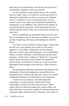know that you are connected to God, the only one true Power, and therefore completely whole unto yourself.

We all learned how to get attention early in life, typically from our family. Often, we continue to use the same tactics in subsequent relationships. In order to come into our Authentic Power, it is helpful to review our personal history. We can become aware of our control and manipulation tendencies by looking back at our childhood. Ask yourself which member of your family had the most power. How did they get the power and how did they keep it? How did you have power and get your needs met?

Once we understand our learned perceptions of power and how we attempted to get our needs met as children, we can focus on fully recognizing, cultivating, and claiming our Authentic Power.

As a child, I was not allowed to express anger. I learned that the only way to get attention was to pout or to be passive aggressive. As an adult, I continued to use this immature behavior in order to gain control and power in my relationships. When I was upset with Bob, I would often give him the silent treatment. At other times I might say, "Whatever!" or go home and not answer the phone when he called. He would often become frantic in his efforts to contact me. A part of me liked knowing he cared enough to come after me—until one day he didn't.

My manipulation definitely contributed to the demise of the relationship. Control and manipulation seemed effective in getting me what I wanted in the short term. However, it caused considerable damage to the relationship over the long term.

To move from an immature, outwardly dependant relationship to a mature, healthy, authentically loving relationship, you must first realize that true Power resides within. When you pull your energy back, anchor within, and align with Spirit, you are more capable of communicating from a connected, stable, and honest place. Ultimately, your source of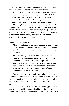Power comes from the same energy that breathes you. In other words, the only authentic Power is spiritual Power.

As with so many things, change and healing begins with awareness and intention. When you start to feel frustrated with someone else, it helps to remember that you are whole unto yourself. In the end, I believe all challenges center around your relationship with yourself and your connection to Spirit.

When people live from the empowered place within, rather than using a control drama to get what they want, they simply tell their truth (Chapter 11 on boundaries gave a good example of this). One way of stating your truth is by getting in touch with your feelings and your body sensations and sharing that experience from a physical perspective.

Some examples of communicating from the place of Authentic Power might include:

When you yell at me, I feel tightness in my stomach. I would like to continue to communicate, but if you continue to yell, we will have to have this conversation later when we are both calm.

When you changed our plans at the last minute, I felt dismissed and unimportant. In the future, I would appreciate being included in the decision-making process.

As you are making the suggestion for us to connect with your friends on Saturday, I am feeling some discomfort. I would like to take some time to understand what this is about before we commit to anything.

Communication can be a significant challenge. In the heat of the moment when there is anger, hurt, and frustration, there can be confusion. It is good to remember taking time for ourselves can help us to find balance, clarity, and to become centered again.

Meditation is a great way to anchor ourselves, get back to our center, and cultivate our spiritual Power. Just like a cell phone needs to be plugged in to recharge its battery, we need to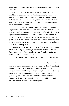consciously replenish and realign ourselves to become integrated and clear.

Our minds are the place where fear is created. During meditation, we are giving our "thinking minds" a break, so the energy of our heart and soul can bubble up. As human beings, I believe our essence is one of love, peace, and joy. By relaxing our minds and slowing down our constant barrage of thoughts, we align with that essence.

Finding my own Authentic Power has been an incredible experience. Occasionally, I become amused when I see that I am reverting back to manipulation with my "old friends" the passive aggressor and the victim. One time I wanted something from Steve and he did not comply. He asked me if I was starting to pout. I said, "Yes! Because I'm five and I want things my way!" Steve reminded me of my connection to Spirit and my Authentic Power. My pouting ceased.

Humor is a great quality to have while making the transition from an old way of behaving to a new one. It is wonderful to have support from those who know us well and can point out when we are up to our old tricks.

Authentic Power comes from the awareness that we are a

#### MANIPULATION VERSUS AUTHENTIC POWER

part of something much greater than ourselves. This "something greater" is on our side, moving through us, directing us, encouraging us, and loving us. From this place of connection we are aligned, whole, confident, and joyful. When we are genuinely empowered, we are free to be who we truly are whole and divine. We know all of our needs will be met and our true power comes from within and beyond.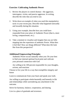## **Exercise: Cultivating Authentic Power**

- 1. Review the players in control dramas—the aggressor, interrogator, victim, and passive aggressor. In writing, describe the roles that you tend to use.
- 2. Write down an example of when you used this manipulative tactic in your recent past. Describe what happened outwardly and inwardly during this situation.
- 3. Using your example, describe how you could have responded from your place of Authentic Power (that is, more loving, compassionate, etc.).
- 4. Take a moment to visualize and imagine that you are fully stepping into the experience of authentic Power. What does it feel like? How are things different? What does life look like from this perspective?

## **Additional Empowering Principles**

Authentic Power occurs naturally when you: Do your best to find your internal spiritual focal point and cultivate your personal connection with God

Are willing to be 100 percent responsible for your thoughts, actions, and reactions

Choose to live your life in a way that exemplifies integrity and honor

Learn to communicate from your heart and speak your truth.

Are willing to participate whole-heartedly and honestly in life and relationships while surrendering any attachment to the outcome.

Strive for harmony, balance, cooperation, and sharing.

Live in a place of gratitude and reverence.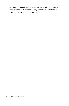Affirm and maintain the awareness that there is no competition, only connection. Realize that everything that you need comes from your connection to the Spirit within.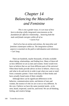## *Chapter 14 Balancing the Masculine and Feminine*

*This is not a gender issue, it is an issue of how best to develop a fully integrated consciousness as the foundation for effective relationship… honoring both the male and female energies within all of us. ~ Gavin Frye*

*Each of us has an anima and animus, the masculine and feminine counterpart within us. The integration of these aspects is essential on the path to individuation and wholeness ~ Carl Jung*

There are hundreds, maybe thousands, of books available about dating, relationships, and finding love. Many of them tell us how different we are as men and women. Some would even have us believe that we are from different parts of the universe! Often these books provide advice on how to behave, what to say, and what to do and not do in order to get what you want or need from a romantic partner. I have read many of these books and have actually found some of them valuable.

Although there can be significant differences in the behavior, communication styles, and desires of men and women, the essence of who we are is not so very different. At the core, I believe we have the same essential needs—to be seen, heard, respected, cared for, and loved. We are *all* thinking, feeling, and creative beings.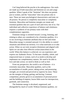Carl Jung believed the psyche to be androgynous. Our souls are made up of both masculine and feminine (or yin and yang) qualities. When I speak of the "feminine" this does not pertain just to women, and the "masculine" does not pertain only to men. These are inner psychological characteristics and traits we all possess. No person is completely masculine or completely feminine. Masculine and feminine energies are innate and essential qualities that are a part of each and every one of us. Our individual and collective experience of balance and wholeness requires a synthesis of our primary traits with their complementary opposites.

Feminine energy is oriented inward. Loving, listening, and relating to others are considered to be a feminine qualities. It is in our receiving (a feminine attribute) that we feel and relate. Masculine energy is oriented outward. It is the ability to control situations and defend our territory. It is what motivates us to take action. When we are truly receptive (feminine) and aligned with Spirit we can take clear effective action (masculine) in the world. When this balance is achieved, we can experience and express our Authentic Power. To become a healthy, whole, and empowered man or woman, each of us needs to develop and implement our complimentary natures. We need to be able to love and take action; we need to think as well as feel.

From my perspective, the world is out of balance—it is extremely masculine. Masculine qualities, such as the accumulation of wealth, power, taking action, and possessing strength, are revered and perceived as superior by most. These are the energies of doing, getting, and having. Constant competition, priority given to accumulation of personal power and the building of empires, leaves little room for introspection, gratitude, and connection.

The feminine energy is devalued, suppressed, and disregarded by much of world. Without feminine qualities, we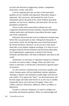are led in the direction of aggression, famine, competition, destruction, cruelty, and chaos.

I am not implying that men are bad, or that masculine qualities are not valuable and important. Masculine energy is important, vital, necessary, and essential for each of us as individuals and for the good of the world. Without masculine qualities, we lose focus, ambition, and motivation. We are not grounded or productive.

Power to take action (masculine) without love and compassion (feminine) becomes brutality. Emotion (feminine) without motivation and initiative (masculine) becomes sappy and overly sentimental.

Historians discovered that God was depicted as female long before She was portrayed as male. Dating back thousands of years before Christ, art and figurines were found that honored the Divine Feminine. However, we do not see or hear much about Her in our modern religious teachings. It is time for us to recognize both the Divine Feminine and the Divine Masculine. Any fragmentation, suppression, or denial of the Divine Feminine and Masculine, will lead to imbalance and chaos in the world.

Sometimes it is necessary to experience being out of balance to realize we need to make a change. When one side of our nature is repressed, it will become a disowned or ignored aspect of ourselves.

It is the universe's intention that we become complete and whole. Human nature will not indefinitely tolerate imbalance. Attempts at balance and wholeness usually begin with discord and conflict. If we ignore the "hints," our disowned nature will become larger and make itself known to us one way or another. It generally shows up in the form of tragedy, chaos, loss, conflict, neurosis, obsessions, addiction, illness, accidents, or depression.

In order to cultivate wholeness, we need to combine our masculine and feminine qualities. When we acknowledge and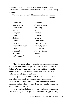implement these traits, we become whole personally and collectively. This strengthens the foundation for healthy loving relationships.

The following is a partial list of masculine and feminine qualities:

| <b>Masculine</b>   | Feminine           |
|--------------------|--------------------|
| Goal oriented      | Feeling oriented   |
| <i>Determined</i>  | <b>Nurturing</b>   |
| Logical            | Emotional          |
| Analytical         | Intuitive          |
| Controlling        | Receptive          |
| Rational           | Creative           |
| Competitive        | Cooperative        |
| Physical           | Compassionate      |
| Externally focused | Internally focused |
| Powerful           | Empowering         |
| Independent        | Family-oriented    |
| Proactive          | Passive            |
| Self-contained     | Inclusive          |

When either masculine or feminine traits are out of balance (or denied) our whole being suffers. Awareness is the key to balance. When we become aware of the qualities we need to embrace and embody, we can make a conscious choice to cultivate and integrate these traits.

In the past, I buried and denied many of my feminine and masculine qualities. Even though I consider myself very feminine, I had deep-seated judgments about myself and my femininity. Many of my women clients have similar judgments of inferiority and shame.

Many men have judgments and shame about contemplating and integrating feminine qualities. These men struggle to accept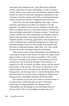and express their feminine traits. They often tend to objectify women, experience love-hate relationships, or seek to conquer women. When a man cannot access the feminine qualities within himself, he will be on the prowl seeking the embodiment of the "feminine" from the outside world. This is a dysfunctional (and usually unconscious) attempt at integration and wholeness.

I often hear men and women fighting. They argue, criticize, find fault, and demean each other in an attempt to win the argument. This behavior flows from an imbalance of traits. The desire to compete and win is a masculine tendency. The desire to listen and deeply understand is feminine in nature. To build and sustain a healthy and whole relationship, its foundation must be built on both masculine and feminine qualities. However, the feminine qualities of listening, appreciation, and compassion are vital to communication, especially during times of conflict and misunderstanding. I believe if more people truly listened with the intent to understand another, rather than "win" there would far more successful and happy long-term partnerships.

There comes a time in many relationships when thinking and reasoning do not give us the answers we need. We simply cannot figure out life or what to do about our problems. This is when we need to surrender to the qualities of the feminine and to the unconscious. One of the great strengths of the feminine is to simply be: be still, be relaxed, be patient, and go with the natural ebb and flow of the universe. This means we surrender to God. Optimal balance occurs from partnering with Spirit, relaxing, being patient, and allowing clarity to come forth (qualities of the feminine) and, once we have clarity, stepping up, taking action, being proactive, and diligent (qualities of the masculine).

The evolution of our soul occurs when we become aware of our disowned or conflicting aspects and by welcoming, embracing, and integrating them. By taking personal responsibility and developing our less-developed traits, we become whole. This is an incredibly powerful step in our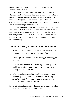personal healing. It is also important for the healing and evolution of the planet.

If you consider the state of the world, you may feel that change is needed. From this chaotic state, many of us will set a personal intention for balance, healing, and wholeness. It is through seeking and finding our wholeness that we will experience connection and harmony in our careers, our health, in our love relationships, and in the world.

Taking the journey inward takes courage, commitment, faith, and fortitude. We all have the ability to succeed. The choice to take this journey is not an option. The option you do have is whether you take it now or later. When we choose to embark on this journey we are met by angels, seen and unseen, to support us along the way.

## **Exercise: Balancing the Masculine and the Feminine**

- 1. Review the list of masculine and feminine qualities. Write down the qualities that you believe you embody.
- 2. List the qualities you feel you are lacking, suppressing, or ignoring.
- 3. Now ask your intuition to share with you which qualities could you benefit the most from cultivating, integrating, or owning and write them down.
- 4. After becoming aware of the qualities that need the most attention, go within and ask, *"What can I do to bring myself more fully into my ideal state of wholeness and balance?"* Write down the answer.
- 5. Create a list of action steps that you can take now, to balance your masculine and feminine qualities.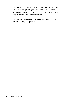- 6. Take a few moments to imagine and write down how it will *feel* to fully accept, integrate, and embrace your personal wholeness. What is it like to stand in your full power? How are you treated? How is life different?
- 7. Write down any additional revelations or lessons that have surfaced through this process.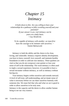# *Chapter 15 Intimacy*

*It boils down to this: Are you willing to have your relationships be a pathway to fully revealing yourself and your potential? If your answer is yes, real intimacy can be yours on a daily basis. ~ Gay Hendricks*

*To be capable of intimacy with another, we must first have the courage to be intimate with ourselves. ~ Tammi Baliszewski*

Intimacy is both the ability and the choice to be close, loving, and vulnerable. Intimacy requires identity development; you have to know yourself, love yourself, and maintain healthy boundaries in order to cultivate true intimacy. These qualities are vital so that you do not overpower your partner or lose your sense of self in the relationship. The word intimacy is often used to imply a sexual experience; however, it is possible to have a sexual encounter without intimacy, as well as intimacy without having sex.

True intimacy begins within ourselves and extends outward. A level of self-trust, self-understanding, and an innate sense of value is necessary before we can share ourselves honestly with someone else. We must feel that who and what we are is good in order to allow ourselves to be truly seen.

Intimacy is the capacity and the desire to allow another human being to see our very essence.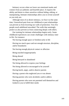Intimacy occurs when we lower our emotional masks and connect from an authentic and heartfelt place. It requires the ability and desire to share ourselves without hiding, editing, or manipulating. Intimate relationships allow you to reveal yourself as you truly are.

Although most of us desire intimacy, we fear it at the same time. Unresolved pain from our childhood or past relationships can prevent us from lowering our walls of protection. Very few people reach adulthood unscathed. The walls that seemingly protect us also prevent us from connecting deeply with others.

Our training for intimate relationships begins early. Some childhood experiences can create challenges with intimacy later in life. For instance:

Not having enough space or freedom early in life

Having too much space and not enough structure, discipline, and/or boundaries

Not having enough physical contact or affection

Being touched inappropriately

Being abused

Being betrayed or abandoned

Not being allowed to express your feelings

Not being allowed or encouraged to be yourself

Having harsh, angry, and/or abusive parents

Having a parent who neglected you or was absent

Having parents who were alcoholics and/or addicts

Having parents who were not parented well themselves and looked to you to fulfill their needs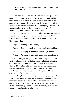Experiencing significant trauma such as divorce, death, and health problems

As children, if we were not allowed and encouraged to be authentic, intimacy and genuine heartfelt connections will be more difficult as an adult. We learn to cover up our fears and deny our feelings in order to be accepted. We hide our truth in order to create a sense of normalcy and belonging. This can be a very painful existence in that our true nature is one of authenticity, connectedness, acceptance, and love.

There are five primary coping mechanisms that are used in order to deal with problems or to protect ourselves. Most of us have a natural tendency to use one or more of them: Fight: Using aggression

| Flight: Running away or hiding                           |
|----------------------------------------------------------|
| Freeze: Becoming paralyzed like a deer in the headlights |
| Folding: Giving up or giving in; submitting to others    |
| Facing: Asserting oneself; addressing challenges head on |

Our innate style of coping is the way we respond to issues of crisis in all areas of life including intimacy. Intimate situations can trigger manipulation and control dramas as explained in Chapter 14. It is helpful to recognize the coping mechanisms you use and set the intention to start facing challenges head on. If you do not, you will perpetuate the challenges, problems, and experiences of your past.

As a child, I was not encouraged to share my feelings and my truth. As is the case with many children, I was taught that it is better to be seen than heard. Mine was not an environment conducive to cultivating a strong sense of self, nor one that allowed authenticity. Because I was not encouraged to explore who I was, I did not know who I was.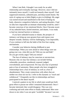When I met Bob, I thought I was ready for an adult relationship and eventually marriage. However, since I did not intimately know myself, I could not honestly share myself. I had suppressed emotions, unhealed pain, and deep-seated shame. My style of coping was to hide (flight) or give in (folding). My anger was turned inward and manifested in the form of hating my body, obsessive compulsive behavior, and eating disorders. I had no idea how impossible an intimate relationship would be, until I became conscious of my emotional blocks. Once I became aware of my unhealed hurts, buried emotions, and shame, I was ready to heal my internal barriers to intimacy.

If you have unhealed trauma or shame, the prospect of intimacy can bring up your greatest fears and expose your deepest wounds. Intimacy will be challenging, if not impossible, if you continue to fall into the habit of the first four coping mechanisms.

Consider your behavior during childhood or past relationships. When you were afraid or when things were not going your way, what did you do? Did you run and hide? Do you get overtly angry? Did you retreat?

The fear of intimacy may be conscious or unconscious. Reasons why we may fear intimacy can include feeling vulnerable, powerless, smothered, exposed, judged, overwhelmed, and overpowered. We may also fear of potential pain or loss of autonomy. Many people who have struggled in relationships have a fear of intimacy as well as a fear of abandonment. They create connections with others that are neither too close nor too far. I refer to this dynamic as "reach and withdrawal." I frequently see this in relationships and have participated in the dance myself.

I noticed a pattern in my life in which men would put forth great effort to pursue me while I remained disinterested. Once I became interested, they would disappear. This was very confusing and took some effort to finally understand. Men were drawn to me when I was not quite "available" because I was not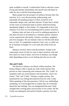quite available to myself. I realized that I had to cultivate a more loving and intimate relationship with myself and with Spirit in order for me to end this frustrating pattern.

Many people fear the prospect of intimacy because they fear rejection. It is a very disconcerting, embarrassing, and potentially devastating prospect to allow ourselves to be vulnerable, deeply seen, and then rejected. A heart that is afraid or hurt wears an emotional mask to protect itself from being abandoned, judged, or hurt further. It is impossible to have true intimacy if we have an overwhelming need to protect ourselves.

Intimacy does not have to be an all or nothing proposition. It also does not have to be limited to a romantic partner. Intimacy can be experienced with family, friends, coworkers, neighbors, and even strangers. We are intimate when we tell the truth about how we feel. To compliment someone's hair, eyes, or smile can be an intimate exchange if it is our truth and comes from our heart.

Intimacy involves choice and discernment. It helps to be consciously aware of who we want to share ourselves with and how much we want to share. Our level of intimacy can change daily depending on how we are feeling and who we are with.

#### **Jim and Cindy**

The blocks to intimacy are blocks within ourselves. Not being willing or able to speak our truth creates barriers that prevent us from connecting with someone else. The "walls" of unspoken truth can create distance and resentment. I have two clients, "Jim" and "Cindy." During a couples session, Jim mentioned he was feeling disconnected from his wife, Cindy. When speaking of this disconnection, I felt he was withholding something. As I encouraged him to explore this, he eventually shared his hurt feelings. Jim was disappointed because Cindy changed their evening plans several times in two weeks. He felt Cindy was making her job and her friends a priority over him.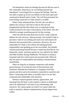Jim hesitated to share his feelings because he did not want to feel vulnerable. Deep down, he was feeling rejected and abandoned. I encouraged Jim to express his feelings. Once he was able to speak up on his own behalf, he felt more open and connected to himself and to Cindy. The wall that prevented Jim from feeling connected to Cindy started to crumble.

When Cindy understood how Jim felt, she was able to address his concerns. She had no idea he felt sad and disappointed and that their plans were so important to him. Cindy promised to be more conscientious in the future. She also offered to arrange something special for that evening.

Until Jim told the truth about how he felt, Cindy could not address his real concerns. Subconsciously, Jim wanted Cindy to just know what he was feeling and reach over and remove the obstacles that prevented their connection. However, this was impossible for Cindy to do without Jim taking personal responsibility and speaking up on his own behalf. Jim initially resisted expressing himself because it made him feel like he was being silly, needy, and petty (names he was called by his father and older brothers during childhood). The blocks to intimacy remained until Jim could express his personal truth. When he did, his sense of connectedness and intimacy returned almost immediately.

Often we long for an intimate connection with another person because of an internal sense of disconnection and loneliness. Beneath the loneliness is a longing to feel fully present and alive and to be intimately connected to ourselves and Spirit. Connecting with others is possible only if we are first connected and comfortable with ourselves.

Intimacy requires genuine interest, appreciation, and listening from the heart. It also requires a desire to understand and to be understood. It all starts in our relationship with ourselves. We cannot speak our truth if we cannot admit the truth to ourselves. Honest communication always begins from within.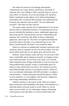We need to be aware of our feelings and honestly communicate our wants, desires, preferences, and needs. If someone else is not willing or able to provide what we want or need, often it is because we are not providing it for ourselves. When I meditated on the subject of my failed relationships, I asked Spirit why I could not find someone who understood me. In return, this question came to mind, "Do you understand yourself?" The truth was that I did not.

We cannot expect anyone else to understand us if we do not take the time to understand ourselves. An important part of my process included the intention to know, understand, appreciate, and accept myself. This paved the way for a relationship with someone who would have the ability to know, understand, appreciate, and accept me. The more I accepted and embraced my divine nature, the more it was reflected back to me. The better I treated myself, the better I was treated by others.

When we cultivate an authentically intimate connection with ourselves, then we naturally see the very best in others. Our true nature shines forth and we can openly give and receive love.

Intimacy values honesty, truth, and trust. As you start to feel more comfortable and accepting of yourself, you begin to lower your emotional mask. As you lower your mask, you will find others doing the same. Being comfortable in your own skin and being authentically yourself, creates a comfortable space for others to relax and be their true selves. We continue to evolve and unfold through a process of acceptance and joy. When we are in an intimate relationship with Self and Spirit, we radiate a certain beauty—a beauty that goes beyond the physical. When we love ourselves, we are magnetic and attractive. Supportive and loving relationships effortlessly occur.

I believe intimacy is the source of life. Most of us desire deep connections and friendships with others, and loneliness is a state that almost everyone wants to avoid. When we can be alone, yet not lonely, we are cultivating a deeper relationship with ourselves and with Spirit. It is also my belief that God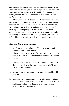desires us as we desire Him and as we desire one another. If we look deep enough into you or deep enough into me, we find God. Ultimately we are connected at the soul level. It is our true nature, and therefore an innate desire, to have a sense of this profound oneness.

When we reach the destination of self-acceptance, self-love, and intimacy, we can participate in a cosmic love affair with the universe. To be open to life is our natural state: to be vulnerable is our ultimate strength. As we cultivate our relationship with intimacy, we will open up to greater levels of connection, awareness, expansion, truth, and joy. Once we come to this place of knowing our true nature and adoring ourselves, the world will reflect this back to us and we will most certainly be adored.

## **Exercise: Cultivating Intimacy**

- 1. Recall an experience when you felt open, intimate, and connected with another person.
- 2. What was this experience like for you? How did you feel? In your journal, describe some of the qualities that were present for you.
- 3. Keeping those qualities in mind, ask yourself, "Have I ever shared or experienced these qualities with myself." If so, describe when and how.
- 4. List ways you can share and experience these qualities with yourself.
- 5. List more ways you can open up to greater levels of intimacy within yourself. Some examples are spending time in nature, meditating, writing your thoughts in a journal, writing a letter to God, and volunteering.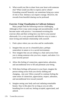6. What would you like to share from your heart with someone else? What would you like to express and to whom? Extending yourself honestly can sometimes bring up a sense of risk or fear. Intimacy can require courage. However, the rewards from heartfelt sharing can be profound.

## **Exercise: Using Visualization to Cultivate Intimacy**

Many people find the following exercise challenging. Although at first it may seem strange and uncomfortable, it will become easier with practice. I recommend revisiting this exercise often and then writing how you feel in your journal afterwards. It is a very powerful and effective way to create a more loving and intimate relationship with yourself.

- 1. Find a place where you can relax and be comfortable.
- 2. Imagine that you are in a beautiful place, perhaps somewhere in nature or in a sacred environment.
- 3. Now imagine that you are sitting in a chair and across from you is sitting someone who you love, respect, and adore. It is your favorite person!
- 4. Allow this feeling of connection, appreciation, adoration, and unconditional love to fill and permeate your being.
- 5. With these feelings still present in your heart, imagine the person sitting across from you slowly shifting and changing…into you! Allow yourself to continue feeling the same sense of connection, appreciation, respect, adoration, and unconditional love toward yourself.
- 6. Imagine seeing your body and soul radiating remarkable beauty. Stay in this place for as long as you are able, breathing love in and out, feeling accepted, appreciated, and adored.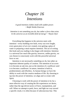# *Chapter 16 Intentions*

*A good intention clothes itself with sudden power. ~ Ralph Waldo Emerson*

*Intention is not something you do, but rather a force that exists In the universe as an invisible field of energy! ~ Wayne Dyer*

Everything that happens in the universe starts with intention—every building ever built, every war ever fought, every great piece of art ever created, even getting a glass of water or preparing a meal requires intention. The act of writing this book and you reading it also began with intention. Intention is a universal law much like gravity; however, unlike gravity, we can choose to consciously work with this powerful universal force or not.

Intention is not necessarily something we do, but rather an important inherent quality of creation. The intention of an acorn is to become an oak tree, just as the intention of a sunflower seed is to become a sunflower. In nature, intention is built in, predetermined, and effortless. As human beings we have the ability to work with the creative medium of life. By choosing to tap into the power of intention, we align and co-create with Spirit.

Choosing to work with the power of intention is by far a more effective way of creating the life experiences we desire, rather than the ego-driven tactics of force, manipulation, and will. When we attempt to push, force, and fight our way toward a specific result, it is often because of subconscious fear. This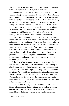fear is a result of not understanding or trusting our true spiritual nature—our power, connection, and oneness with God.

Dueling intentions or negative unconscious beliefs can also cause challenges in manifestation. If you want a relationship and say to yourself, "I am going to go out and find that relationship," but you also harbor buried beliefs such as relationships are hard, all the good ones are taken, and I don't deserve love, all the dating services and hard work to find Mr. or Ms. Right will be ineffective. True intention is an energy that invites and allows co-creation. When we understand and utilize the power of intention, we will begin to see dramatic results in our lives. Strong, declared intention sets the universe into motion.

Focused and deliberate intentions require us to clearly and specifically state our desires, envisioning our ideal situation, and cultivating patience and faith. When we do this, a powerful force is called forth and invited in. When we are clear about what we want and remove obstacles like fear, competing intentions, or resistance, we then become a magnet and a vibrational match for what we have identified. Intentions can be created to achieve any goal including financial prosperity, opportunities, material things, a deeper and more conscious connection with Spirit, relationships, and love.

When I was first introduced to the practice of intention, I was not convinced of its power. I did not believe something so simple could really be that effective. However, I decided to put forth my best effort and be open to the experiment of deliberate intentions. As I considered creating an intention, I chose to start with something simple: "It is my intention to have a good day." Upon reflection at the end of the day, it did seem that I had a pretty good day. I thought it was probably a coincidence and did not give it much credence.

Later I started working with health-related issues. I had a history of debilitating chronic fatigue and consulted with many doctors and specialists to help me heal this frustrating and painful health challenge. I started to use the affirmation and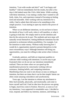intention, "I am wide awake and alert!" and "I am happy and healthy!" I did not immediately feel the results, but after a few days it did indeed seem like I felt a little better. While working with these intentions, I was stating a reality that I wanted to call forth, claim, live, and experience instead of focusing on feeling tired and miserable. After working with my intentions for a while, I had to admit there did seem to be something to this simple practice. I was starting to open my mind to the power of intention.

When we set deliberate intentions, we do not have to know the details of how it will work, when it will manifest, or what it is going to look like. We simply need to set the intention and then let the universe do its part. The methods and next steps will naturally reveal themselves. Setting deliberate intentions has the potential to orchestrate infinite possibilities. For example, I set the intention to make money. Without really knowing how I would do it, opportunities started to present themselves in the most extraordinary ways! Although intention will bring you opportunities, you must be willing to take action when it shows up!

Gratitude, patience, and faith are important qualities to cultivate while working with intentions. It can be easy to get frustrated when we do not see our intentions immediately realized. There are times when we can speed up the manifestation process by consciously working with our resistance, limiting beliefs, and competing intentions. Manifesting what you want is not always as easy as setting an intention, but there are times that it can be that simple! Intent can often create amazing coincidence and synchronicity.

Years ago, I set the intention to release my attachment to Bob; heal mentally, physically, and emotionally; and come to know myself and God. I had no idea how the process was going to begin, much less come to fruition. However, as soon as I set my intentions, I was supported in remarkable ways. I decided to trust, respond, and follow my interests, instincts, and feelings. A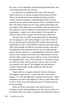few years, a lot of education, and an amazing husband later, here I am writing about that very process!

It is beneficial to understand and create with conscious intent; otherwise, we end up creating with unconscious intent. Often I see friends and clients manifest what they said they wanted, without realizing or remembering that they were the ones that set the intention into motion. I have a wonderful friend, Bill, who had just gotten out of a long, painful relationship and was ready to date again. He set an intention when he told me that he would like to go out without any expectations of a long-term relationship— maybe two or three months. Not long after we talked, he met a really cute girl and was having a great time.

The next time I saw Bill, he explained that the relationship was not going very well and he thought it was time to move on. He was sad because he really liked this woman and wanted the relationship to work. I asked Bill how long they had been dating. After some thought, he told me it was three months to the day! I reminded him of his intention and how he was simply getting exactly what he asked for. I encouraged Bill to refine his request and set a new intention. He said he was a little afraid to ask for what he really wanted, because he did not want to set himself up for disappointment. I said, "Hey! Pretend it's Christmas and ask for what you really want! If you don't ask for what you want, you certainly won't get it!" Bill laughed. He then started to consider what he really, really wanted and what his next intention would be.

People often set a negative intention without realizing it. That happens when we say, "I sure hope this or that doesn't happen," or "I bet this blind date is going to be atrocious." When statements are made in the negative or when we talk about what we don't want, we are still using the power of intention but not to our advantage.

When we do not consciously work with the power of intention, we risk attracting things to our life unconsciously as if by default. When our energy is scattered and unfocused, what we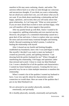manifest in life may seem confusing, chaotic, and unfair. The universe reflects back to us what we emit through our conscious and unconscious thoughts. If you think you want a relationship, but are afraid you cannot have one, you will attract what you do not want. If you think about manifesting a relationship and feel happy, optimistic, and excited, then you will easily attract that great relationship. As Carl Jung said, "What we resist persists." If you are more afraid than excited or more sad than happy, what you will manifest will be more negative than positive.

After my painful break up with Bob, I knew I wanted to be in a supportive, uplifting relationship and even married one day. However, the prospect of a committed relationship caused me a great deal of fear and stress. I chose to explore what was causing the stress and uncovered many irrational thoughts and limiting beliefs. Beyond examining my belief systems, I worked on healing the relationship with myself.

After I cleared out my fearful and limiting thoughts, established my boundaries, knew who I was (and began to really like myself), I decided I was ready to meet my husband. I created my powerful, joyful, and uplifting intention: "I am drawing forth the perfect husband for me!" When I thought of manifesting this relationship, I felt happy and optimistic rather than stressed and scared. I chose to create my Ideal Husband List. I wrote a detailed list of all the qualities and characteristics I wanted my future husband to possess. Creating this list was a powerful way for me to claim multiple intentions to manifest this relationship.

When I created a list of the qualities I wanted my husband to have, I was very specific about his characteristics and the connection we would share. Here are some of the qualities that I put on my Ideal Husband List:

*We are attracted to one another physically, mentally, emotionally, and spiritually.*

*He is healthy physically, mentally, emotionally and spiritually.*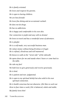*He is family oriented.*

*He loves and respects his parents.*

*He is open to having children.*

*We are best friends!*

*He loves fine dining and an occasional cocktail.*

*He does not do drugs.*

*He has no addictions.*

*He is happy and comfortable in his own skin.*

*Our connection is joyful and easy with no drama!*

*He loves to travel and has a wonderful sense of adventure.*

*He is playful.*

*He is a self-made, very successful business man.*

*He values money without being frivolous or frugal. He is refined, chivalrous and well mannered.*

*He knows to walk on the "street side" of the sidewalk.*

*He opens doors for me and stands when I leave or come back to the table.*

*He rubs my feet!*

*We both love to give generously and receive graciously.*

*He is kind.*

*He is patient and non- judgmental.*

*He is open to my spiritual beliefs but also solid in his own spiritual connection.*

*He is health conscious but not obsessive. (He likes to work out three to four times a week.) He is balanced, whole and stable. My family loves him!*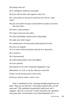*His family loves me!*

*He is intelligent, ambitious and joyful.*

*He loves what he does and supports what I do.*

*He is not jealous or possessive and loves me with an "open hand".*

*We give each other the space and freedom to explore ourselves and each other.*

*We share a deep intimacy.*

*We respect and trust each other.*

*We allow friendships outside of the relationship.*

*We make each other laugh!*

*We communicate well and easily understand each other.*

*He loves Los Angeles.*

*He is in touch with his feminine side but he is masculine.*

*He is sensitive.*

*He is heterosexual.*

*He understands politics and world affairs.*

*He loves animals.*

*He proposes to me with a beautiful engagement ring.*

*(Remember it is O.K. to ask for what you want!) He* 

*thinks I am the prettiest girl in the world.*

*He knows what he wants—and it's me!*

After I completed my list, a limiting thought popped into my head, "Men are not like this!" I felt Spirit respond with, "It only takes one!" My trepidation immediately faded away and I laughed—after all, it was true! I easily returned to my optimistic and joyful state. At the bottom of my Ideal Husband List, I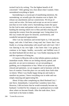invited God in by writing, "For the highest benefit of all concerned." After getting very clear about what I wanted, I then surrendered everything to Spirit.

Surrendering is a crucial part of manifesting intentions. By surrendering, we actually give the situation over to Spirit. We release our attachments and our constrictions. We let go of worry and we relax. We know and accept we are not in control (not that we ever really were!). Surrendering creates the space for the God to enter and partner with us on our journey. It is like handing the steering wheel over to Him and then relaxing and enjoying the scenery from the passenger seat. Going about it in this way creates the space for miracles, synchronicity, and wonderful unexpected opportunities.

After I set my intentions and invited Spirit in, I felt peaceful, happy, and calm. It had been a long road, but I knew that I was finally in a loving relationship with myself and with God. I felt I was dancing in my own light. I also knew that I was going to continue to be happy, healthy, successful, and fulfilled even if my ideal husband did not show up. I was finally enjoying my life and the experience of being me.

A Course in Miracles tells us that infinite patience produces immediate results. When we are feeling relaxed, patient, and peaceful, we are not in resistance; we are not pushing or grabbing, nor in desperation or fear. When we are peaceful, relaxed and optimistic, we are magnetic and in harmony with the laws of creation. From this place we can easily draw forth what we desire. When I was finally happy being me and ready to manifest my partner, I knew everything was in order and was simply enjoying and appreciating life.

About 10 days after completing my Ideal Husband List, I met Steve. Immediately, I sensed that I somehow knew him. However, I did not know that he would eventually become my husband. I worked for his company as a spokesperson at a trade show where we became friends. After the trade show, Steve went back to his home in Idaho.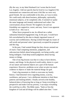(By the way, in my Ideal Husband List I wrote that he loved Los Angeles. I did not specify that he lived in Los Angeles!) We maintained our connection and soon it felt like we were very good friends. He was comfortable in his skin, as I was in mine. We could easily talk about business, philosophy, spirituality, emotional subjects, or be completely silly. It seemed we spoke the same language and innately understood each other. Our conversations always flowed. We laughed a lot and our friendship was supportive, sweet, and easy. Soon it was apparent to both of us—this was it.

When Steve proposed to me, he offered me a rather substantial diamond engagement ring. In the past, I would have felt overwhelmed by this due to deeply ingrained issues of scarcity and worthlessness. Having worked through my issues of self-worth and personal value I graciously accepted his proposal and the ring.

In the past, I had wanted things but they always seemed out of reach. I had competing intentions, judgments, and subconscious beliefs about being greedy, not being worthy, and being indulgent. I had deep-seated judgments about having money or things.

One of my big lessons was that it is okay to have desires, money, and things. In the physical world reality, desire is a part of our nature and material objects are a part of the human experience. However, problems occur when we give too much credence to objects or make the material things our god.

I had a big mountain to climb to overcome my family history. I had distorted views regarding money, scarcity, worthiness, and power. I set a deliberate intention to heal these patterns and limiting beliefs. I finally arrived at the healthy, balanced place of knowing that as long as I keep everything in perspective and make God my priority, I can enjoy everything the world has to offer. The Bible states, "Seek ye first the kingdom of God and all things will be added unto thee." I now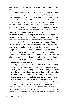easily maintain my balanced state of abundance, connection, and joy.

I came across my Ideal Husband List a couple of years after Steve and I were together. I asked if he would like to see it. At first he seemed to have a little trepidation, but then he agreed. I shared with him all the qualities on my list. When I was done, Steve laughed and said, "That sounds like me!" Yes it did! It was100 percent Steve! My Ideal Husband List is a perfect example of the power of deliberate intention and manifestation.

Now I set intentions daily. I use them to focus on and claim what I want to manifest and experience. I set deliberate intentions as soon as I wake up in the morning—to feel great, to be productive, to be in my joy, and to experience synchronicity. Other intentions include connecting with the right people at the right time, to be of service, and to uplift and support others. I also set intentions to consciously connect with Spirit, maintain optimal health and weight, and create financial prosperity. I use the power of intention to assist me in creating my artwork and writing. I identify and claim what I want to accomplish in meetings and sessions with clients. Intentions can be used for all situations, no matter how large or small. What we think about, feel, and intend in the present moment creates an energy and dynamic for what is to come.

I frequently remind friends and clients to set their intentions. I then enjoy observing amazing events unfold. A good friend of mine, Kay, was planning a huge fund-raiser. While planning this event, she felt overwhelmed, stressed, and depleted. Kay worked hard, doing everything in her power to ensure the success of the event. As devoted as she was to the cause, and in spite of how hard she worked, things were not falling into place. Each day there were fires to put out, dilemmas to contend with, and major problems to resolve. Kay told me she felt like a salmon swimming upstream. I reminded her that she could harness the power of the universe by deliberately setting her intentions. Kay thought about it and then set the intention: "The event will occur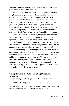with grace and ease and the perfect people will show up at the perfect time to support the cause."

Almost immediately there was a shift in Kay's experience. People began to step up to support and assist her. A company offered free lighting for the event, a great band wanted to perform, and free food and drinks were offered by a local restaurant. A pilot offered helicopter rides and vendors donated gift baskets, apparel, vacation weekends, gift certificates, and more. People seemed to be showing up out of nowhere to help Kay with this project. She was amazed at how different this experience felt before and after she set her deliberate intention.

After Kay declared her intention, the project became easy, productive, and fun! Rather than feeling like a salmon swimming upstream, Kay now felt like a surfer riding a huge wave! Through her declaration of intention, Kay partnered with Spirit. Her event went off without a hitch, everyone had a blast, and the amount of money raised also exceeded her expectations!

I love reminding people of the power of deliberate intention and supporting them in claiming what they want. It is so exciting to witness the miracles, support, and blessings that ensue after deliberate intention has been expressed. The universe is alive, conscious, and responds to our intentions. Once we truly comprehend the power of deliberate intention, not only do we have access to a powerful tool, we have greater creative control in manifesting the life of our dreams.

## **Things to Consider While Creating Deliberate Intentions**

You are an important, integral, and vital part of the universe!

The universe is designed to support and assist you.

Accept, believe, and embrace that you are a powerful creator and that you truly deserve all that will make you happy!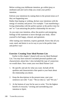Before writing your deliberate intention, go within (pray or meditate) and ask God to help you create your perfect intention.

Enliven your intentions by stating them in the present tense as if they are happening now.

Rather than hoping or wishing, declare your intentions with the energy of certainty and power. For example: "I am manifesting a loving relationship with the perfect partner at the perfect time for me" or "I am attracting the perfect relationship for me now."

As you state your intention, allow the positive and energizing feelings of the statement to move through your body. Allow yourself to feel happy, relaxed, and optimistic.

After stating your intention, express gratitude. Know that all you want, need, and desire is on its way to you in the perfect time and perfect way!

## **Exercise: Creating Your Ideal Partner List**

Earlier in this chapter I shared with you my Ideal Husband List. You may have noticed I included personal qualities and characteristics about him. I also included the type of connection we would share. Now create your own Ideal Partner List!

- 1. Be specific and ask for what you want. Include all the qualities and characteristics that speak to your heart about the relationship you desire.
- 2. Keep the descriptions in the present tense, start your sentences out with: "I am," "He (or she) is," and "We are."
- 3. At the bottom of your list be sure to write: "For the highest benefit of everyone," inviting and surrendering your intention to Spirit.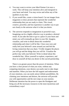- 4. You may want to review your Ideal Partner List once a week. This will keep your intention alive and energized in your heart and mind. You may revise and refine any of the qualities at any time.
- 5. If you would like, create a vision board. Cut out images from magazines or draw pictures that represent the wonderful relationship that you are ready to claim. This visual, creative, powerful, and fun experience is another way to put out clearly to the universe what it is that you desire.
- 6. The universe responds to imagination in powerful ways. Imagining can be a highly effective way to produce a desired result. If you take the time to go to a place in your heart and mind, you will eventually go there in your life. Imagine, visualize, and write in detail about this wonderful relationship and what it will be like. Close your eyes and really feel your beloved's arms around you and feel the loving connection that you share. Vividly imagine the places you will go and the things that you will do. Visualize the perfect day with your beloved. Write in detail about this wonderful day. Allow yourself to explore, experience, and draw to yourself all that you desire in this sacred partnership.

There is no greater power than the power of intention. When you have a clear picture of what you want, without any competing intentions, your desires can easily start to take shape and manifest. When you have the full support and endorsement of your emotions, you can easily attract infinite possibilities. By claiming your intentions and desires, the universe will provide you with opportunities and the next steps on your journey. Deliberate intention has the power to open the floodgates and bring you all the necessary resources in the most mysterious and extraordinary ways!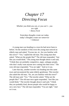## *Chapter 17 Directing Focus*

*Whether you think you can, or you can't— you are right ~ Henry Ford*

*Yesterdays thoughts create our today, today's thoughts create our tomorrow ~ Unknown*

A young man was heading to a town he had never been to before. On the outskirts of this town the young man noticed an elderly man and asked, "Excuse me, sir. Are you familiar with this town?" "Yes," replied the old man. The young man then asked, "What are the people like?" The old man responded, "Just like you would think." The young man thought about it and said, "I think they are probably competitive, angry, unhappy people, who don't really want anyone new coming into their town." The wise old man responded, "You are right." And so it was.

Later that day, another traveler was heading into this same town and encountered the same elderly gentleman. This traveler also asked the old man, "Sir, are you familiar with this town?" The old man said, "Yes." The traveler asked, "What are the people like?" The old man once again responded, "Just like you would think." The traveler thought about it and said, "I think they are probably kind, decent people who would be happy to see a new face." The old man responded, "You are right." And so it was.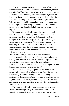I had just begun my journey of inner healing when I first heard this parable. It seemed there was some truth to it, I began to realize that I had always gotten (and was continuing get) what I believed I would all along. Most psychologists agree that our lives move in the direction of our thoughts, beliefs, and feelings. If we want to change our life, we have to change our focus. What we imagine wields extraordinary power. Sooner or later those imaginations will likely come to fruition. This will be the case whether your thoughts, beliefs, and feeling are positive or negative.

Expecting joy and miracles plants the seeds for joy and miracles. Continually worrying about lack and limitations creates the experience of lack and limitation. Constricted thoughts create constricted experiences; expansive thoughts create expansive experiences. For example, a person who is constantly worried and fearful about finances will never experience great financial abundance, just as a person who knows and believes in their ability to attain financial prosperity will never be broke.

We get what we expect; we become what we believe.

Many people believe they have little or no control over the musings of their mind. However, we all have the potential and capacity to shift our thoughts and change the direction of our lives. A Course in Miracles teaches us, "You accomplish so little because your minds are so undisciplined."

Most of us are not using the power of our minds to our greatest advantage and it is reflected in our lives. Do you have as much money as you want? Do you have the fulfilling relationships that you desire? Are you happy with where you are in your life? If not, there is potential to tap into your own inner resources to alter your experiences and pave the way to manifest what you desire.

We create our self-fulfilling prophecies with our words. Words can limit or propel, prevent or endorse, hurt or heal, constrict or expand. Even in jest our words have power. The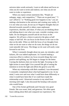universe takes words seriously. Learn to talk about and focus on what you do want to invite and endorse, not what you *do not*  want to evoke or experience.

When you repeat certain statements like, "People are unhappy, angry, and competitive," "There are no good men," "I can't afford it," or "Nothing good ever happens to me," you are making a declaration to the universe and creating your reality. If it is not what you want, do not say it! Negative thoughts that are directed towards yourself or others cause unpleasant experiences, disorder, and chaos. If what you are thinking about and talking about is not what you want, consider creating a new habit. Do not denigrate yourself and do not focus on the negative. We all have a choice to perceive the glass as half empty or half full. We can focus on the flower in the vase or the dust on the table. When we shift the focus of our thoughts from what we do not want to what we do want, the things we do not want naturally fall away. The things we do want will easily come forward in our lives.

When I constantly thought about my past, my mistakes, and failures, life was indeed unpleasant. As I started making a conscious effort to redirect my focus towards things that were positive and uplifting, my life began to change for the better. Cursing the darkness does not invite the light. Focusing on the light invites in more light! Give yourself the gift of setting the intention to invite the light and affirm the good in your life.

When my relationship with Bob crumbled, I was devastated. I constantly complained about what had happened to me. In my mind, I went over and over what I could have done differently or what it would have been like if we could have made the relationship work. I dissected scenarios in my mind from morning until night. I also discussed the breakup with anyone who would listen.

One of his former girlfriends and I became very good friends. She was sweet, kind, and generous. We often spent hours talking about Bob and compared our experiences. We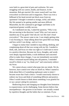were both in a great deal of pain and confusion. We were struggling with our careers, health, and finances. In the meantime, Bob got married. His career soared and I saw him everywhere on television and in magazines. There was even a billboard of his head erected one block away from my apartment! I thought it seemed so strange, awful, and unfair. My life seemed to be getting smaller and more difficult. Meanwhile, his life continued to get bigger and better as he experienced greater worldly success.

As I meditated one day, I asked the question, "Why is my life not moving in the direction I want? Why can I not seem to manifest any of my goals? *And why do I see this man's head everywhere?* The answer came to me. I was simply getting what I was focusing on. I kept talking about how great Bob was doing and how awful I was doing—and so it was.

I began to realize that I needed to stop talking, thinking, and complaining about all that was wrong with my life. I needed to think, talk, and focus on what was right so I could start to move in a positive direction. Because my focus, thoughts, and words were deeply ingrained habits, it took deliberate and concerted effort to make these changes. I was not immediately successful. When I witnessed myself falling into old patterns, I reminded myself to think or say "no, thank you!" and consciously redirect my focus.

We cannot always control what pops into our minds. We do, however, have control over what we dwell on. When I started to think about Bob or if something unpleasant came to mind, I became aware that I had a choice. I would consciously choose to redirect my focus and think of something different and positive. Often I would choose to think about something I was grateful for or say a prayer asking for assistance.

Redirecting focus and changing our thoughts from limitation to expansiveness can be challenging. Some doctors believe that neuropathways—the grooves in our brains—are actually created by repetitive thoughts and the habits that we entertain. If you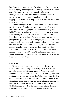have been in a certain "groove" for a long period of time, it may be challenging, if not impossible to simply alter the course all at once. Like water in a river that naturally follows a certain course, it flows in a particular direction and in a particular groove. If you want to change thought patterns, it can be akin to digging a new trench or creating a new river bed. We do this one thought at a time.

You have the power and ability to choose to focus on what is positive in your life and what makes you happy. With each conscious positive thought you are potentially creating a new habit. You start to redirect your river. Although you may not do a full 180-degree turn overnight, it is not unusual to get some immediate positive feedback from the universe that you are going in the right direction. For example, you start to affirm that money is easily coming to and, a short time later, you find a one dollar bill on the ground. You start to repeat an affirmation inviting more love into your life and then hear from a dear friend. You could even be asked out to lunch by an attractive stranger! I believe we get "winks" from the universe. These winks are designed to encourage, prompt, and affirm that we are heading in the right direction.

#### **Gratitude**

Expressing gratitude is an extremely effective way to redirect focus from the negative to the positive. *It is the most powerful force and the key ingredient in the experience of manifestation.* When you are in discomfort or unhappy, consider the things for which you are grateful. When we are experiencing discomfort or resistance, it is like we are pinched, similar to the pinch in the center of an hourglass. By relaxing and focusing on gratitude, we release resistance and begin to open the pinch. Gratitude brings us back to the present moment and steers us toward feeling good and moving in a more positive direction.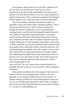If you want to attract more love in your life, consider all of the love that you currently have, all the love you have experienced in the past, all the relationships for which you are grateful, and all of the love that is on its way. Relax, breathe, be grateful, and receive! Allow yourself to experience the feeling of being wrapped in love, open your heart, and feel the gratitude!

One of my students, Samantha, harnessed the power of gratitude to attract her fiancé, Keith. Samantha explains, "Once I cleared out all of my fears, I really invited my beloved in through the practice of gratitude. I wore my grandmother's wedding band on my left hand and frequently thanked Spirit for my wonderful, respectful, loving relationship. I consciously opened my heart and really experienced sharing and receiving love. I thanked God daily and even painted a big heart with rays of light coming out of it and messages of gratitude in and around it. Shortly thereafter, my former boyfriend, Keith (someone I had never gotten over), called and said how much he missed me. We started spending time together and it felt so good. I never would have expected this, but he proposed and we are both so happy. The relationship feels different this time around and I know it is because I now love and respect myself. This whole process has been such an adventure and such a gift and I know I will be practicing gratitude for the

rest of my life!" We can't always know where the practice of gratitude will take us, but we can be assured it will be someplace wonderful!

Many spiritual traditions tell us the energy of the universe is similar to that of love and appreciation. When we focus on gratitude, we are lining up with the power of the universe. If having a bad day prevents you from feeling grateful, bring your focus to your breath and be grateful for the air that is coming in and out of your body. Be grateful that you are not the one doing it—in truth it is God breathing you!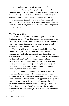Stacey Robin wrote a wonderful book entitled, *Go Gratitude.* In it she wrote, "Imagine being given a master key, yours for all eternity, to open all doors of possibility, rejoice for it is so!" She goes on to say, "Gratitude is the master key and opening passage for opportunity, abundance, and celebration."

Maintaining a gratitude journal is another wonderful way to anchor and expand the practice of appreciation. Oprah Winfrey consistently practices gratitude and has kept a gratitude journal for many years.

#### **The Power of Words**

The ancient sacred text, the Bible, begins with, "In the beginning was the Word." The spoken word carries great power and energy that creates patterns and experiences. Depending on the words we use, those patterns can be either chaotic and disordered or structured and beautiful.

The remarkable work of Masaru Emoto in his book, *The Hidden Messages in Water,* shows us the literal effect of thoughts and words. His research indicates that water, when exposed to loving words and positive thoughts (such as gratitude or statements like "you're beautiful") create brilliant, symmetrical, complex snowflake-like crystals. In profound contrast, water exposed to negative thoughts or words (such as "you fool" or "you're stupid") forms chaotic, incomplete, distorted, and asymmetrical images.

The implications of this research are amazing and prove what many have intuitively felt to be true for years—our thoughts and words literally create our reality. Another profound consideration is that are our bodies are approximately 80 percent water. Loving, positive thoughts and affirmations directed inward create health, balance, order, and beauty on a cellular level. These qualities and attributes are ones that we all could benefit from and enjoy having more of in our bodies and in our lives!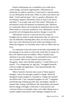Positive affirmations are a wonderful way to shift focus, create change, and attract opportunities. Affirmations are statements we make to ourselves. Consciously or unconsciously, we use affirmations all the time. When we look in the mirror and think, "I look and feel great," this is a positive affirmation. We are making a negative affirmation when we look in the mirror and think, "I'm an ugly toad, and I feel awful!" Both types of declarations create and maintain an emotional state. Whatever we continually affirm will eventually be manifested into our life. When used in a conscious, productive way, affirmations can be a powerful tool in bringing about positive changes in your life.

Affirmations work on a conscious level by using our thoughts and our minds to make declarations that we want to be true. By habitually repeating them, they can end up working their way to the subconscious level where real change occurs. When this happens, we inevitably attract what we affirm into our lives.

It is important to become aware of and take responsibility for the musings of our mind, as well as the words that we speak, for they will indeed create our realities. When I started to pay attention to my inner dialogue, I was astonished at how awful I was to myself. Much of my internal conversation was derogatory, mean, and extremely negative. I would often say to myself, "I'm a disgusting, fat, ugly pig." I struggled intensely with my weight and appearance. I also attracted people who were not nice to me.

When I started to become more aware of these negative thoughts, I knew the messages needed to change. When the derogatory banter popped in, I decided to "change the channel" and affirm with "I am a beautiful daughter of God." I imagined myself dancing, looking graceful, thin, and elegant. Initially it seemed silly, strange, and difficult. My relationship with myself did not change overnight; it took time. It took practice and conscious effort to eventually create a new habit. Being nicer to myself coupled with positive inner dialogue changed my life.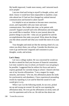My health improved, I made more money, and I attracted much nicer people!

I am now kind and loving to myself in thought, action, and deed. I know it would have been impossible to manifest a man who adored me if I had not first changed my unkind internal communication and learned to adore myself!

It is helpful to set an intention to become more conscious, aware, and responsible with your inner and outer communication. New habits take time, so be patient with yourself. Support yourself and write affirmations and messages you would like to manifest. Write in your journal about the positive things in your life—what you are grateful for and the accomplishments that make you proud. Write about the things you like about yourself and what you would like more of in your life.

Your thoughts and mind are like the steering wheel of a car; where you direct them, you will go. Consider the direction you want to go and become congruent and consistent in your thoughts, words, and actions.

### **Lee's Story**

Lee was a college student. He was concerned he would not be able to attend his final year because of financial constraints. Lee truly wanted to stay in school, yet feared it was not going to be possible. I suggested that he redirect his focus and start to express gratitude for currently being in school. I shared with him one of my favorite affirmations: "I am a magnet for magic, miracles, and money." (For me, this affirmation plants the seeds for synchronicity and abundance. I have experienced astounding results by repeating it.) Lee said he liked the sound of it and would give it a try.

When I saw Lee the following month, he ran over, picked me up and swung me around. He said he was repeating the affirmation daily. He even put the affirmation on sticky notes all over his apartment and in his car. He told me that about one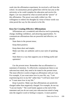week into the affirmation experiment, he received a call from the school. An anonymous person gifted him with his last year at the university so he could complete his education and receive his degree. Lee was amazed by what occurred and the "power" of this affirmation. The power was really within Lee. His willingness to redirect his thoughts by virtue of those words was what paved the way for this miracle in his life.

### **Keys for Creating Effective Affirmations**

Affirmations are a wonderful and effective tool in promoting change, building confidence, and attracting opportunities. To communicate affirmations that are powerful and effective, we should:

State them in the present tense;

Keep them positive;

Keep them short and simple;

Make sure they are authentic and in your style of speaking; and

State them in a way that supports you in feeling joyful and optimistic!

*Use the present tense.* Remember that an affirmation is a statement of intention. To effectively communicate them to our subconscious mind, they need to be stated in the present tense. The most effective words to begin an affirmation with are I am. For example, if you want more love in your life, say, "I am experiencing love in my life" rather than "I will have more love" or "I want more love in my life."

*Keep it positive.* Make sure that affirmations are positively charged rather than negatively charged. For example, do not say "I am not lonely." The word lonely appears at the end of this statement and you do not want your subconscious mind to hang onto the negative word or feeling it conjures. A more positive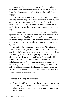statement would be "I am attracting a wonderful, fulfilling relationship." Instead of "I am not sick," say "I am healthy!" Instead of "I am not unhappy," positively affirm with "I am happy!"

*Make affirmations short and simple.* Keep affirmations short and simple so that they can be easily committed to memory. You can repeat your affirmations while waiting in line at the grocery store or sitting in the car while you are stuck in traffic. It is a productive way to use the down time that occurs throughout our day.

*Keep it authentic and in your voice.* Affirmations should feel uplifting and real. They need to fit your style of communication. Your affirmations should reflect your preferences, your intentions, and your desires. Your mind will more easily accept the statement if you describe what you want in your own style of speech.

*Bring about joy and optimism.* Create an affirmation that feels good and makes you happy when you say it! Do not create one that feels far fetched or out of the realm of possibility. If you feel unhappy or frustrated when you repeat your affirmation, chances are it will not be highly effective. For example, if I made the affirmation: "I am a billionaire" it would be unbelievable for me. A more appropriate one (and one that brings me joy!) would be: "I am manifesting great abundance." If I wanted to claim an actual dollar amount, I could create an affirmation that would double or triple my weekly income. That would seem more realistic to me.

## **Exercise: Creating Affirmations**

1. Create a life affirmation by starting with a catchword or two that feels right and then build your affirmation around it. The following are some examples I have used, enjoyed, and had success with: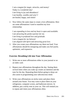*I am a magnet for magic, miracles, and money! Today is a wonderful day! I am living in joy and abundance! I am healthy, wealthy and wise! I am healed, happy, and whole!*

2. Now follow the same steps to create a love affirmation. Here are some affirmations I used to manifest my love relationship:

*I am expanding in love and my heart is open and available. I am attracting the perfect partner for me. I am living in profound love and gratitude. I am a magnet for my beloved. I am aligned with Spirit and attracting great love.*

3. After you create your affirmations say them out loud. Your affirmations should be energizing and make you feel joyful, optimistic, and expansive.

## **Exercise: Breathing Life into Your Affirmation**

- 1. Write one or more affirmations either in your journal or on an index card.
- 2. Repeat your affirmations throughout the day. Stating them several times when you wake up creates an intention and the tone for the day. Repeating them before going to sleep can also assist in programming your subconscious mind.
- 3. Write your affirmations on sticky notes and place them around your house. You may want to place them on your refrigerator, computer screen, and bathroom mirrors. In addition, put a sticky note in your car. This will remind you to repeat and claim your affirmations often.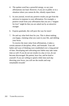- 4. The spoken word has a powerful energy, so say your affirmations out loud. However, if you are in public or in a situation where you cannot do this, silently repeat them.
- 5. In your journal, record any positive results you get from the universe in response to your affirmation. For example, a positive result from your affirmation that you are a "magnet for love" might be that you are asked out by an attractive stranger.
- 6. Express gratitude, this will pave the way for more!
- 7. Do and say what feels best for you. This is about making you happy, claiming what you want in your life, and shifting your focus.

To receive the most value from affirmations, it takes a certain amount of discipline, effort, and fortitude. Your old habits and ways of thinking were established over a long period of time. Developing and cultivating new habits may take some time as well. If you do not see results in a day or two, do not become discouraged. Be patient, have fun, and be kind to yourself. If you are willing to spend a little time each day directing your focus, you will see the results and reap remarkable rewards!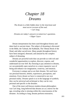# *Chapter 18 Dreams*

*The dream is a little hidden door in the innermost and most secret recesses of the soul. ~ Carl Jung*

*Dreams are today's answers to tomorrow's questions. ~ Edgar Cayce*

Dream interpretation has been used throughout history and dates back to ancient times. The subject of dreaming is discussed in the Bible, the Talmud, the Kabbalah, The Tibetan Book of the Dead, and other sacred texts. Many people throughout history have been intrigued, obsessed, and amused by the complex subject of dreaming.

Dreams are powerful tools that can provide us with rich and wonderful opportunities to explore, discover, express, and understand our true Self. By choosing to pay attention to dreams, we can potentially open ourselves to a more expansive way of being and enhance our imagination, creativity, and intuition.

Everyone is unique and so are their dreams. We each have our personal histories, beliefs, experiences, perceptions, and emotions. Every dream we have is connected to our own personal reality. Dreams speak to us in the language of symbols; they can be universal and archetypal or they can be very personal and specific to the dreamer.

One of the most well-known modern dream philosophers was Carl Jung. Jung believed that dreams act as a mirror for the ego, revealing what is missing within the consciousness of the dreamer. According to Jung, dreams perform restorative,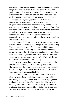corrective, compensatory, prophetic, and developmental roles in the psyche. Jung wrote that dreams can be our teachers and guides on the path toward wholeness and self actualization. He believed that the unconscious is the creative source of all that evolves into the conscious mind and into the total personality.

To become congruent, healthy, and whole we need to balance our conscious and unconscious self. If we do not integrate the unconscious we can end up living blindly and will experience chaos, confusion, and disorder. We might also end up recreating painful patterns in our lives. Although dreams are not the only way to become more aware of our unconscious material, they are a doorway and present a wonderful opportunity to eavesdrop on the dialogue between the conscious and unconscious mind.

The human mind is like an iceberg—10 percent is above the surface. About 90 percent of an iceberg is hidden beneath water; likewise, about 90 percent of our mental capability hidden in the unconscious mind. This is why hypnosis and understanding our dreams is so powerful—it allows us to tap into 90 percent of our mind. When we integrate the subconscious with the conscious, we get a true sense of who we are and with this knowledge we can become more complete human beings.

I have been writing down my dreams for a long time. I did not always understand how to analyze or process them. However, often when I reviewed them they made a great deal of sense in retrospect. I recently reviewed a dream I had several years ago when I was engaged to Bob.

In this dream, Bob and I were on a plane and he was the pilot. He was losing control of the plane and it was rapidly descending. All of my material possessions were flying out of the luggage compartment. When I asked Bob if he had been drinking, he shouted, "No!" and became angry and defensive. Panicking, I screamed back that he could lose his license to fly and we may even die. I did not know it at the time, but this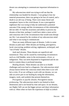dream was attempting to communicate important information to me.

My subconscious mind was trying to tell me that the relationship was headed for disaster. I was going to lose my material possessions, there was going to be loss of control, and a death to an old way of being. There were many literal and metaphoric layers to this vivid dream. It was a precognitive nightmare that was trying to help me understand a potential outcome if the energy and the circumstances of this relationship did not shift. If I had the awareness and ability to process my dreams at that time, perhaps I could have taken a more active and conscious role in the circumstances that would soon disrupt my life. I am amazed by the wisdom of my subconscious mind and what it was trying to communicate.

There are many different types of dreams. I refer to some dreams as junk mail. Other dreams are healing, precognitive, lucid, reoccurring, problem solving, nightmares, archetypal, and "out of body" dreams.

*Junk mail dreams.* These dreams are superficial and nonsensical. They can be caused by extenuating circumstances such as a full bladder, noise in the environment, a fever, or indigestion. They can seem disjointed or fragmented and do not tend to contain deep or profound meaning.

*Healing dreams.* These dreams can alert us to health challenges and even lead to a diagnosis. Our subconscious mind always knows before the conscious mind when there is (or will be) a crisis. If we are willing to work with our dreams, we can take an active part in our healing by using the information, imagery, tools, and symbols that present themselves.

*Precognitive or psychic dreams.* Precognitive means *preknowing.* The subconscious mind is not limited to three dimensions and is not bound by time and space. In our dreams, our Higher Self can see the bigger picture and share information with us. Often when we have the experience of *déjà vu* (which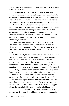literally means "already seen"), it is because we have been there before in our dreams.

*Lucid dreams.* This is when the dreamer is consciously aware of dreaming. When we are lucid, we have opportunity to direct or control the events, activities, and circumstances of our dream. We can go anywhere and do anything. In lucid dreams, we can alter or participate more fully in the dream experience.

*Recurring dreams.* When we have the experience of reoccurring dreams or repetitive themes, our subconscious mind is trying to communicate an important message. When these dreams occur, it can be beneficial to examine our thoughts, attitudes, and beliefs to determine what is consuming us. This can help us understand the message the subconscious mind is attempting to convey.

*Problem-solving dreams.* When we are experiencing challenges, answers often present themselves while we are sleeping. The subconscious mind contains vast knowledge and can present information that is inaccessible to the conscious mind.

*Nightmares.* Nightmares occur when the subconscious mind is urgently trying to get our attention. Often nightmares occur when the subconscious has been unsuccessful in repeatedly trying to relay a message. When we experience recurring nightmares, there is an urgent psychological message in our emotional psyche that needs attention and should not be ignored.

*Archetypal dreams.* Archetypes are a blueprint for spiritual knowledge and represent basic values inherent in each of us. Archetypes can appear as kings, queens, wizards, mythical creatures, celebrities, cartoon characters, superheroes, and more. These characters represent different aspects of ourselves. This type of dream presents an opportunity for us to integrate these aspects in order to achieve wholeness. It can reveal the bigger picture for us as individuals as well as for all of humanity.

*"Out of Body" Dreams.* These are characterized by a feeling of departure from our physical body and are quite common in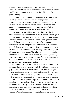the dream state. A dream in which we are able to fly is an example. Out of body experiences enable the observer to see the world from a point of view other than that of being in the physical body.

Some people say that they do not dream. According to many scientists, everyone dreams. We either forget them or lack interest in them. When interrupted at the beginning of the REM state (rapid eye movement, the indication of dreaming) and denied the opportunity to dream, people and animals begin hallucinating and exhibit characteristics of insanity.

My friend, Sierra, told me she never dreamed. She did not think there was any reason to dream, much less any advantage to it. I was stunned! I shared with her that I believe that dreams are our teachers and I have received personal messages and truths through them. I also shared some wonderful adventures, remarkable lessons, and precognitive messages that I received through dreams. Sierra seemed intrigued. I encouraged her to set an intention to remember a dream that night. The first night, she did not remember anything. The following night, Sierra again set her dream intention and as was thrilled the following morning when she actually remembered a dream! As Sierra continued to set her dream intentions she started to experience a rich, interesting, and wonderful dream life.

Often dreams can be difficult to recall. We can move toward remembering our dreams more clearly by setting an intention to pay attention to them. As I mentioned in the previous chapter, where we choose to place our attention, is ultimately what will increase in our lives. By showing interest in our dreams, they will come into focus, expand, and reveal themselves more fully.

Writing down the details helps us to develop our memory for recalling our dreams. Recording our dreams is the only way to remember them clearly and to learn more about them. I have found that sincere intention is a valuable technique for calling forth, remembering, and becoming more conscious of our dreams. Writing the sentence, "Tonight I am having a vivid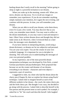healing dream that I easily recall in the morning" before going to sleep at night is a powerful invitation to our dreams.

When you wake up in the morning, remain still. When you move, dreams can slip away. Try to recall any images or remember your experiences. If you do not remember anything, simply maintain your intention, do it again the next evening, and continue with the process. In time, you will remember your dreams.

When you are able to recall your dreams, write them down, even if it is just a few words. You may discover that as you write, you remember more details. You may want to reflect on the dream immediately, or you may want to read and interpret it later. Often I have written dreams down and thought they did not make sense at all. However, when I reviewed them at a later time, the messages were abundantly clear.

If you have interest in interpreting dreams, avoid using a dream dictionary, as dreams are far too subjective and personal. You are your own expert. You are the creator of your own symbolic language. It is important for you to decipher its meaning. This will assist you in understanding the messages of your own personal parables.

In my experience, one of the most powerful dream interpretation techniques was developed by Fritz Perls, a noted German psychiatrist and psychotherapist. Perls proposed that because we are the creator and dreamer of our dreams, everything in our dreams—characters and even objects represents a part of ourselves.

I suggested to Julie, my client who had the dream about the cherry pies (Chapter 8), that we explore her dream using Pearls' technique. I asked Julie to imagine herself as each of the different symbols in her dream—the couch, the rotten cherry pie, and the fresh cherry pie. She thought I was crazy, but decided to go along with the process. I asked Julie to describe herself in the first person and the present tense as each symbol. For example, I asked her to "be" the couch and describe herself. Julie laughed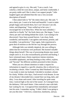and agreed to give it a try. She said, "I am a couch. I am colorful, a little bit worn down, unique, and fairly comfortable. I am pretty stable and I like it when I can support people." Julie laughed again and admitted that this was a very accurate description of herself.

I then asked Julie to "be" the rotten cherry pie. She said, "I am a cherry pie. I want to be fresh and beautiful. I want to make people happy and nourish them, but I can't because I am old, rotten, and disgusting." Tears welled up in her eyes. I encouraged her to let them flow. When her tears subsided, I asked her to finally "be" the fresh cherry pie. She began, "I am a cherry pie and I am hiding behind the couch. I am waiting to be discovered. I have been around forever. I am clean, fresh, wonderful, and beautiful. I am ageless and eternal, pristine, and incredible. I am perfection." Once again, Julie experienced a great deal of emotion as she felt her way through this process.

Although Julie was initially skeptical, she was willing to admit that her revelations were profound. She learned valuable things about herself. This way of processing dreams may sound simple and it is. It is also extraordinarily powerful and healing. I have witnessed many clients experience intense emotions, incredible epiphanies, and deep healing as they reflect, explore, and "become" the different symbols presented in their dreams.

When you set a dream intention or make a request for information in regard to a specific situation, this is referred to as *incubating* a dream. After I created my Ideal Husband List, I felt I was ready to meet my husband. I decided to incubate a dream for clarity. Within a few days, I had several vivid dreams. In one of my dreams I descended into a tunnel that was long, dark, and dirty. I was alone and scared. After traveling for quite some time, I noticed light at the end of the tunnel. As I emerged from the darkness, I felt much better. I then noticed a man with dark hair waiting for me. I recognized him immediately and jumped into his arms. I remember saying, "I didn't think I was going to see you this time." I felt love, connection, familiarity, and joy.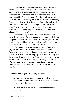In my dream, I was all of the aspects and characters—me, the tunnel, the light at the end of the tunnel, and the person I encountered. In describing myself as the tunnel I said, "I am a hard container. I am constricted, dark, and depressed. I feel uncomfortable, alone, and confused." I then explored being the light and said, "I am moving out of my constricted way of being. I am stepping into my light. I am remembering the truth of who I am. I am one with Spirit, I am the light." Next, I described myself as the man I encountered and said, "I am strong, balanced, and remembering my wholeness. I am connected and aligned. I am in my joy."

As I interpreted my dream, I understood that I had done a great deal of healing. I was becoming more balanced, whole, and integrated. In retrospect, this dream was also precognitive. I met my future husband later that week and, just as I had written on my Ideal Husband List, I did indeed "recognize" him.

It takes courage to explore our dreams and the depths of our psyche, for they will reveal hidden truths about ourselves. Dreams always tell the truth about what we think and how we feel. If we try to suppress or deny aspects of ourselves, they will be revealed through our dreams. Choosing to be conscious of our dreams is really about waking up and becoming more aware. Our subconscious knows things we do not and by paying attention, we can put ourselves on the fast track to personal growth.

#### **Exercise: Having and Recalling Dreams**

- 1. *Invite dreams.* Do not hunt, attempt to control, or capture your dreams. Dreams respond much better to invitation and intention rather than force.
- 2. *Dream intention.* Write down an intention to vividly recall your dreams.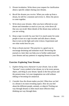- 3. *Dream incubation.* Write down your request for clarification about a specific subject during your dreams.
- 4. *Recall the dreams you receive.* When you wake up from a dream, lie still for a moment and review it. Allow the pieces to come together.
- 5. *Write down your dreams.* After you have reflected on your dream and remember as much as you can, write down all that you can recall. More details of the dream may surface as you are writing.
- 6. *Keep a tape recorder by your bed.* It is much easier for some people to turn on a tape recorder and talk about a dream, than to turn on the light and write it down. Experiment and see what works best for you.
- 7. *Keep a dream journal.* This practice is a good way to encourage dreaming and stimulate recall. Reviewing the journal at a later date can help you to further understand your dreams and any patterns or ongoing themes in your life.

## **Exercise: Exploring Your Dreams**

- 1. *Explore being every character in your dream.* Just as Julie "became" every symbol in her dream, try to be every person, object, and thing in your dream. Speak in the first person and the present tense. Let your imagination run wild without editing or becoming too analytical.
- 2. *Consider how the dream makes you feel.* Often how we feel in a dream is its most revealing aspect. How do you feel about the different people, animals, or objects? Feeling our way through dreams is often much more effective than thinking our way through them.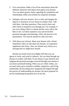- 3. *Free association.* Make a list of free associations about the different characters and objects that appear your dreams. You can obtain greater clarity regarding the symbolism and relationships within your dreams by using this technique.
- 4. *Dialogue with your dreams.* Sit in a chair and imagine the objects or characters of your dream in another chair. Talk with them. Ask them questions. Then switch chairs and allow them to respond to you through you. For example; if you were riding a bike in a dream and hit a tree, talk to the bike or tree. Let them respond to you and reveal their personal messages and meanings. Allow the process to be spontaneous. You may be amazed at what you learn.
- 5. *Talk about your dreams.* Share your dreams with a friend. Sometimes when we talk about our dreams, we experience epiphanies and clarity. Also, our friends may clearly see a message that we might have missed.

Dreams are stories from your Higher Self that you can ignore or invite, and avoid or embrace. We can sleep through our dreams or awaken with them. If you choose to pay attention and integrate the personal messages received through your dreams it can lead to profound healing. When you are whole within, you are much more apt to manifest a healthy, supportive, and loving relationship. By becoming more integrated and aligned through the process of understanding our dreams, the more prepared we are for manifesting the greatest love of our life.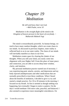# *Chapter 19 Meditation*

*Be still and know that I am God. ~ 46th Psalm, verse 10*

*Meditation is the straight flight of the mind to the Kingdom of heaven present in the heart of everybody. ~ Maharishi Mahesh Yogi*

The mind is extraordinarily powerful. As human beings, we tend to have many random thoughts, which can create chaos in our minds. As discussed in previous chapters, inner reality is reflected back to us in our outer reality. The chaos of our minds will inevitably manifest as chaos in our lives.

Meditation creates space by clearing the chatter of our thoughts. When you still your mind, you easily come into alignment with your Higher Self. From this place of inner peace and connection, you are able to access deep inner wisdom, clarity, and intuition.

My personal meditation practice started out of necessity. I was experiencing panic attacks, anxiety, and depression and my body rejected antidepressants and other medications that are normally prescribed to treat these conditions. When I heard about the benefits of mediation, I decided to give it a try and started a simple practice. For 10 to 20 minutes in the morning, I focused on my breath. At first it seemed as though nothing was happening, but eventually I began to notice a pattern. On the days I would meditate I felt more calm, peaceful, and balanced. I also seemed to experience more meaningful coincidences. On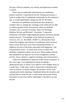the days I did not meditate, my anxiety and depression seemed to return.

There was an undeniable link between my meditation practice and how I experienced my life. During one session, I came to realize that if I meditated consistently for five minutes a day, it would significantly change my life for the better.

Research on meditation and the brain have produced evidence that we change the workings of the mind and are able to achieve greater levels of awareness when we meditate (Antoine Lutz, Lawrence Greishar, Nancy B. Rawlings, Matthew Ricard, and Richard J. Davidson, "Long-term mediations self-induce high-amplitude gamma synchrony during mental practice," *Proceedings of the National Academy of Sciences,* 101, no. 46 (2004): 16369-73.). Researchers have found that longtime practitioners of meditation show levels of brain activity that have never been documented before. In addition, the area of the brain associated with happiness—the left prefrontal cortex—is much more active in those who meditate compared to those who do not. These studies indicate that meditation can improve our levels of happiness, mental activity, focus, memory, cognitive learning, and consciousness.

I often use meditation to help me clarify certain situations. A few years ago, I was apprehensive about accepting a spokesperson job, in which I was asked to work lengthy hours at a trade show. Trade show work is notoriously exhausting and, with my history of chronic fatigue, the prospect of this work seemed particularly daunting. I meditated about the situation and realized that if I took the job, I could invite and receive divine nurturance at any time and be replenished. I decided to accept the job.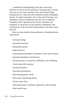I meditated at the beginning of the show and set my intention to receive divine nurturance. During the day, I would close my eyes for just a moment, relax, and visualize light pouring into me. I also took short meditation breaks throughout the day. It worked amazingly well. At the end of the show, my colleagues could not understand why they were completely exhausted while I appeared to be relaxed, refreshed, and energized. It was because of my intention, meditations, and visualizations. They were like healing balms to my body, mind, and soul.

Here are some benefits that practitioners of meditation have experienced:

Increased energy Increased awareness Being more present Improved focus Experiencing centeredness, wholeness, and a sense of peace Experiencing balance and harmony Increased sense of connection, fulfillment, and well-being Clarity about life's purpose Increased intuition Increased synchronicity Experiencing greater clarity More easily manifesting desires Greater sense of joy Alleviated anxiety, loneliness, depression, and/or despair More restful sleep

216 TAMMI BALISZEWSKI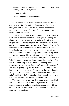Healing physically, mentally, emotionally, and/or spiritually Aligning with one's Higher Self

Opening one's heart

Experiencing and/or attracting love

The reasons to meditate are varied and numerous. Just as exercise is good for the body, meditation is good for the heart, mind, and soul. We are all sparks of God and meditation is the process of visiting, expanding, and aligning with the "God spark" that resides within.

I believe there is truth in the old adage, "Prayer is talking to God; meditation is listening to God." Imagine picking up the phone and calling a loving, patient, and wise friend. Now imagine spewing all of your problems, challenges, and desires and, without waiting for their response, you hang up. We greatly benefit when we take time to meditate and "listen" to God's input. During meditation, we have the opportunity to sit one-onone with Spirit and receive messages that are exclusively for us.

Almost everyone I know resists meditation, including myself. Often it seems the more we need it, the more we resist it. When I encounter friends or clients that are in great discomfort, I will ask them if they have considered meditating. Frequently their response is something like, "I can't sit still; I'll go crazy." No, they are going crazy because they are not sitting still! I have been guilty of this same type of behavior. In the past, I thought, "If I go fast enough, I can get away from myself and outrun the pain." It didn't work. No matter how fast I went, I was still with myself—the pain and spiritual emptiness persisted.

The more we try to run away from ourselves the more likely we are to have accidents or illness. A powerful way to heal frustration, anxiety, and emptiness is by reconnecting with our center and our spiritual essence. Relief is within and can be accessed by meditation.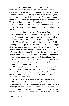Often when I suggest meditation to someone who has not tried it or is unfamiliar with the process, the most common excuse I hear for not doing it is, "My mind is too active. I can't *not* think." Meditation is the experience of directed focus, not spacing out as some might believe. A wonderful way to start a meditation is to direct the energy of the mind rather than quiet it. This can be done in the form of counting your breaths or silently repeating mantras or chants. Usually after a minute or two of directed focus, the mind easily and naturally starts to slow down and relax.

For me, one of the most wonderful benefits of meditation is the synchronicity. Carl Jung coined the term *synchronicity w*hich means "meaningful coincidence." I am always amused by how these coincidences seem to be directly related to my meditation practice. These coincidences make me laugh—it is as if God is winking at me. I experience a sense that all is well. For example, after a morning of meditation, I was driving along and thinking about writing this book. I noticed a billboard that read, "Just Do It!" I laughed and thought, "Hmm, I wonder how I would go about writing a book?" Immediately a car pulled in front of me with a bumper sticker that read, "With God All Things Are Possible!" If I had not meditated that day, I doubt I would have noticed the billboard and I probably would have gotten angry at the guy that pulled in front of me.

When I take the time to meditate, I experience grace and synchronicity throughout the day. For example, I might envision a friend's face during meditation. Later that day, I will receive a call from them. Often, I will think about a song and will hear in on the radio moments later.

A wonderful friend of mine recently decided to start a meditation practice. Her practice involved repeating the mantra, "I am living in grace." A few days later she received an article of clothing from another friend with the words "I Love Grace" on it. Later that evening she went on a dinner date. The gentleman, who was unaware of her new meditation practice, brought her to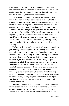a restaurant called Grace. She had meditated on grace and received immediate feedback from the Universe! To her, it was confirmation that the mantra she repeated during her meditation was heard. She, too, felt she received her wink.

There are many types of meditation; the originations of which stem from varied philosophies and religions. Meditation is a highly personal experience and there are as many variations of meditation as there are people. Meditation is an expression of our deepest essence. As with anything, meditation takes practice. You could not expect to go to the gym once and instantly have the perfect body, would you? If you think you cannot meditate, it is probably because you have not found a way that works for you. However, if you daydream, have found yourself distracted in a conversation, or have had internal dialogue with yourself, you can meditate. Everybody has the capacity to reflect inwardly.

To find a style that works for you, it helps to understand how you think by determining what senses you rely on the most. Some different ways people process information are visually, auditorily, and kinesthetically. When considering what you did yesterday, do you "see" what you did? If so, you are visually oriented. If you hear commentaries in your thoughts, you are auditorily oriented. If you feel the experience or have to move your body to activate the memory, you are kinesthetically oriented. You may primarily rely on one of your senses or use a combination of them. The following examples are meditations that apply to the different senses. See if any of the following types of meditation appeal to you. Remember, there is no wrong way of meditating and by simply taking the time to try it (even if you think you aren't doing it well) you will reap wonderful benefits and rewards.

*Breathing meditation.* This simple and universal meditation involves focusing on the experience of breathing. Close your eyes and simply observe your breath. Pay attention to the air coming in and out of your nostrils, the temperature of the air,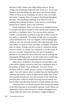and how it feels. Notice your lungs filling with air. Do not change your breathing, simply become aware of it. As you pay attention, your breathing may slow down and become deeper. When we focus on our breathing, we tend to relax our bodies and minds. A greater flow of oxygen is distributed throughout the body. The breathing meditation is an effective way of calming and soothing ourselves. It also assists us in attaining greater focus, balance, peace, and awareness.

*Visual meditation.* When you focus on an imagined person or scenario and allow yourself to relax and become centered, this can lead to a meditative state. You can envision a spiritual teacher, a young child, an animal, or pet that evokes a sense of joy, purity, or gratitude. The image of light also is a powerful visual meditation tool. You can imagine a ball of healing light within or you can surround yourself with a glowing light. You may choose to create an inner sanctuary, or imagine a beautiful place in nature. Perhaps you feel a sense of connection sitting next to a stream, in a forest, on a mountain, or by the ocean. If you are a visually oriented person, this type of meditative practice is very powerful and an effective way of focusing and relaxing the thinking mind. It can also assist you in connecting with your Higher Self and expanding your consciousness.

*Object focus meditation.* Focusing on a sacred object with your eyelids slightly lowered to relax into a meditative state is the premise of object focus meditation. You may choose an object such as a candle, picture, crystal, or something from nature. You will want to select a symbol that you find beautiful, calming, and creates a sense of appreciation within you. If you find yourself stressed out, you can reconnect to the sacred and peaceful place within by simply focusing your awareness on a sacred object and allowing yourself to breathe deeply and relax.

*Chanting.* This is an ancient practice that focuses the energy of the mind and aids in accessing the spiritual world. When you repetitively chant a word out loud, it vibrates throughout your energy field and raises your vibration to a higher frequency.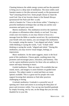Chanting balances the subtle energy system and has the potential to bring you to a deep state of meditation. The most widely used Sanskrit mantra is *Om* (the universal sound), or Hu (pronounced "hue") meaning divine love. Some people choose to chant the word God. One of my favorite chants is *Om Namah Shivaya*  (pronounced Om Nam-yah Shiv–a-yah) which is Sanskrit for "I bow to the divine within." Chanting is a powerful meditation technique that can help you anchor your

awareness and quiet your mind.

*Mantra meditation.* This meditation involves the repetition of a phrase or affirmation either silently or out loud. You may create your own mantra, or you may choose to focus on a message from the Bible or another sacred text. By synchronizing your breath with your mantra, you can energize this meditation. For example, using the mantra, "I am aligned and whole," inhale while thinking or saying the words, "I am." Exhale while thinking or saying the words, "aligned and whole." During this meditation, you may receive visual images, feelings, or impressions.

*Music mediation.* As the name suggests, music is the focal point of this meditation. Choose gentle, soothing music that promotes and encourages peace, relaxation, and harmony. This can be a great meditation practice for those who are auditory in nature and enjoy listening to music.

*Guided meditation.* There are many CDs available that use sound, music, and imagery to assist listeners on guided inner journeys. The subject matter is varied and there are many options available. This is a great tool for people who want support focusing their attention or find other practices challenging or boring.

*Gratitude meditation.* Gratitude is a powerful way of opening one's heart and assists in accessing the deep place of peace and reverence within. You can tap into heartfelt gratitude by simply focusing, one by one, on the things that you are truly thankful for in your life.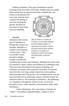*Walking meditation.* This type of meditation requires focusing on the movement of the body. Smaller steps are usually taken and the feet are placed consciously, rhythmically, and

slowly on the ground with every step. Extreme focus is paid to the feeling of your feet touching the ground, the physical movement of your body, and your breathing.



#### *Mandala*

*meditation.* My favorite type of meditation is through the creation of a mandala. *Mandala* is a Sanskrit word meaning "sacred circle." They can include various geometric designs (usually circular) and

*The Sri Yantra, or Yantra of Creation is a powerful mandala from the Hindu tradition. It represents the timeless creative principle and has been used for centuries as an object of meditation and for the purpose of healing body, mind and spirit.* 

symbolize the universe and wholeness. Mandalas have been used for centuries in many cultures and traditions as a meditation tool. They have also been used for the purpose of healing, self revelation, awareness, and connection with Spirit. Toward the end of his life, Carl Jung worked extensively with mandalas, both personally and in his practice. He considered them to be the most powerful tool to understand, express, and heal oneself. He referred to them as "the archetype of wholeness." By meditating on a mandala or through the creation of one, we have the potential to relax, center ourselves, and experience unity, order, and balance.

*Chakra Meditation.* The word *chakra* is Sanskrit for "wheel." According to yoga philosophy, a chakra is one of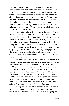several centers of spiritual energy within the human body. They are arranged vertically from the base of the spine to the crown of the head. If you could see chakras (as many psychics do) you would observe vortexes of energy and colors. Focusing on the chakras during meditation helps us to connect within and is an effective way to achieve inner balance. Similar to the body's physical energy centers—heart, lungs, and brain—our subtle body has seven main energy centers (chakras). Each has its own color, qualities, and sound. You can use any or all of your senses to balance and open the chakras.

The *root chakra* is located at the base of the spine and is the chakra of manifestation and survival. It is connected to tribal programming, which is the information our families have handed down to us as our primal needs. This chakra regulates our physical existence, connection to the world, and basic needs. You probably have a constriction in the root chakra if you are financially struggling, not living in a home you love, or driving a car you enjoy. Such a constriction can bring about physical challenges related to weight, adrenals, legs, and feet. The color of this chakra is red and the sound is "lam." (All of the chakra sounds rhyme with "aum.")

The *sacral chakra* is located just below the belly button. It is the energy center of change and emotions and closely associated with feelings, sensuality, procreation, and creativity. The qualities of this chakra are gentler than the primal qualities of the root chakra. It also is the center in which we experience gut feelings, empathy, and self-judgment. Physical problems that may stem from the constriction of this chakra are kidney or bladder problems, a stiff lower back, sexual problems, fertility issues, PMS, colitis, and appendicitis. Other challenges may come in the form of creative blocks and co-dependency. The color of this chakra is orange and the sound is "vam."

The s*olar plexus chakra* is located in the stomach region. It is commonly known as the power center and is the vortex of transformation. It functions as the storehouse for our judgment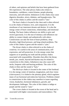of others, and opinions and beliefs that have been gathered from life experiences. The solar plexus chakra also relates to boundaries, confidence, control dramas, people pleasing, insecurity, and self-esteem. Imbalances in this chakra may cause digestive disorders, ulcers, diabetes, and hypoglycemia. The color of this chakra is yellow and the sound is "ram."

The *heart chakra* is located in the chest and is often referred to as the chakra of balance, love, and compassion. It is the storehouse of our innermost dreams and desires. It is also the energy center of heart connections, relationships, and emotional healing. The heart chakra influences our ability to give and receive graciously. It is the seat of intimacy and influences our ability to connect deeply and authentically with others. Constrictions can take the form of heart problems, sleep disorders, high blood pressure, and lung-related problems. The color of this chakra is green and the sound is "yam."

The *throat chakra* is often referred to as the chakra of creativity. It is useful in the areas of communication, selfexpression, and self-protection. It is the energy center that supports us in speaking our truth and the primary chakra associated with responsibility. Disorders that affect the throat, mouth, jaw, tonsils, thyroid and thymus may be related to constriction in this chakra. Imbalances may also cause stiff necks, frequent colds and hearing problems. The color of this chakra is blue and the sound is "ham."

The *third-eye chakra* is located in the center of the forehead. It is the energy center of intuition, imagination, and clear vision (clairvoyance). It is linked to the pituitary gland, which regulates many of our hormonal and endocrine functions. Problems related to constrictions in this chakra may manifest in issues regarding vision, headaches, hormonal imbalances, growth, and development challenges. The color of this chakra is indigo or purple and the sound is "aum."

The *crown chakra* is located at the crown of the head and is associated with higher consciousness and transcendence. The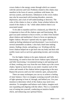crown chakra is the energy center through which we connect with the universe and God. Problems related to this chakra may manifest in the form of cancers, problems with bones, the nervous system, and dizziness. Imbalances in the crown chakra may also be associated with learning disorders, neurosis, depression, and a lack of self-understanding or direction. The color of this chakra is clear or white. Some scholars believe the sound of the chakra is "ah," while others believe there is no associated sound.

To be able to manifest and live a balanced, joy-filled life, it is important to have all the chakras open and functioning. My goal was (and continues to be) to evolve, so when I first learned about chakras and meditation I chose to focus on opening my higher chakras. Because I opened only my upper chakras, I ended up feeling imbalanced and disoriented. I was involved in several automobile accidents. I also had a hard time making money, finding a home, and getting a car. Working with the lower chakras helped me to get back into my body and deal with earthly issues such as survival, generating income, and everyday life.

For the higher chakras to be open, balanced, and fully functioning, we need to have the lower chakras open, balanced, and fully functioning. I recommend tuning in and opening each of them, working your way from the root chakra up to the crown chakra. Spend as much time as you need; visualize each of the colors and sounds of the chakras before progressing to the next. Repeat the process until you feel centered, open, and peaceful.

There are many techniques you can try to achieve a feeling of inner balance. One is to imagine scanning yourself with discs of light spinning in front of, through, and behind you. Use your intuition to determine which of the chakras may need extra attention. To strengthen and balance each chakra, imagine each one expanding and aligning with the others. This is a wonderful way of tuning into yourself, conducting an intuitive health check, and enhancing your spiritual fitness.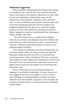### **Meditation Suggestions**

When to meditate. Meditating the first thing in the morning is a wonderful way to start the day. This is the time when the mind is most open to receiving new impressions. It is also when we have the opportunity to intentionally create our day, enhanced by a more balanced, connected, whole, and joyful state. A Course in Miracles teaches that five minutes spent with God in the morning guarantees He will be in charge of our thoughts throughout the day. Most of us would not consider going out into the world without first cleansing our physical bodies. Imagine how much we would benefit from cleansing our energy, thoughts, and mind.

The end of the day also is a superb time to meditate. After all your activities and obligations have been fulfilled, take some time to go within and find your center—a peaceful inner sanctuary. Focusing on gratitude and peace can assist you in sleeping soundly and deeply.

A few minutes of meditation at any time during the day can be of great benefit. When you choose to quiet your mind and bring your energy back into your Self, it is a powerful step toward inner peace, clarity, and balance. The more you practice inner stillness, the more aligned and connected you will feel with the world. Forces you have not been consciously aware of will begin to move toward you and support you in unforeseen and miraculous ways!

*Posture.* The posture you assume during meditation is important. You should be comfortable. You may choose to sit cross-legged on the floor or on a pillow, or sit on a couch or chair. Slumping or slouching should be avoided; your spine should be erect and extended. Lying down is also an option, but not always the best choice as you may become too comfortable and fall asleep.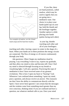

*Two examples of mudras: are the A hand mudra (top) and the hand hart mudtra.* in your lap, thumbs

If you like, there are hand positions, called *mudras,* which may be used to signify that you are going into a meditative state. One choice is to place your hands (palm up) on your lap, hold the thumb and the forefinger together. Another option is while placing your hands (palms facing each other)

touching each other and all of your forefingers

touching each other, leaving a space in center in the shape of a heart. When your hands are in these positions the energy circuits are connected. The flow of energy or *chi* moves continuously through your body.

*Ask questions.* Often I begin my meditation ritual by praying. I say everything I want to say, express my gratitude, and then allow my mind to relax and become still. Once I feel my mind is silenced through focusing on my breath or visualizing light, I will ask a question. Practicing this type of meditation is how I have received some of my greatest revelations. This is how I open my heart to "hearing" God. Whenever I am confused about something, I quiet my mind, pose a question, and always receive an answer. This reassures me that I have the ability to communicate directly with the Spirit. I have never been ignored. I am certain that the messages and the wisdom come from something much greater than my own conscious, thinking mind. If you are confused and have a question, use whatever method calls to you. Once your mind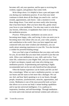becomes still, ask your question, and be open to receiving the wisdom, support, and guidance that comes forth.

*Write things down.* It is helpful to have a pen and paper with you during your meditation practice. If you find your mind continues to think about all the things you need to do—such as errands, appointments, and chores—take a moment to write these things down. Your mind can more easily relax knowing that it has been heard. After you have done this, gently return your focus to your meditation. You also may want to write down any lessons, reflections, or epiphanies that come to you during the meditation process.

*Practice.* With practice, meditation can assist you in becoming more happy, calm, and loving. It also can assist you in becoming more clear about who you are, your value, purpose, and contribution to the world. Once you have tapped into and connected with your inner wisdom and wholeness, you can easily attract amazing experiences in your life. You also become a conduit for powerful healing energy.

Once you find a type of meditation that you enjoy and works for you, do not think that you must limit yourself to just that one style. Allow your meditations to vary, shift, and evolve. Your inner life, connection to your Higher Self, and your relationship to Spirit can deepen, expand, and come alive during your meditation practice. Experimenting and exploring is highly recommended and can be not only beneficial but educational.

Often the human experience can be lonely and life can feel like a monologue. When we start a meditation practice, we open our hearts and life starts to feel more like a dialogue. We can see, feel, and hear Spirit speaking to us in our hearts, through people, situations, synchronicities, miracles, opportunities, and events. Meditation is one of the most powerful tools we have that allows us to access our body's innate healing capabilities and to tap into universal intelligence. It is a pathway to inspiration, freedom, and self-knowledge. Through meditation we invite and evoke internal and eternal wisdom and cultivate a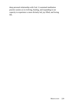deep personal relationship with God. A sustained meditation practice assists us in evolving, healing, and expanding in our capacity to experience a more divinely led, joy filled, and loving life.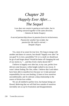# *Chapter 20 Happily Ever After… The Sequel*

*Love does not consist in gazing at each other, but in looking outward together in the same direction. ~ Antoine de Sainte Exupery*

*A sacred partnership draws its passion from its inclusiveness. Passion for another has to fade, but passion for life itself is eternal. ~ Deepak Chopra*

Yes, most of us yearn for true love. We long to merge with another and dance in concert, but should "happily ever after" be our goal? Is it even a possibility? Or is it a myth we should just let go of and forget about? Would be better off changing the end of our stories to, "…and they lived a fairly decent life"?

I believe in happily ever after but, in my case, perfect love did not come because a white knight rushed to my rescue. It wasn't about finding *The One*, either. I believe that I and others have been able to manifest love because we 1) take personal responsibility for our own healing; 2) learn to love ourselves unconditionally; and 3) cultivate a deep relationship to the source of divine love within.

We are all entitled to perfect love, but human beings are flawed. Believing that we will find love outside of ourselves inevitably sets us up for frustration and disappointment.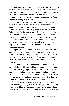That being said, the love that resides within us is perfect; it is the wellspring of Spirit that exists in the very center of our being. Once we understand this and tap into it, we can attract someone else who has tapped into it as well. In these types of relationships, we can experience moments of divine love being channeled through human form.

The path to love and achieving "happily ever after" is ultimately a personal process. When you align with your authentic Self and find the place of genuine comfort within, your beloved can naturally and easily show up in your life. Your beloved can take the form of a friend, a lover, or partner that you can continue to venture forth with on the journey of personal revelation, joy, and healing. A relationship created from two individuals who have come to the place of self-understanding, self-acceptance, and self-appreciation, have the potential to experience adventures, miracles, and fulfillment like no other type of partnership.

People often mention what a great couple Steve and I are and I would absolutely agree. Our connection is easy, respectful, patient, and kind. We laugh, play, and hold the space for each other to explore who we are as individuals and as a couple. We are clear in our boundaries, respect one another, and lift each other up.

As I reflect on the work I did to manifest this relationship, I acknowledge the diligence, faith, and courage it took to get to this sweet and magical place. Patience, fortitude, compassion, and strong intention were my constant companions. I equate my healing journey to that of demolishing a house. It had to be torn down to the ground and then I built a new foundation that was strong, solid, and able to withstand any disaster.

To manifest this remarkable relationship, I had to be willing to go into the pain of my past and rescue myself. I had to forgive everyone that hurt me (including myself), get in touch with my feelings, and cultivate healthy boundaries. I also found ways to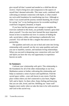give myself all that I wanted and needed as a child but did not receive. I had to bring love and compassion to the aspects of myself that I deemed unlovable. This inner work, combined with cultivating an intimate connection with Spirit, is what created my rock-solid foundation for manifesting true love. Although at times I was scared and the journey seemed daunting, the reward for saying "yes" to my healing process far exceeded anything I could have imagined, dreamed, or hoped.

If you have had the patience and courage to complete the exercises outlined in this book, you probably learned a great deal about yourself. You also may have learned the most important lesson in how to manifest true love: It consists of finding the safe, sacred place within, and learning to authentically love yourself. You will then be like a magnet that attracts sacred partnership.

The qualities and tools you use to heal and come into loving relationship with yourself, are the very same qualities and tools you use to manifest, nurture, and maintain loving relationships. When you succeed in deepening your connection with your Self and Spirit you have the very real opportunity to experience heaven on earth.

### **In Summary**

*Cultivate your relationship with spirit.* This relationship is the foundation for all of the other relationships in our lives. Meditation assists in further cultivating this relationship and helps us maintain a sense of peace and equilibrium. Find the sacred space within—your safe haven in any storm. Find the place within where you feel connected to your heart, Higher Self, and to Spirit. Go there often. Enjoy feeling and knowing that you are safe, loved, and free. Refilling our "inner well" happens more easily when we take the time to be with ourselves and God in this sacred way.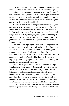*Take responsibility for your own healing.* Whenever you feel hurt, be willing to look inside and get to the core of your pain. Remember, experiences outside of ourselves are a reflection of what is inside. When you feel pain, ask yourself; what is coming up for me? What is my soul trying to learn? Another person can love us, but first we have to love ourselves in order to recognize and receive that love at the soul level.

*Process your emotions.* It is important to acknowledge, own, and process your emotions. If you are sad, then cry; if you are angry, then let it out in writing or beat a plastic bat on a pillow. Find an outlet and give credence to your emotions. This is vital for your emotional, psychological, and physical well-being. If you avoid, deny, or suppress your emotions, you will surely lose your way. Use your emotions as the guides and tools they are intended to be.

*Consciously direct your focus.* Focus on and be grateful for the qualities you love about yourself and your life. When you get into the habit of seeing the best in yourself and others, your relationships and your life will expand in beautiful and miraculous ways. We all thrive in an environment of acceptance, appreciation, and love. We all wither in an environment of negativity, scorn, and judgment. Lift yourself and others up and look for the positive in all situations.

*Boundaries.* Explore who you are and continue to be open to learning more about yourself. Be aware of what is true for you and be willing to express it. When we respect ourselves, we are better able to understand, articulate, and establish healthy boundaries. We also are more capable of understanding and respecting the boundaries of those around us. It is foolish to believe that once we manifest our beloved then two will be as one. We are all individuals. It is important to take responsibility for our own healing and lessons to be learned. We must continue to take responsibility for developing our potential and fulfilling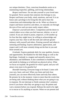our unique destinies. Clear, conscious boundaries assist us in maintaining respectful, uplifting, and loving relationships.

*Respect and honor.* Do not take yourself or your loved ones for granted. Never assume that someone else belongs to you. Respect and honor your body, mind, emotions, and soul. It is an honor and a privilege to be living this life and to have the connections and relationships that we do. When we choose to respect and honor ourselves and others, we naturally see through the eyes of love and can more easily respect others.

*Empower yourself and others.* Competition and the desire to control others occur when you feel insecure, inferior, or out of control. If you are afraid to praise, empower, or lift another up for fear that they might leave, be willing to acknowledge and express your fear. Dare to tell the truth and cultivate greater intimacy with yourself and others. Praising yourself and others is nurturing and healing. Express admiration, appreciation, and respect and it will most certainly bring out the best in you and those around you.

*Gratitude.* Express gratitude daily for your qualities, lessons, and opportunities. Be thankful for the little things as well as the big things. Gratitude is a magnet and naturally attracts love, abundance, and fulfillment. It also contributes to healthier bodies and minds by helping us to befriend our physical selves. What we focus on expands. Be grateful for what is good, and you will attract even more to be grateful for!

*Heartfelt listening.* Everyone longs to be heard. Listen with your ears, heart, and soul. When you listen and truly hear yourself, you can more effectively listen and truly hear others. Be present; be in the moment. Listen to more than the words that are being said; without thinking about what you are going to say in response. Do not interrupt or finish someone else's sentence (even if you know what they are going to say). Be patient and wait a moment before you respond. Release the need to be right or to rescue or fix anything or anyone. When we are present and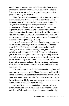deeply listen to someone else, we hold space for them to be as they truly are and receive them with an open heart. Heartfelt listening creates a safe and sacred space for deep connection, profound healing, and true love.

*Allow "space" in the relationship.* Allow time and space for yourself and your beloved. Love with an open hand. Create breathing room within yourself and in all of your relationships. Imagine this breathing room is the gentle breath of Spirit surrounding you always. In a healthy partnership, we are not dependent nor are we independent—we are interdependent. Complementary interdependence is like a dance. There is an ebb and flow that shifts and changes with the tides and times. This sacred space around you and your partner creates the opportunity to move and dance gracefully and freely.

*Love and nurture yourself.* Treat others the way you want to be treated and also treat yourself the way that you want to be treated! Do the little things that make your own heart smile! When you learn to nurture and adore yourself, you create a certain dynamic and energy. You will find others begin to treat you in the same loving way. By consciously choosing to reside in the place of love within, you naturally and easily share it with others. When we tap into Self-love, miracles happen. Jesus healed others because He knew who He was. Jesus was the son of God and an heir to the universe. The essence of Jesus is love and so are you!

*Take care of your inner child.* Continue to be cognizant and conscious of your inner child. Honor the young and joy-filled aspect of yourself. Take the time to check in and see what makes your inner child happy and what he or she needs on a regular basis. Remember this is your true essence, and you cannot be whole, happy, or fulfilled without the child!

*Curiosity.* Never assume you fully and completely know yourself or your beloved. Each of us is an aspect of the infinite and there will always be more layers to explore. By cultivating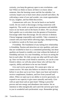curiosity, you keep the gateway open to new revelations—and fun! When we think we know all there is to know about someone, then the learning ceases and the fun subsides. Let curiosity inspire you to learn more about yourself and others. By cultivating a sense of awe and wonder, you create opportunities for joy, laughter, and fun-filled discoveries.

*Communicate with care.* Do not be harsh or use hurtful words. Do not crush or discourage a loving connection with negativity. The words we speak leave permanent and indelible traces on our hearts and on the hearts of others. We can always find a gentle way to articulate even the greatest of frustration. Encourage rather than discourage. Do not criticize or demean. Choose language responsibly and carefully. Take a moment to consult with your heart before allowing angry, disempowering, or vindictive words to fly from your mouth.

*Friendship.* The foundation of any lasting love relationship is friendship. Passion and attraction are nice qualities, and ones that are wonderful to have in a committed partnership, but these qualities are bound to crumble over time without the bedrock of friendship and trust. In a true friendship, we focus on seeing the best in each other. We fully accept one other and lift each other up. Once we become a true friend to ourselves, we can be a true friend to others; we will also attract those who will have the capacity, ability and desire to be our true friends!

*Give and receive graciously.* We cannot give what we cannot receive. We must also believe we deserve what we want before it can show up in our lives. Open your heart and mind to receive compliments, kindness, and love from yourself and others. When we open up in our ability to receive graciously, we expand in our capacity to give more naturally and easily. Give with an open heart and an open hand. Tithing is powerful process and sets energy and abundance into motion. Set an intention to tithe energetically and watch the universe give back to you in wonderful and synchronistic ways. Remember giving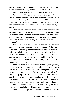and receiving are like breathing. Both inhaling and exhaling are necessary for a balanced, healthy, and joy-filled life!

*Have fun.* Our journey here is supposed to be joyful and fun. See the humor in all things. Be willing to laugh at yourself and at life. Laughter has the power to heal and fun is what makes the journey worth taking! We all have an inner child that loves to play. Playing keeps us light, healthy, and happy. Remembering to play and to have fun keeps us open to awe, spontaneity, joy, and wonder.

*Set intentions.* The universe was created from intention. You always have the ability and the opportunity to tap into the power of the universe by setting deliberate intentions. Remember that every day and with everything you do, you may invite, align, and co-create with Spirit by using the extraordinary power of intention!

*Patience and kindness.* The Bible tells us that love is patient and kind. Love does not envy or brag. It is not proud, does not behave inappropriately, and does not seek to have its own way. When we truly love, we are patient and kind. When we learn to be patient with ourselves, we are more patient with others. Life and love are a process—we are healthier and happier if we can implement and flow with the important and powerful qualities of patience and kindness.

When you manifest truly loving relationships, with yourself, Spirit, and subsequently another human being, this love creates a positive ripple effect in the world. One small light can brighten up a very large and dark room. Every one of us is a spark of God and an integral part of the whole. When we remember, believe, and live our lives with this understanding, we easily connect with others of like-mind. The energy and sacredness from these types of relationships can heal the world and bring new hope.

When you manifest your true love, it may or may not mean that you and your beloved will dance together forever. Sometimes in a soul's quest for continued evolution, choices and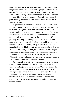paths may take you in different directions. This does not mean the partnership was not sacred. As long as you continue to live and breathe, you are a work in progress. However, when you develop a truly loving relationship with yourself, this work can feel more like play. When you unconditionally love yourself, your "happily ever after" is with you wherever you go and in whatever you do.

People ask me all the time if I believe I will be with Steve forever, I cannot answer that question. I never want to take this relationship for granted or assume anything. For now I am grateful and honored to be on this journey with him. I know for Steve and myself, it is our goal and intention to continue to support each other in our respective healing journeys. We are growing, maturing, and having great fun as we explore and express who we are—creative, unique, and highly entertaining human beings. I believe the primary reason for a conscious committed partnership is to cultivate sacred space for each of us as individuals to deepen in our personal connection with Spirit, ourselves and each other. This type of relationship provides an incredible portal for self-discovery and deeper Self-love. Ultimately, however, I realize my happiness is my responsibility, just as Steve's happiness is his responsibility.

Yes, we can live happily ever after, but only after we make the courageous, enlightening, and exhilarating journey to discover the kingdom of heaven within. Once we cultivate this sacred space in our heart and soul, it is reflected back to us in our experiences, our relationships and in our lives. When we lovingly connect with ourselves and Spirit, we are able to manifest relationships filled with reverence, blessings and treasures beyond our greatest imagination and surpassing our wildest dreams.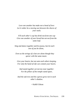*Love one another but make not a bond of love: Let it rather be a moving sea between the shores of your souls.*

*Fill each other's cup but drink not from one cup Give one another of your bread but eat not from the same loaf.*

*Sing and dance together and be joyous, but let each one of you be alone,*

*Even as the strings of a lute are alone though they quiver with the same music.*

*Give your hearts, but not unto each others keeping. For only the hand of Life can contain your hearts.*

*And stand together yet not too near together: For the pillars of the temple stand apart,*

*And the oak tree and the cypress grow not in each other's shadow.*

~ Kahlil Gibran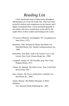# *Reading List*

I have mentioned many of these books throughout *Manifesting Love From the Inside Out.* They have been powerful catalysts and companions on my journey and I highly recommend them. I am in profound gratitude to the authors who have created these works and for the ripple effect of their wisdom and healing in the world.

- A Course in Miracles. Farmingdale, NY: Foundation for Inner Peace, 1975.
- Bradshaw, John. *Healing the Shame that Binds You.*  Deerfield Beach, Fla.: Health Communications, Inc., 1988.

Borysenko, Joan PhD. *Guilt is the Teacher Love is the Lesson.* New York: Warner Books Inc., 1990.

- Campbell, Joseph, ed. *The Portable Jung.* New York: Penguin Books, 1971.
- Chopra, Dr. Deepak. *The Path to Love.* New York:Three Rivers Press 1997
- Dyer, Wayne. *The Power of Intention.* Carlsbad, Cal.: Hay House Inc., 2004.

Emoto, Masaur. *The Hidden Messages in Water.*  Hillsboro,

Ore.: Beyond Words Publishing Inc., 2001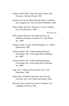- Fontana, David PhD. *Teach Yourself to Dream*. San Francisco: Chronicle Books, 1997.
- Hawkins, Dr. David. *When Pleasing Others is Hurting You*. Euugene Ore.: Harvest House Publishers, 2004.

Hicks, Esther and Jerry. *Ask and it is Given.* Carlsbad, Cal.: Hay House Inc., 2004.

READING LIST

- Hicks, Esther and Jerry. T*he Amazing Power of Deliberate Intention*. Carlsbad, Cal.: Hay House Inc., 2006.
- Holmes, Ernest. *Science of Mind*. Radford, Va.: Wilder Publications, 2007.
- Johnson, Robert. *She—Understanding Feminine Psychology.* New York: Harper Row Publishers Inc.,1989.
- Johnson, Robert. *He—Understanding Masculine Psychology.* New York: Harper Row Publishers Inc.,1989.
- Jung, Carl G. *Man and His Symbols.* New York: Doubleday, 1964.
- Kubler-Ross, Elisabeth and David. *On Grief and Grieving.* New York: Simon and Shuster, 2005.
- McLaren, Karla. *Emotional Genius.* Columbia, Cal.: Laughing Tree Press, 2001.